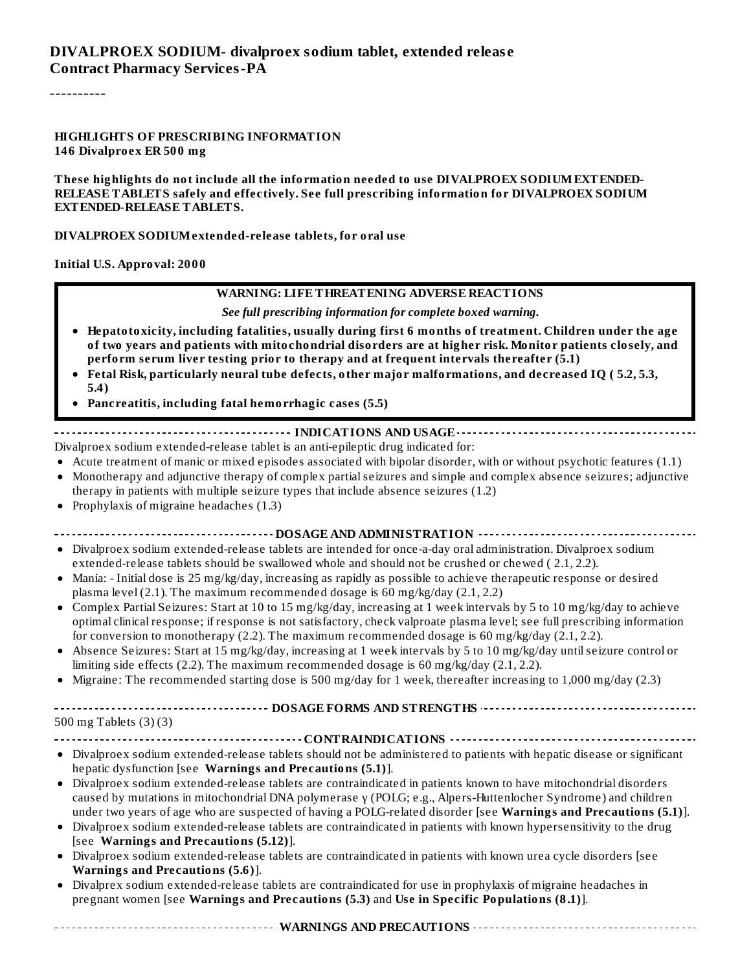----------

#### **HIGHLIGHTS OF PRESCRIBING INFORMATION 146 Divalproex ER 500 mg**

**These highlights do not include all the information needed to use DIVALPROEX SODIUMEXTENDED-RELEASE TABLETS safely and effectively. See full prescribing information for DIVALPROEX SODIUM EXTENDED-RELEASE TABLETS.**

#### **DIVALPROEX SODIUMextended-release tablets, for oral use**

**Initial U.S. Approval: 2000**

#### **WARNING: LIFE THREATENING ADVERSE REACTIONS**

*See full prescribing information for complete boxed warning.*

- **Hepatotoxicity, including fatalities, usually during first 6 months of treatment. Children under the age of two years and patients with mitochondrial disorders are at higher risk. Monitor patients closely, and perform serum liver testing prior to therapy and at frequent intervals thereafter (5.1)**
- **Fetal Risk, particularly neural tube defects, other major malformations, and decreased IQ ( 5.2, 5.3, 5.4)**
- **Pancreatitis, including fatal hemorrhagic cases (5.5)**

#### **INDICATIONS AND USAGE**

Divalproex sodium extended-release tablet is an anti-epileptic drug indicated for:

- Acute treatment of manic or mixed episodes associated with bipolar disorder, with or without psychotic features (1.1)
- $\bullet$ Monotherapy and adjunctive therapy of complex partialseizures and simple and complex absence seizures; adjunctive therapy in patients with multiple seizure types that include absence seizures (1.2)
- Prophylaxis of migraine headaches (1.3)  $\bullet$

**DOSAGE AND ADMINISTRATION**

- Divalproex sodium extended-release tablets are intended for once-a-day oral administration. Divalproex sodium extended-release tablets should be swallowed whole and should not be crushed or chewed ( 2.1, 2.2).
- Mania: Initial dose is 25 mg/kg/day, increasing as rapidly as possible to achieve therapeutic response or desired plasma level  $(2.1)$ . The maximum recommended dosage is 60 mg/kg/day  $(2.1, 2.2)$
- Complex Partial Seizures: Start at 10 to 15 mg/kg/day, increasing at 1 week intervals by 5 to 10 mg/kg/day to achieve  $\bullet$ optimal clinical response; if response is not satisfactory, check valproate plasma level; see full prescribing information for conversion to monotherapy (2.2). The maximum recommended dosage is 60 mg/kg/day (2.1, 2.2).
- Absence Seizures: Start at 15 mg/kg/day, increasing at 1 week intervals by 5 to 10 mg/kg/day untilseizure control or limiting side effects (2.2). The maximum recommended dosage is 60 mg/kg/day (2.1, 2.2).
- Migraine: The recommended starting dose is 500 mg/day for 1 week, thereafter increasing to 1,000 mg/day (2.3)

| DOSAGE FORMS AND STRENGTHS -----------------------------------                                                                                                                                                                                                                                                                                          |
|---------------------------------------------------------------------------------------------------------------------------------------------------------------------------------------------------------------------------------------------------------------------------------------------------------------------------------------------------------|
| 500 mg Tablets (3)(3)                                                                                                                                                                                                                                                                                                                                   |
|                                                                                                                                                                                                                                                                                                                                                         |
| • Divalproex sodium extended-release tablets should not be administered to patients with hepatic disease or significant<br>hepatic dysfunction [see Warnings and Precautions (5.1)].                                                                                                                                                                    |
| • Divalproex sodium extended-release tablets are contraindicated in patients known to have mitochondrial disorders<br>caused by mutations in mitochondrial DNA polymerase y (POLG; e.g., Alpers-Huttenlocher Syndrome) and children<br>under two years of age who are suspected of having a POLG-related disorder [see Warnings and Precautions (5.1)]. |
| • Divalproex sodium extended-release tablets are contraindicated in patients with known hypersensitivity to the drug<br>[see Warnings and Precautions (5.12)].                                                                                                                                                                                          |
| • Divalproex sodium extended-release tablets are contraindicated in patients with known urea cycle disorders [see<br>Warnings and Precautions (5.6)].                                                                                                                                                                                                   |
| • Divalprex sodium extended-release tablets are contraindicated for use in prophylaxis of migraine headaches in<br>pregnant women [see Warnings and Precautions (5.3) and Use in Specific Populations (8.1)].                                                                                                                                           |

**WARNINGS AND PRECAUTIONS**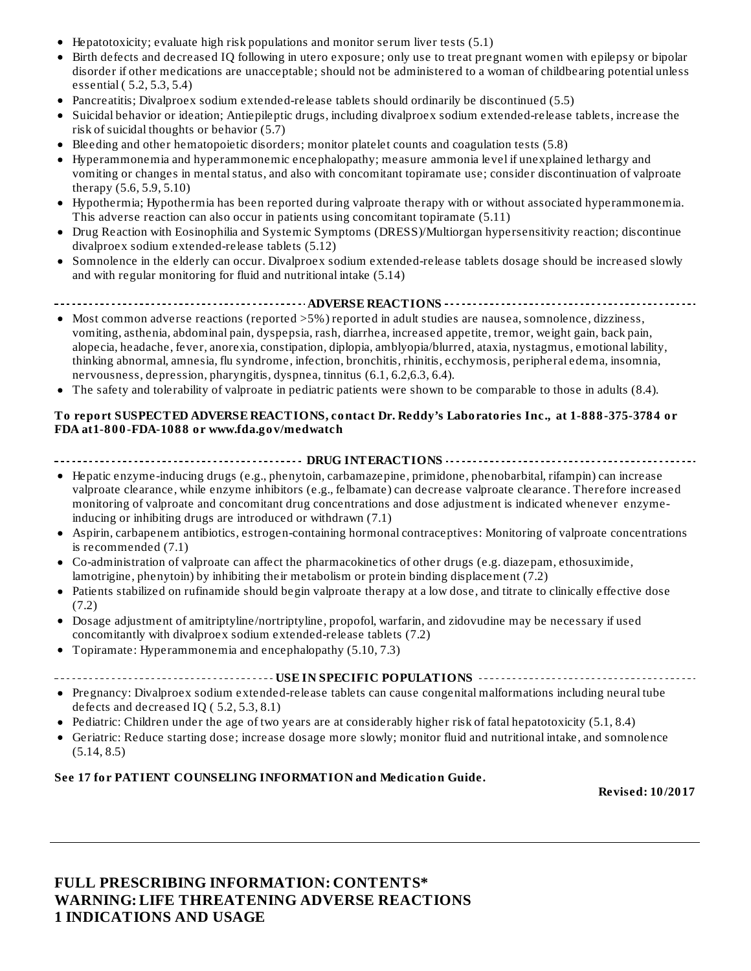- Hepatotoxicity; evaluate high risk populations and monitor serum liver tests (5.1)
- Birth defects and decreased IQ following in utero exposure; only use to treat pregnant women with epilepsy or bipolar disorder if other medications are unacceptable; should not be administered to a woman of childbearing potential unless essential ( 5.2, 5.3, 5.4)
- Pancreatitis; Divalproex sodium extended-release tablets should ordinarily be discontinued (5.5)
- Suicidal behavior or ideation; Antiepileptic drugs, including divalproex sodium extended-release tablets, increase the risk of suicidal thoughts or behavior (5.7)
- Bleeding and other hematopoietic disorders; monitor platelet counts and coagulation tests (5.8)
- $\bullet$ Hyperammonemia and hyperammonemic encephalopathy; measure ammonia level if unexplained lethargy and vomiting or changes in mental status, and also with concomitant topiramate use; consider discontinuation of valproate therapy (5.6, 5.9, 5.10)
- Hypothermia; Hypothermia has been reported during valproate therapy with or without associated hyperammonemia. This adverse reaction can also occur in patients using concomitant topiramate (5.11)
- Drug Reaction with Eosinophilia and Systemic Symptoms (DRESS)/Multiorgan hypersensitivity reaction; discontinue  $\bullet$ divalproex sodium extended-release tablets (5.12)
- Somnolence in the elderly can occur. Divalproex sodium extended-release tablets dosage should be increased slowly  $\bullet$ and with regular monitoring for fluid and nutritional intake (5.14)
- **ADVERSE REACTIONS** . . . . . . . . . .
- Most common adverse reactions (reported >5%) reported in adult studies are nausea, somnolence, dizziness, vomiting, asthenia, abdominal pain, dyspepsia, rash, diarrhea, increased appetite, tremor, weight gain, back pain, alopecia, headache, fever, anorexia, constipation, diplopia, amblyopia/blurred, ataxia, nystagmus, emotional lability, thinking abnormal, amnesia, flu syndrome, infection, bronchitis, rhinitis, ecchymosis, peripheral edema, insomnia, nervousness, depression, pharyngitis, dyspnea, tinnitus (6.1, 6.2,6.3, 6.4).
- The safety and tolerability of valproate in pediatric patients were shown to be comparable to those in adults (8.4).

#### **To report SUSPECTED ADVERSE REACTIONS, contact Dr. Reddy's Laboratories Inc., at 1-888-375-3784 or FDA at1-800-FDA-1088 or www.fda.gov/medwatch**

**DRUG INTERACTIONS**

- Hepatic enzyme-inducing drugs (e.g., phenytoin, carbamazepine, primidone, phenobarbital, rifampin) can increase valproate clearance, while enzyme inhibitors (e.g., felbamate) can decrease valproate clearance. Therefore increased monitoring of valproate and concomitant drug concentrations and dose adjustment is indicated whenever enzymeinducing or inhibiting drugs are introduced or withdrawn (7.1)
- Aspirin, carbapenem antibiotics, estrogen-containing hormonal contraceptives: Monitoring of valproate concentrations is recommended (7.1)
- Co-administration of valproate can affect the pharmacokinetics of other drugs (e.g. diazepam, ethosuximide, lamotrigine, phenytoin) by inhibiting their metabolism or protein binding displacement (7.2)
- $\bullet$ Patients stabilized on rufinamide should begin valproate therapy at a low dose, and titrate to clinically effective dose (7.2)
- Dosage adjustment of amitriptyline/nortriptyline, propofol, warfarin, and zidovudine may be necessary if used  $\bullet$ concomitantly with divalproex sodium extended-release tablets (7.2)
- Topiramate: Hyperammonemia and encephalopathy (5.10, 7.3)
- **USE IN SPECIFIC POPULATIONS**
- Pregnancy: Divalproex sodium extended-release tablets can cause congenital malformations including neural tube defects and decreased IQ ( 5.2, 5.3, 8.1)
- Pediatric: Children under the age of two years are at considerably higher risk of fatal hepatotoxicity (5.1, 8.4)
- Geriatric: Reduce starting dose; increase dosage more slowly; monitor fluid and nutritional intake, and somnolence  $(5.14, 8.5)$

#### **See 17 for PATIENT COUNSELING INFORMATION and Medication Guide.**

**Revised: 10/2017**

#### **FULL PRESCRIBING INFORMATION: CONTENTS\* WARNING: LIFE THREATENING ADVERSE REACTIONS 1 INDICATIONS AND USAGE**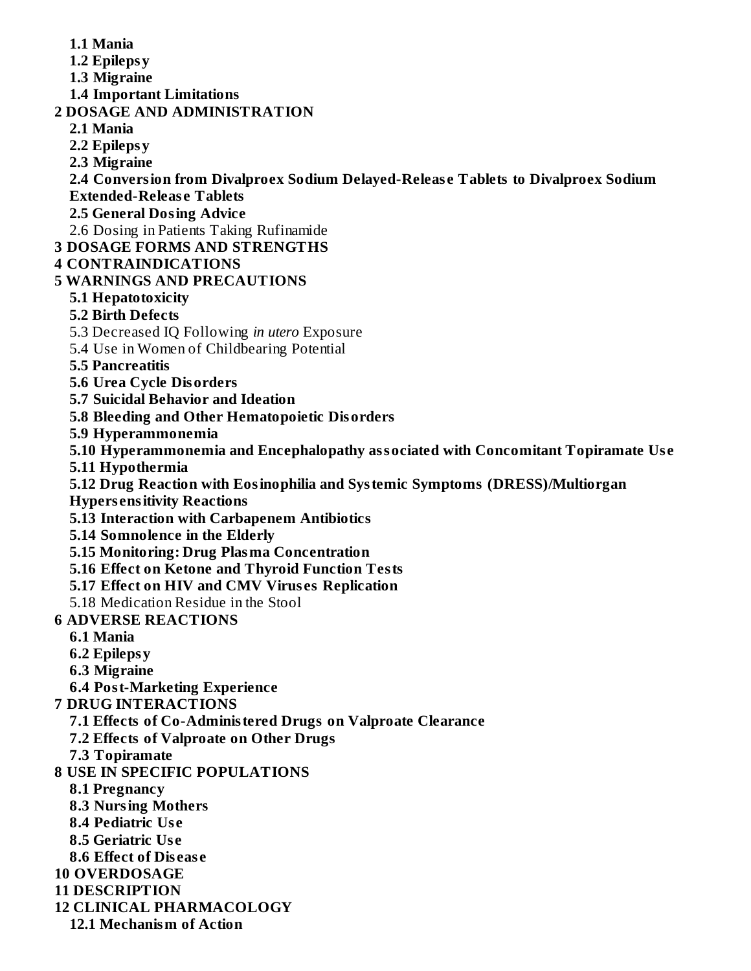- **1.1 Mania 1.2 Epilepsy 1.3 Migraine 1.4 Important Limitations 2 DOSAGE AND ADMINISTRATION 2.1 Mania 2.2 Epilepsy 2.3 Migraine 2.4 Conversion from Divalproex Sodium Delayed-Releas e Tablets to Divalproex Sodium Extended-Releas e Tablets 2.5 General Dosing Advice** 2.6 Dosing in Patients Taking Rufinamide **3 DOSAGE FORMS AND STRENGTHS 4 CONTRAINDICATIONS 5 WARNINGS AND PRECAUTIONS 5.1 Hepatotoxicity 5.2 Birth Defects** 5.3 Decreased IQ Following *in utero* Exposure 5.4 Use in Women of Childbearing Potential **5.5 Pancreatitis 5.6 Urea Cycle Disorders 5.7 Suicidal Behavior and Ideation 5.8 Bleeding and Other Hematopoietic Disorders 5.9 Hyperammonemia 5.10 Hyperammonemia and Encephalopathy associated with Concomitant Topiramate Us e 5.11 Hypothermia 5.12 Drug Reaction with Eosinophilia and Systemic Symptoms (DRESS)/Multiorgan**
	- **Hypers ensitivity Reactions**
	- **5.13 Interaction with Carbapenem Antibiotics**
	- **5.14 Somnolence in the Elderly**
	- **5.15 Monitoring: Drug Plasma Concentration**
	- **5.16 Effect on Ketone and Thyroid Function Tests**
	- **5.17 Effect on HIV and CMV Virus es Replication**
	- 5.18 Medication Residue in the Stool
- **6 ADVERSE REACTIONS**
	- **6.1 Mania**
	- **6.2 Epilepsy**
	- **6.3 Migraine**
	- **6.4 Post-Marketing Experience**
- **7 DRUG INTERACTIONS**
	- **7.1 Effects of Co-Administered Drugs on Valproate Clearance**
	- **7.2 Effects of Valproate on Other Drugs**
	- **7.3 Topiramate**
- **8 USE IN SPECIFIC POPULATIONS**
	- **8.1 Pregnancy**
	- **8.3 Nursing Mothers**
	- **8.4 Pediatric Us e**
	- **8.5 Geriatric Us e**
	- **8.6 Effect of Dis eas e**
- **10 OVERDOSAGE**
- **11 DESCRIPTION**
- **12 CLINICAL PHARMACOLOGY**
	- **12.1 Mechanism of Action**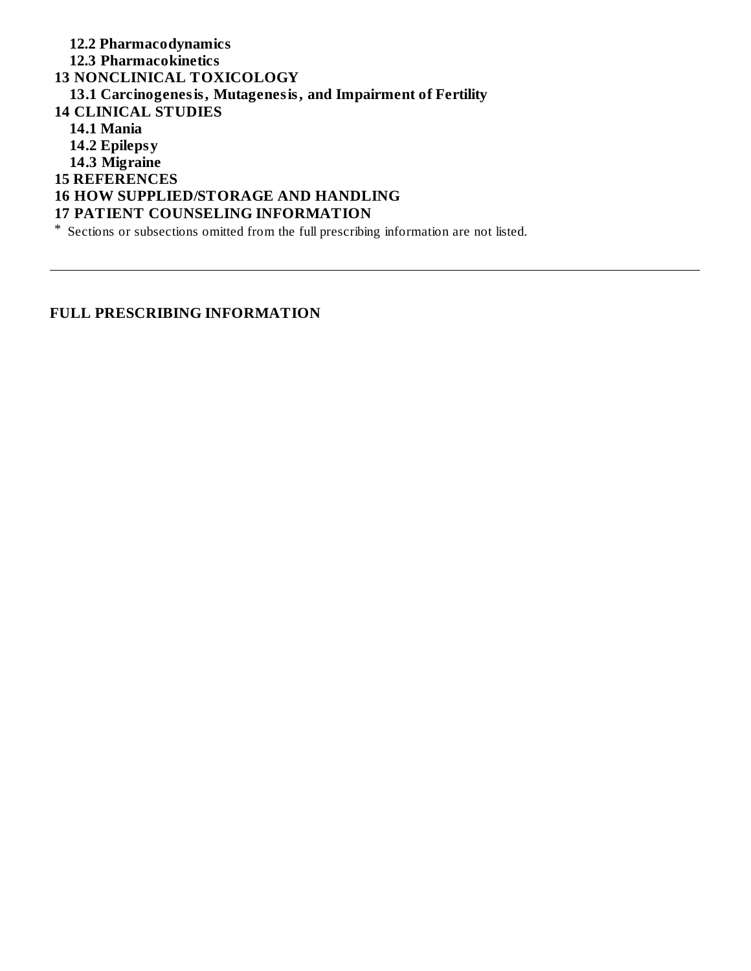**12.2 Pharmacodynamics 12.3 Pharmacokinetics 13 NONCLINICAL TOXICOLOGY 13.1 Carcinogenesis, Mutagenesis, and Impairment of Fertility 14 CLINICAL STUDIES 14.1 Mania 14.2 Epilepsy 14.3 Migraine 15 REFERENCES 16 HOW SUPPLIED/STORAGE AND HANDLING 17 PATIENT COUNSELING INFORMATION** \* Sections or subsections omitted from the full prescribing information are not listed.

#### **FULL PRESCRIBING INFORMATION**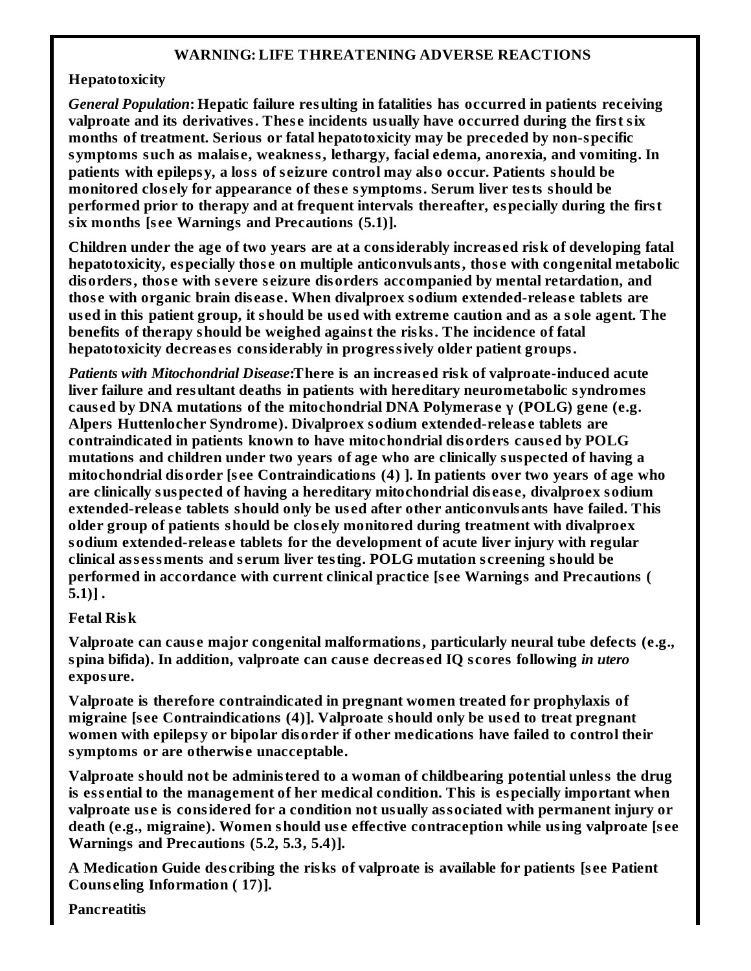#### **WARNING: LIFE THREATENING ADVERSE REACTIONS**

#### **Hepatotoxicity**

*General Population***: Hepatic failure resulting in fatalities has occurred in patients receiving valproate and its derivatives. Thes e incidents usually have occurred during the first six months of treatment. Serious or fatal hepatotoxicity may be preceded by non-specific symptoms such as malais e, weakness, lethargy, facial edema, anorexia, and vomiting. In patients with epilepsy, a loss of s eizure control may also occur. Patients should be monitored clos ely for appearance of thes e symptoms. Serum liver tests should be performed prior to therapy and at frequent intervals thereafter, especially during the first six months [s ee Warnings and Precautions (5.1)].**

**Children under the age of two years are at a considerably increas ed risk of developing fatal hepatotoxicity, especially thos e on multiple anticonvulsants, thos e with congenital metabolic disorders, thos e with s evere s eizure disorders accompanied by mental retardation, and thos e with organic brain dis eas e. When divalproex sodium extended-releas e tablets are** used in this patient group, it should be used with extreme caution and as a sole agent. The **benefits of therapy should be weighed against the risks. The incidence of fatal hepatotoxicity decreas es considerably in progressively older patient groups.**

*Patients with Mitochondrial Disease***:There is an increas ed risk of valproate-induced acute liver failure and resultant deaths in patients with hereditary neurometabolic syndromes caus ed by DNA mutations of the mitochondrial DNA Polymeras e γ (POLG) gene (e.g. Alpers Huttenlocher Syndrome). Divalproex sodium extended-releas e tablets are contraindicated in patients known to have mitochondrial disorders caus ed by POLG mutations and children under two years of age who are clinically suspected of having a mitochondrial disorder [s ee Contraindications (4) ]. In patients over two years of age who are clinically suspected of having a hereditary mitochondrial dis eas e, divalproex sodium extended-releas e tablets should only be us ed after other anticonvulsants have failed. This older group of patients should be clos ely monitored during treatment with divalproex sodium extended-releas e tablets for the development of acute liver injury with regular clinical ass essments and s erum liver testing. POLG mutation s creening should be performed in accordance with current clinical practice [s ee Warnings and Precautions ( 5.1)] .**

#### **Fetal Risk**

**Valproate can caus e major congenital malformations, particularly neural tube defects (e.g., spina bifida). In addition, valproate can caus e decreas ed IQ s cores following** *in utero* **exposure.**

**Valproate is therefore contraindicated in pregnant women treated for prophylaxis of migraine [s ee Contraindications (4)]. Valproate should only be us ed to treat pregnant women with epilepsy or bipolar disorder if other medications have failed to control their symptoms or are otherwis e unacceptable.**

**Valproate should not be administered to a woman of childbearing potential unless the drug is ess ential to the management of her medical condition. This is especially important when valproate us e is considered for a condition not usually associated with permanent injury or death (e.g., migraine). Women should us e effective contraception while using valproate [s ee Warnings and Precautions (5.2, 5.3, 5.4)].**

**A Medication Guide des cribing the risks of valproate is available for patients [s ee Patient Couns eling Information ( 17)].**

**Pancreatitis**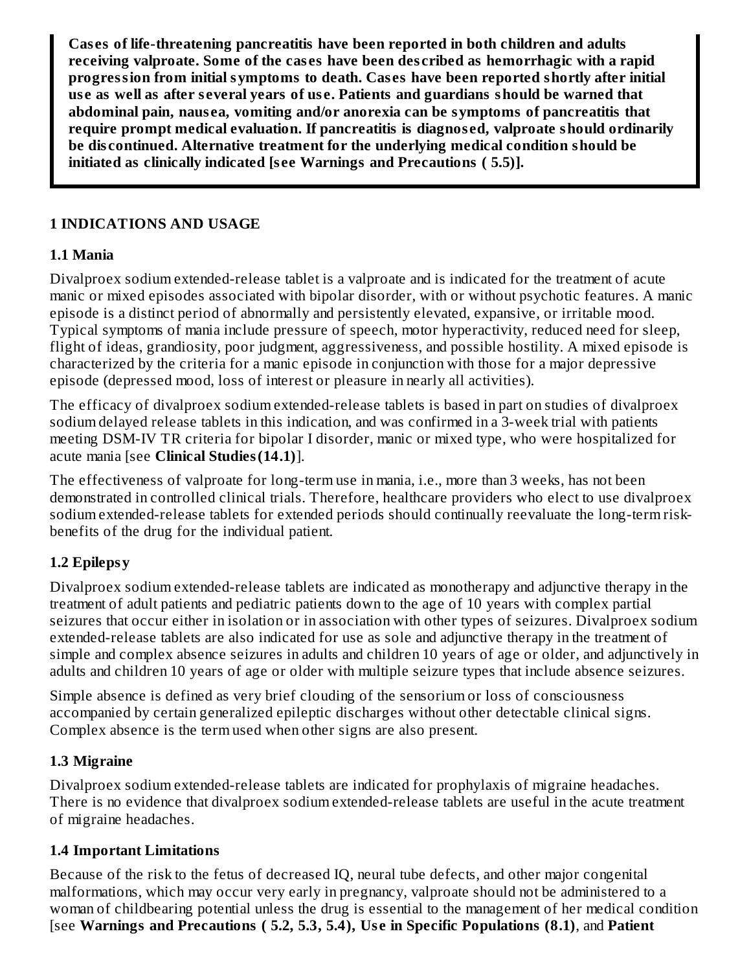**Cas es of life-threatening pancreatitis have been reported in both children and adults receiving valproate. Some of the cas es have been des cribed as hemorrhagic with a rapid progression from initial symptoms to death. Cas es have been reported shortly after initial us e as well as after s everal years of us e. Patients and guardians should be warned that abdominal pain, naus ea, vomiting and/or anorexia can be symptoms of pancreatitis that require prompt medical evaluation. If pancreatitis is diagnos ed, valproate should ordinarily be dis continued. Alternative treatment for the underlying medical condition should be initiated as clinically indicated [s ee Warnings and Precautions ( 5.5)].**

#### **1 INDICATIONS AND USAGE**

#### **1.1 Mania**

Divalproex sodium extended-release tablet is a valproate and is indicated for the treatment of acute manic or mixed episodes associated with bipolar disorder, with or without psychotic features. A manic episode is a distinct period of abnormally and persistently elevated, expansive, or irritable mood. Typical symptoms of mania include pressure of speech, motor hyperactivity, reduced need for sleep, flight of ideas, grandiosity, poor judgment, aggressiveness, and possible hostility. A mixed episode is characterized by the criteria for a manic episode in conjunction with those for a major depressive episode (depressed mood, loss of interest or pleasure in nearly all activities).

The efficacy of divalproex sodium extended-release tablets is based in part on studies of divalproex sodium delayed release tablets in this indication, and was confirmed in a 3-week trial with patients meeting DSM-IV TR criteria for bipolar I disorder, manic or mixed type, who were hospitalized for acute mania [see **Clinical Studies(14.1)**].

The effectiveness of valproate for long-term use in mania, i.e., more than 3 weeks, has not been demonstrated in controlled clinical trials. Therefore, healthcare providers who elect to use divalproex sodium extended-release tablets for extended periods should continually reevaluate the long-term riskbenefits of the drug for the individual patient.

## **1.2 Epilepsy**

Divalproex sodium extended-release tablets are indicated as monotherapy and adjunctive therapy in the treatment of adult patients and pediatric patients down to the age of 10 years with complex partial seizures that occur either in isolation or in association with other types of seizures. Divalproex sodium extended-release tablets are also indicated for use as sole and adjunctive therapy in the treatment of simple and complex absence seizures in adults and children 10 years of age or older, and adjunctively in adults and children 10 years of age or older with multiple seizure types that include absence seizures.

Simple absence is defined as very brief clouding of the sensorium or loss of consciousness accompanied by certain generalized epileptic discharges without other detectable clinical signs. Complex absence is the term used when other signs are also present.

## **1.3 Migraine**

Divalproex sodium extended-release tablets are indicated for prophylaxis of migraine headaches. There is no evidence that divalproex sodium extended-release tablets are useful in the acute treatment of migraine headaches.

## **1.4 Important Limitations**

Because of the risk to the fetus of decreased IQ, neural tube defects, and other major congenital malformations, which may occur very early in pregnancy, valproate should not be administered to a woman of childbearing potential unless the drug is essential to the management of her medical condition [see **Warnings and Precautions ( 5.2, 5.3, 5.4), Us e in Specific Populations (8.1)**, and **Patient**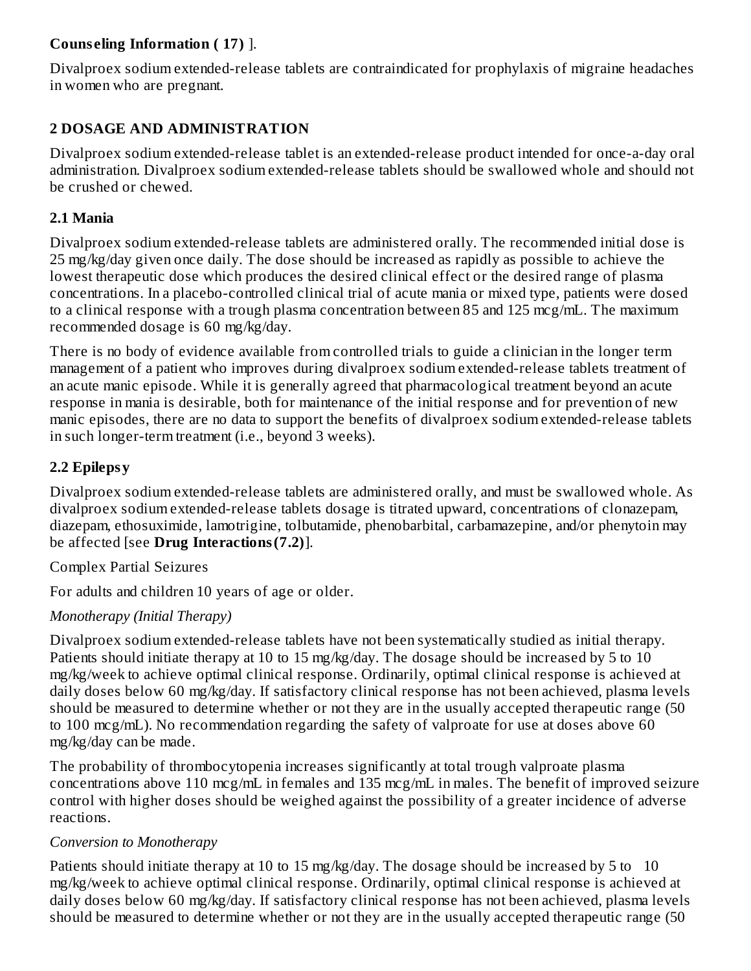## **Couns eling Information ( 17)** ].

Divalproex sodium extended-release tablets are contraindicated for prophylaxis of migraine headaches in women who are pregnant.

## **2 DOSAGE AND ADMINISTRATION**

Divalproex sodium extended-release tablet is an extended-release product intended for once-a-day oral administration. Divalproex sodium extended-release tablets should be swallowed whole and should not be crushed or chewed.

#### **2.1 Mania**

Divalproex sodium extended-release tablets are administered orally. The recommended initial dose is 25 mg/kg/day given once daily. The dose should be increased as rapidly as possible to achieve the lowest therapeutic dose which produces the desired clinical effect or the desired range of plasma concentrations. In a placebo-controlled clinical trial of acute mania or mixed type, patients were dosed to a clinical response with a trough plasma concentration between 85 and 125 mcg/mL. The maximum recommended dosage is 60 mg/kg/day.

There is no body of evidence available from controlled trials to guide a clinician in the longer term management of a patient who improves during divalproex sodium extended-release tablets treatment of an acute manic episode. While it is generally agreed that pharmacological treatment beyond an acute response in mania is desirable, both for maintenance of the initial response and for prevention of new manic episodes, there are no data to support the benefits of divalproex sodium extended-release tablets in such longer-term treatment (i.e., beyond 3 weeks).

## **2.2 Epilepsy**

Divalproex sodium extended-release tablets are administered orally, and must be swallowed whole. As divalproex sodium extended-release tablets dosage is titrated upward, concentrations of clonazepam, diazepam, ethosuximide, lamotrigine, tolbutamide, phenobarbital, carbamazepine, and/or phenytoin may be affected [see **Drug Interactions(7.2)**].

Complex Partial Seizures

For adults and children 10 years of age or older.

## *Monotherapy (Initial Therapy)*

Divalproex sodium extended-release tablets have not been systematically studied as initial therapy. Patients should initiate therapy at 10 to 15 mg/kg/day. The dosage should be increased by 5 to 10 mg/kg/week to achieve optimal clinical response. Ordinarily, optimal clinical response is achieved at daily doses below 60 mg/kg/day. If satisfactory clinical response has not been achieved, plasma levels should be measured to determine whether or not they are in the usually accepted therapeutic range (50 to 100 mcg/mL). No recommendation regarding the safety of valproate for use at doses above 60 mg/kg/day can be made.

The probability of thrombocytopenia increases significantly at total trough valproate plasma concentrations above 110 mcg/mL in females and 135 mcg/mL in males. The benefit of improved seizure control with higher doses should be weighed against the possibility of a greater incidence of adverse reactions.

## *Conversion to Monotherapy*

Patients should initiate therapy at 10 to 15 mg/kg/day. The dosage should be increased by 5 to 10 mg/kg/week to achieve optimal clinical response. Ordinarily, optimal clinical response is achieved at daily doses below 60 mg/kg/day. If satisfactory clinical response has not been achieved, plasma levels should be measured to determine whether or not they are in the usually accepted therapeutic range (50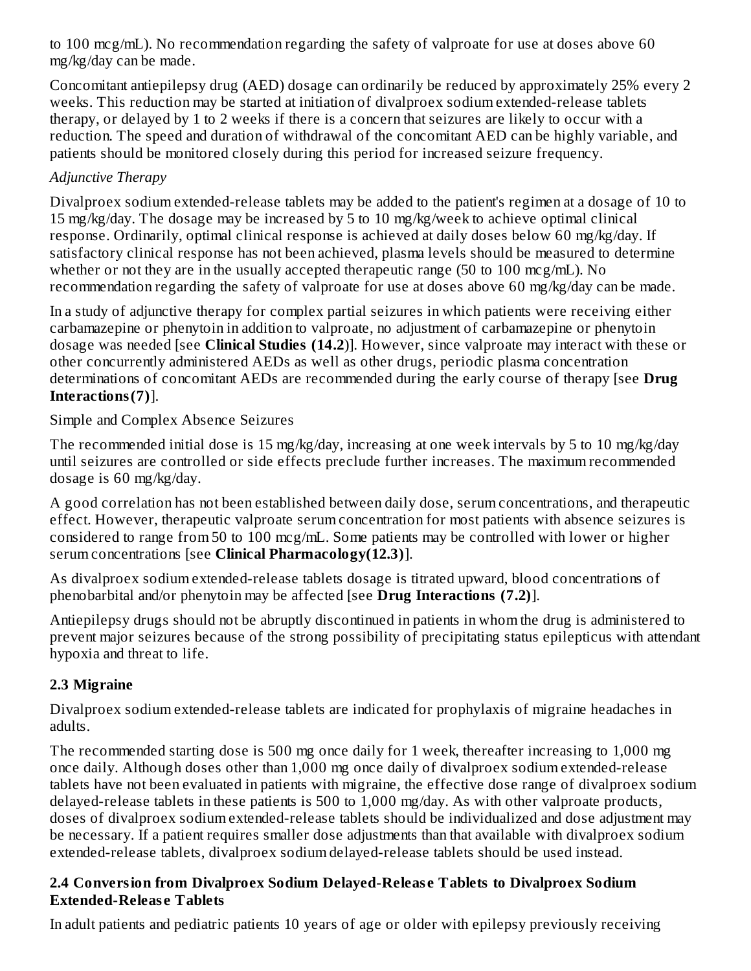to 100 mcg/mL). No recommendation regarding the safety of valproate for use at doses above 60 mg/kg/day can be made.

Concomitant antiepilepsy drug (AED) dosage can ordinarily be reduced by approximately 25% every 2 weeks. This reduction may be started at initiation of divalproex sodium extended-release tablets therapy, or delayed by 1 to 2 weeks if there is a concern that seizures are likely to occur with a reduction. The speed and duration of withdrawal of the concomitant AED can be highly variable, and patients should be monitored closely during this period for increased seizure frequency.

## *Adjunctive Therapy*

Divalproex sodium extended-release tablets may be added to the patient's regimen at a dosage of 10 to 15 mg/kg/day. The dosage may be increased by 5 to 10 mg/kg/week to achieve optimal clinical response. Ordinarily, optimal clinical response is achieved at daily doses below 60 mg/kg/day. If satisfactory clinical response has not been achieved, plasma levels should be measured to determine whether or not they are in the usually accepted therapeutic range (50 to 100 mcg/mL). No recommendation regarding the safety of valproate for use at doses above 60 mg/kg/day can be made.

In a study of adjunctive therapy for complex partial seizures in which patients were receiving either carbamazepine or phenytoin in addition to valproate, no adjustment of carbamazepine or phenytoin dosage was needed [see **Clinical Studies (14.2**)]. However, since valproate may interact with these or other concurrently administered AEDs as well as other drugs, periodic plasma concentration determinations of concomitant AEDs are recommended during the early course of therapy [see **Drug Interactions(7)**].

Simple and Complex Absence Seizures

The recommended initial dose is 15 mg/kg/day, increasing at one week intervals by 5 to 10 mg/kg/day until seizures are controlled or side effects preclude further increases. The maximum recommended dosage is 60 mg/kg/day.

A good correlation has not been established between daily dose, serum concentrations, and therapeutic effect. However, therapeutic valproate serum concentration for most patients with absence seizures is considered to range from 50 to 100 mcg/mL. Some patients may be controlled with lower or higher serum concentrations [see **Clinical Pharmacology(12.3)**].

As divalproex sodium extended-release tablets dosage is titrated upward, blood concentrations of phenobarbital and/or phenytoin may be affected [see **Drug Interactions (7.2)**].

Antiepilepsy drugs should not be abruptly discontinued in patients in whom the drug is administered to prevent major seizures because of the strong possibility of precipitating status epilepticus with attendant hypoxia and threat to life.

## **2.3 Migraine**

Divalproex sodium extended-release tablets are indicated for prophylaxis of migraine headaches in adults.

The recommended starting dose is 500 mg once daily for 1 week, thereafter increasing to 1,000 mg once daily. Although doses other than 1,000 mg once daily of divalproex sodium extended-release tablets have not been evaluated in patients with migraine, the effective dose range of divalproex sodium delayed-release tablets in these patients is 500 to 1,000 mg/day. As with other valproate products, doses of divalproex sodium extended-release tablets should be individualized and dose adjustment may be necessary. If a patient requires smaller dose adjustments than that available with divalproex sodium extended-release tablets, divalproex sodium delayed-release tablets should be used instead.

#### **2.4 Conversion from Divalproex Sodium Delayed-Releas e Tablets to Divalproex Sodium Extended-Releas e Tablets**

In adult patients and pediatric patients 10 years of age or older with epilepsy previously receiving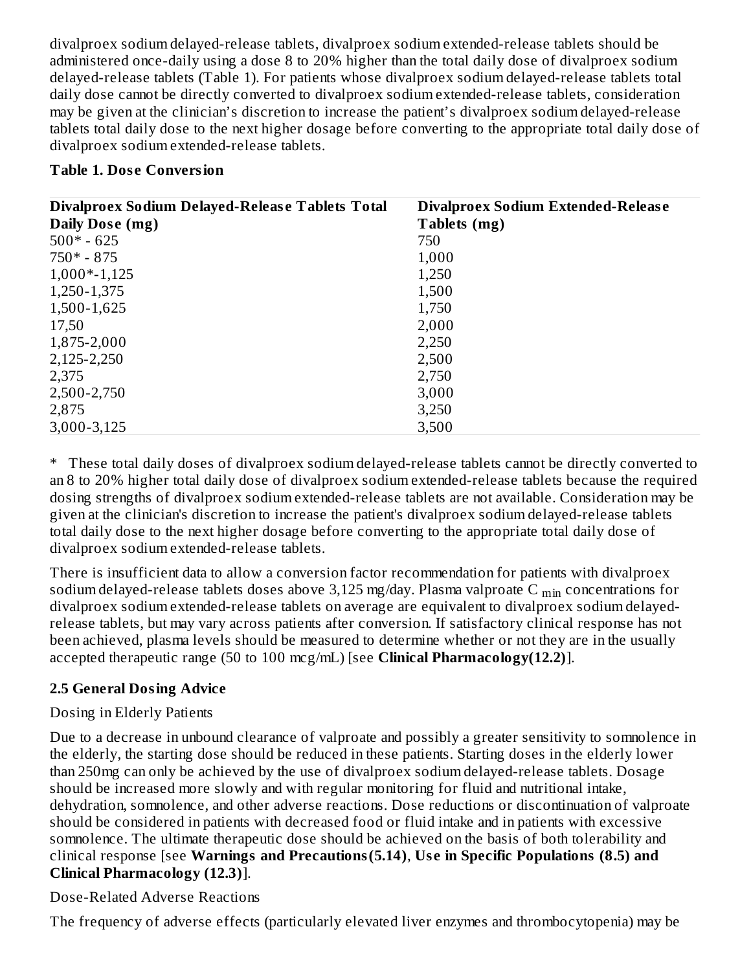divalproex sodium delayed-release tablets, divalproex sodium extended-release tablets should be administered once-daily using a dose 8 to 20% higher than the total daily dose of divalproex sodium delayed-release tablets (Table 1). For patients whose divalproex sodium delayed-release tablets total daily dose cannot be directly converted to divalproex sodium extended-release tablets, consideration may be given at the clinician's discretion to increase the patient's divalproex sodium delayed-release tablets total daily dose to the next higher dosage before converting to the appropriate total daily dose of divalproex sodium extended-release tablets.

#### **Table 1. Dos e Conversion**

| Divalproex Sodium Delayed-Release Tablets Total | Divalproex Sodium Extended-Release |
|-------------------------------------------------|------------------------------------|
| Daily Dose (mg)                                 | Tablets (mg)                       |
| $500* - 625$                                    | 750                                |
| $750* - 875$                                    | 1,000                              |
| $1,000*-1,125$                                  | 1,250                              |
| 1,250-1,375                                     | 1,500                              |
| 1,500-1,625                                     | 1,750                              |
| 17,50                                           | 2,000                              |
| 1,875-2,000                                     | 2,250                              |
| 2,125-2,250                                     | 2,500                              |
| 2,375                                           | 2,750                              |
| 2,500-2,750                                     | 3,000                              |
| 2,875                                           | 3,250                              |
| 3,000-3,125                                     | 3,500                              |

\* These total daily doses of divalproex sodium delayed-release tablets cannot be directly converted to an 8 to 20% higher total daily dose of divalproex sodium extended-release tablets because the required dosing strengths of divalproex sodium extended-release tablets are not available. Consideration may be given at the clinician's discretion to increase the patient's divalproex sodium delayed-release tablets total daily dose to the next higher dosage before converting to the appropriate total daily dose of divalproex sodium extended-release tablets.

There is insufficient data to allow a conversion factor recommendation for patients with divalproex sodium delayed-release tablets doses above 3,125 mg/day. Plasma valproate C  $_{\rm min}$  concentrations for divalproex sodium extended-release tablets on average are equivalent to divalproex sodium delayedrelease tablets, but may vary across patients after conversion. If satisfactory clinical response has not been achieved, plasma levels should be measured to determine whether or not they are in the usually accepted therapeutic range (50 to 100 mcg/mL) [see **Clinical Pharmacology(12.2)**].

## **2.5 General Dosing Advice**

## Dosing in Elderly Patients

Due to a decrease in unbound clearance of valproate and possibly a greater sensitivity to somnolence in the elderly, the starting dose should be reduced in these patients. Starting doses in the elderly lower than 250mg can only be achieved by the use of divalproex sodium delayed-release tablets. Dosage should be increased more slowly and with regular monitoring for fluid and nutritional intake, dehydration, somnolence, and other adverse reactions. Dose reductions or discontinuation of valproate should be considered in patients with decreased food or fluid intake and in patients with excessive somnolence. The ultimate therapeutic dose should be achieved on the basis of both tolerability and clinical response [see **Warnings and Precautions(5.14)**, **Us e in Specific Populations (8.5) and Clinical Pharmacology (12.3)**].

Dose-Related Adverse Reactions

The frequency of adverse effects (particularly elevated liver enzymes and thrombocytopenia) may be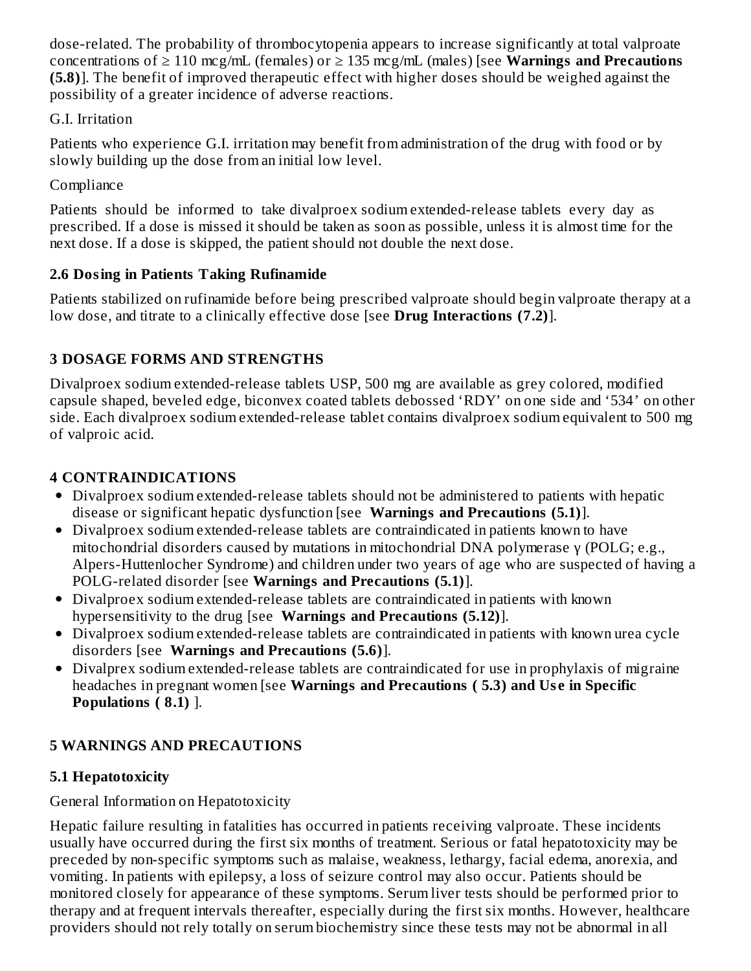dose-related. The probability of thrombocytopenia appears to increase significantly at total valproate concentrations of ≥ 110 mcg/mL (females) or ≥ 135 mcg/mL (males) [see **Warnings and Precautions (5.8)**]. The benefit of improved therapeutic effect with higher doses should be weighed against the possibility of a greater incidence of adverse reactions.

## G.I. Irritation

Patients who experience G.I. irritation may benefit from administration of the drug with food or by slowly building up the dose from an initial low level.

# **Compliance**

Patients should be informed to take divalproex sodium extended-release tablets every day as prescribed. If a dose is missed it should be taken as soon as possible, unless it is almost time for the next dose. If a dose is skipped, the patient should not double the next dose.

## **2.6 Dosing in Patients Taking Rufinamide**

Patients stabilized on rufinamide before being prescribed valproate should begin valproate therapy at a low dose, and titrate to a clinically effective dose [see **Drug Interactions (7.2)**].

## **3 DOSAGE FORMS AND STRENGTHS**

Divalproex sodium extended-release tablets USP, 500 mg are available as grey colored, modified capsule shaped, beveled edge, biconvex coated tablets debossed 'RDY' on one side and '534' on other side. Each divalproex sodium extended-release tablet contains divalproex sodium equivalent to 500 mg of valproic acid.

# **4 CONTRAINDICATIONS**

- Divalproex sodium extended-release tablets should not be administered to patients with hepatic disease or significant hepatic dysfunction [see **Warnings and Precautions (5.1)**].
- Divalproex sodium extended-release tablets are contraindicated in patients known to have mitochondrial disorders caused by mutations in mitochondrial DNA polymerase γ (POLG; e.g., Alpers-Huttenlocher Syndrome) and children under two years of age who are suspected of having a POLG-related disorder [see **Warnings and Precautions (5.1)**].
- Divalproex sodium extended-release tablets are contraindicated in patients with known hypersensitivity to the drug [see **Warnings and Precautions (5.12)**].
- Divalproex sodium extended-release tablets are contraindicated in patients with known urea cycle disorders [see **Warnings and Precautions (5.6)**].
- Divalprex sodium extended-release tablets are contraindicated for use in prophylaxis of migraine headaches in pregnant women [see **Warnings and Precautions ( 5.3) and Us e in Specific Populations ( 8.1)** ].

# **5 WARNINGS AND PRECAUTIONS**

# **5.1 Hepatotoxicity**

## General Information on Hepatotoxicity

Hepatic failure resulting in fatalities has occurred in patients receiving valproate. These incidents usually have occurred during the first six months of treatment. Serious or fatal hepatotoxicity may be preceded by non-specific symptoms such as malaise, weakness, lethargy, facial edema, anorexia, and vomiting. In patients with epilepsy, a loss of seizure control may also occur. Patients should be monitored closely for appearance of these symptoms. Serum liver tests should be performed prior to therapy and at frequent intervals thereafter, especially during the first six months. However, healthcare providers should not rely totally on serum biochemistry since these tests may not be abnormal in all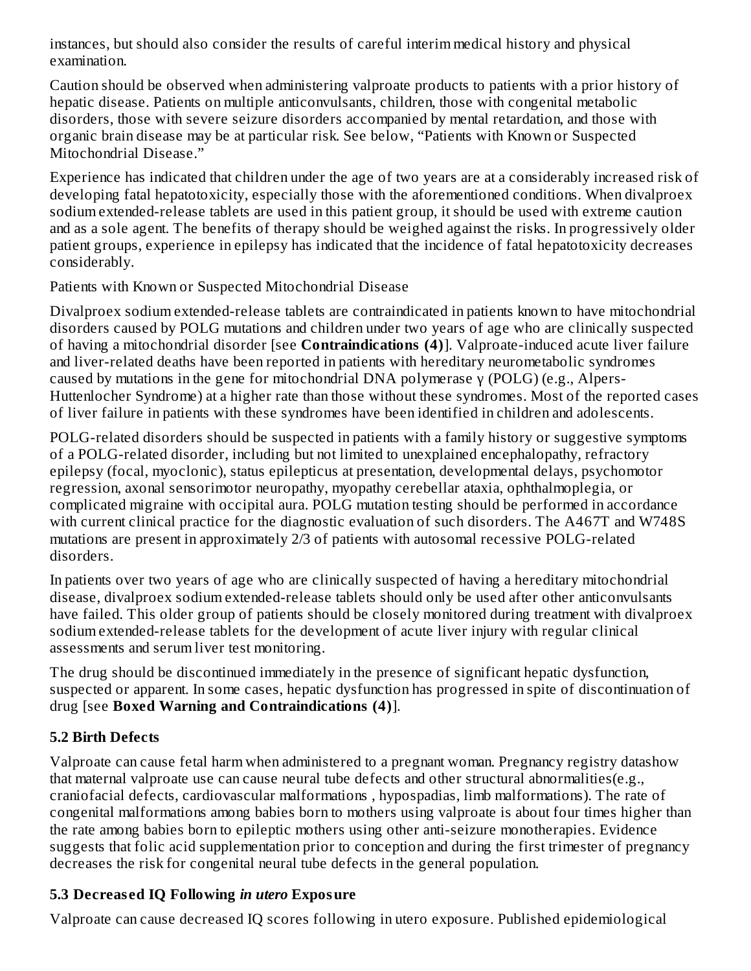instances, but should also consider the results of careful interim medical history and physical examination.

Caution should be observed when administering valproate products to patients with a prior history of hepatic disease. Patients on multiple anticonvulsants, children, those with congenital metabolic disorders, those with severe seizure disorders accompanied by mental retardation, and those with organic brain disease may be at particular risk. See below, "Patients with Known or Suspected Mitochondrial Disease."

Experience has indicated that children under the age of two years are at a considerably increased risk of developing fatal hepatotoxicity, especially those with the aforementioned conditions. When divalproex sodium extended-release tablets are used in this patient group, it should be used with extreme caution and as a sole agent. The benefits of therapy should be weighed against the risks. In progressively older patient groups, experience in epilepsy has indicated that the incidence of fatal hepatotoxicity decreases considerably.

Patients with Known or Suspected Mitochondrial Disease

Divalproex sodium extended-release tablets are contraindicated in patients known to have mitochondrial disorders caused by POLG mutations and children under two years of age who are clinically suspected of having a mitochondrial disorder [see **Contraindications (4)**]. Valproate-induced acute liver failure and liver-related deaths have been reported in patients with hereditary neurometabolic syndromes caused by mutations in the gene for mitochondrial DNA polymerase γ (POLG) (e.g., Alpers-Huttenlocher Syndrome) at a higher rate than those without these syndromes. Most of the reported cases of liver failure in patients with these syndromes have been identified in children and adolescents.

POLG-related disorders should be suspected in patients with a family history or suggestive symptoms of a POLG-related disorder, including but not limited to unexplained encephalopathy, refractory epilepsy (focal, myoclonic), status epilepticus at presentation, developmental delays, psychomotor regression, axonal sensorimotor neuropathy, myopathy cerebellar ataxia, ophthalmoplegia, or complicated migraine with occipital aura. POLG mutation testing should be performed in accordance with current clinical practice for the diagnostic evaluation of such disorders. The A467T and W748S mutations are present in approximately 2/3 of patients with autosomal recessive POLG-related disorders.

In patients over two years of age who are clinically suspected of having a hereditary mitochondrial disease, divalproex sodium extended-release tablets should only be used after other anticonvulsants have failed. This older group of patients should be closely monitored during treatment with divalproex sodium extended-release tablets for the development of acute liver injury with regular clinical assessments and serum liver test monitoring.

The drug should be discontinued immediately in the presence of significant hepatic dysfunction, suspected or apparent. In some cases, hepatic dysfunction has progressed in spite of discontinuation of drug [see **Boxed Warning and Contraindications (4)**].

# **5.2 Birth Defects**

Valproate can cause fetal harm when administered to a pregnant woman. Pregnancy registry datashow that maternal valproate use can cause neural tube defects and other structural abnormalities(e.g., craniofacial defects, cardiovascular malformations , hypospadias, limb malformations). The rate of congenital malformations among babies born to mothers using valproate is about four times higher than the rate among babies born to epileptic mothers using other anti-seizure monotherapies. Evidence suggests that folic acid supplementation prior to conception and during the first trimester of pregnancy decreases the risk for congenital neural tube defects in the general population.

# **5.3 Decreas ed IQ Following** *in utero* **Exposure**

Valproate can cause decreased IQ scores following in utero exposure. Published epidemiological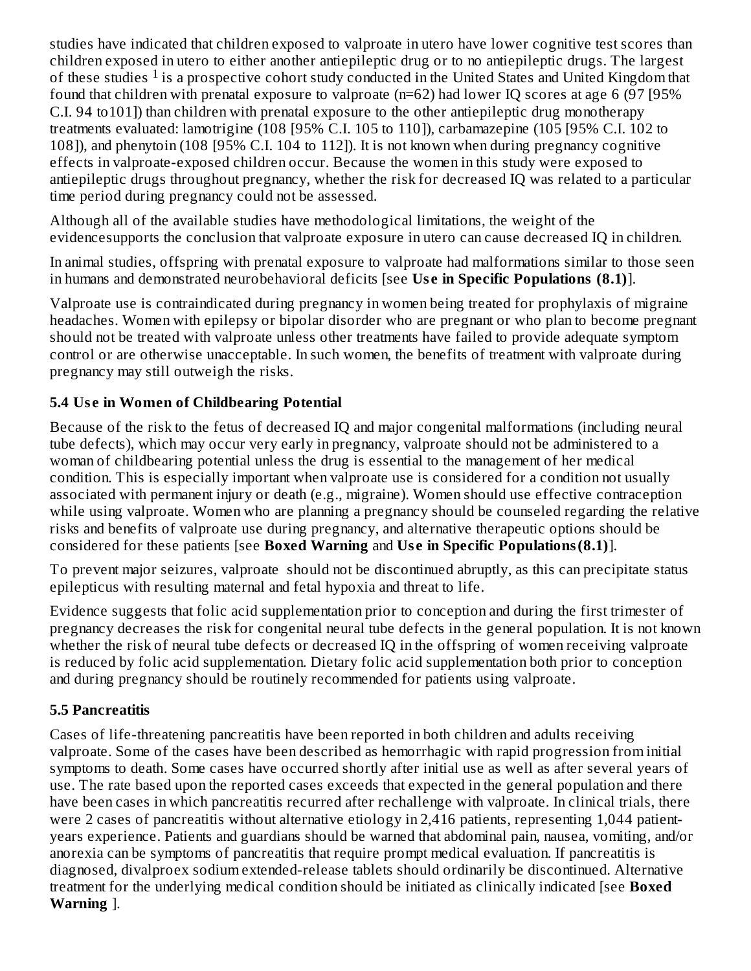studies have indicated that children exposed to valproate in utero have lower cognitive test scores than children exposed in utero to either another antiepileptic drug or to no antiepileptic drugs. The largest of these studies  $1$  is a prospective cohort study conducted in the United States and United Kingdom that found that children with prenatal exposure to valproate (n=62) had lower IQ scores at age 6 (97 [95% C.I. 94 to101]) than children with prenatal exposure to the other antiepileptic drug monotherapy treatments evaluated: lamotrigine (108 [95% C.I. 105 to 110]), carbamazepine (105 [95% C.I. 102 to 108]), and phenytoin (108 [95% C.I. 104 to 112]). It is not known when during pregnancy cognitive effects in valproate-exposed children occur. Because the women in this study were exposed to antiepileptic drugs throughout pregnancy, whether the risk for decreased IQ was related to a particular time period during pregnancy could not be assessed.

Although all of the available studies have methodological limitations, the weight of the evidencesupports the conclusion that valproate exposure in utero can cause decreased IQ in children.

In animal studies, offspring with prenatal exposure to valproate had malformations similar to those seen in humans and demonstrated neurobehavioral deficits [see **Us e in Specific Populations (8.1)**].

Valproate use is contraindicated during pregnancy in women being treated for prophylaxis of migraine headaches. Women with epilepsy or bipolar disorder who are pregnant or who plan to become pregnant should not be treated with valproate unless other treatments have failed to provide adequate symptom control or are otherwise unacceptable. In such women, the benefits of treatment with valproate during pregnancy may still outweigh the risks.

## **5.4 Us e in Women of Childbearing Potential**

Because of the risk to the fetus of decreased IQ and major congenital malformations (including neural tube defects), which may occur very early in pregnancy, valproate should not be administered to a woman of childbearing potential unless the drug is essential to the management of her medical condition. This is especially important when valproate use is considered for a condition not usually associated with permanent injury or death (e.g., migraine). Women should use effective contraception while using valproate. Women who are planning a pregnancy should be counseled regarding the relative risks and benefits of valproate use during pregnancy, and alternative therapeutic options should be considered for these patients [see **Boxed Warning** and **Us e in Specific Populations(8.1)**].

To prevent major seizures, valproate should not be discontinued abruptly, as this can precipitate status epilepticus with resulting maternal and fetal hypoxia and threat to life.

Evidence suggests that folic acid supplementation prior to conception and during the first trimester of pregnancy decreases the risk for congenital neural tube defects in the general population. It is not known whether the risk of neural tube defects or decreased IQ in the offspring of women receiving valproate is reduced by folic acid supplementation. Dietary folic acid supplementation both prior to conception and during pregnancy should be routinely recommended for patients using valproate.

#### **5.5 Pancreatitis**

Cases of life-threatening pancreatitis have been reported in both children and adults receiving valproate. Some of the cases have been described as hemorrhagic with rapid progression from initial symptoms to death. Some cases have occurred shortly after initial use as well as after several years of use. The rate based upon the reported cases exceeds that expected in the general population and there have been cases in which pancreatitis recurred after rechallenge with valproate. In clinical trials, there were 2 cases of pancreatitis without alternative etiology in 2,416 patients, representing 1,044 patientyears experience. Patients and guardians should be warned that abdominal pain, nausea, vomiting, and/or anorexia can be symptoms of pancreatitis that require prompt medical evaluation. If pancreatitis is diagnosed, divalproex sodium extended-release tablets should ordinarily be discontinued. Alternative treatment for the underlying medical condition should be initiated as clinically indicated [see **Boxed Warning** ].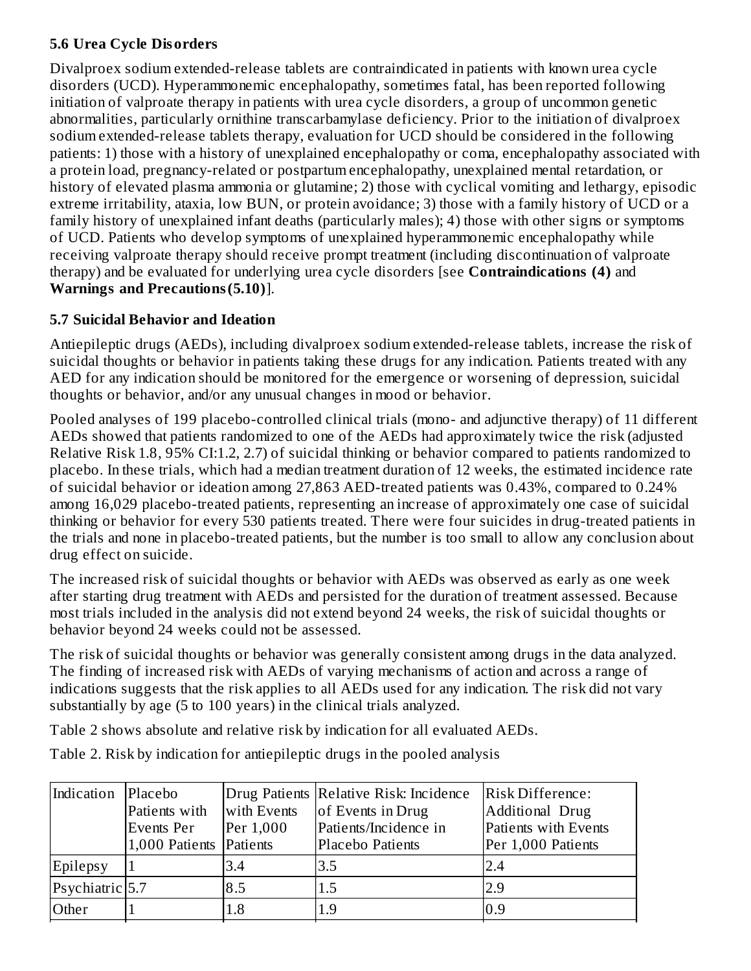## **5.6 Urea Cycle Disorders**

Divalproex sodium extended-release tablets are contraindicated in patients with known urea cycle disorders (UCD). Hyperammonemic encephalopathy, sometimes fatal, has been reported following initiation of valproate therapy in patients with urea cycle disorders, a group of uncommon genetic abnormalities, particularly ornithine transcarbamylase deficiency. Prior to the initiation of divalproex sodium extended-release tablets therapy, evaluation for UCD should be considered in the following patients: 1) those with a history of unexplained encephalopathy or coma, encephalopathy associated with a protein load, pregnancy-related or postpartum encephalopathy, unexplained mental retardation, or history of elevated plasma ammonia or glutamine; 2) those with cyclical vomiting and lethargy, episodic extreme irritability, ataxia, low BUN, or protein avoidance; 3) those with a family history of UCD or a family history of unexplained infant deaths (particularly males); 4) those with other signs or symptoms of UCD. Patients who develop symptoms of unexplained hyperammonemic encephalopathy while receiving valproate therapy should receive prompt treatment (including discontinuation of valproate therapy) and be evaluated for underlying urea cycle disorders [see **Contraindications (4)** and **Warnings and Precautions(5.10)**].

## **5.7 Suicidal Behavior and Ideation**

Antiepileptic drugs (AEDs), including divalproex sodium extended-release tablets, increase the risk of suicidal thoughts or behavior in patients taking these drugs for any indication. Patients treated with any AED for any indication should be monitored for the emergence or worsening of depression, suicidal thoughts or behavior, and/or any unusual changes in mood or behavior.

Pooled analyses of 199 placebo-controlled clinical trials (mono- and adjunctive therapy) of 11 different AEDs showed that patients randomized to one of the AEDs had approximately twice the risk (adjusted Relative Risk 1.8, 95% CI:1.2, 2.7) of suicidal thinking or behavior compared to patients randomized to placebo. In these trials, which had a median treatment duration of 12 weeks, the estimated incidence rate of suicidal behavior or ideation among 27,863 AED-treated patients was 0.43%, compared to 0.24% among 16,029 placebo-treated patients, representing an increase of approximately one case of suicidal thinking or behavior for every 530 patients treated. There were four suicides in drug-treated patients in the trials and none in placebo-treated patients, but the number is too small to allow any conclusion about drug effect on suicide.

The increased risk of suicidal thoughts or behavior with AEDs was observed as early as one week after starting drug treatment with AEDs and persisted for the duration of treatment assessed. Because most trials included in the analysis did not extend beyond 24 weeks, the risk of suicidal thoughts or behavior beyond 24 weeks could not be assessed.

The risk of suicidal thoughts or behavior was generally consistent among drugs in the data analyzed. The finding of increased risk with AEDs of varying mechanisms of action and across a range of indications suggests that the risk applies to all AEDs used for any indication. The risk did not vary substantially by age (5 to 100 years) in the clinical trials analyzed.

Table 2 shows absolute and relative risk by indication for all evaluated AEDs.

Table 2. Risk by indication for antiepileptic drugs in the pooled analysis

| Indication      | Placebo<br>Patients with<br>Events Per<br>1,000 Patients Patients | with Events<br>Per 1,000 | Drug Patients   Relative Risk: Incidence<br>of Events in Drug<br>Patients/Incidence in<br>Placebo Patients | Risk Difference:<br>Additional Drug<br>Patients with Events<br>Per 1,000 Patients |
|-----------------|-------------------------------------------------------------------|--------------------------|------------------------------------------------------------------------------------------------------------|-----------------------------------------------------------------------------------|
| Epilepsy        |                                                                   | 3.4                      | 3.5                                                                                                        | 2.4                                                                               |
| Psychiatric 5.7 |                                                                   | 8.5                      | 1.5                                                                                                        | 2.9                                                                               |
| Other           |                                                                   | $1.8\,$                  | 1.9                                                                                                        | 0.9                                                                               |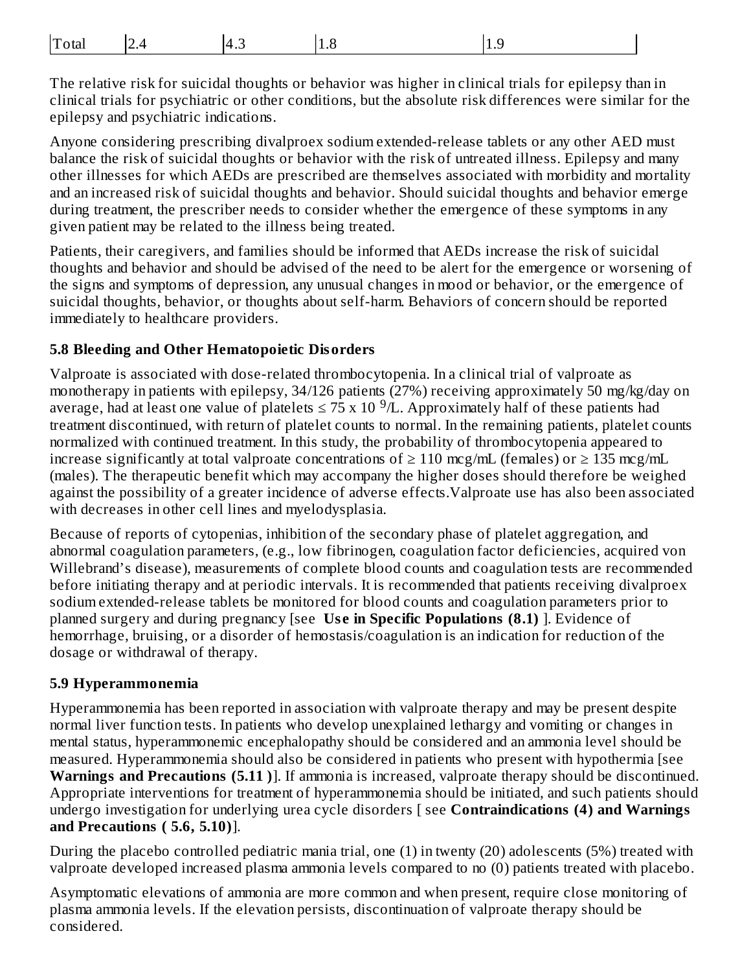| Total<br>$\Lambda$<br>т.∟<br>-- - | t.c | ึ⊥∙ ∪ |
|-----------------------------------|-----|-------|
|-----------------------------------|-----|-------|

The relative risk for suicidal thoughts or behavior was higher in clinical trials for epilepsy than in clinical trials for psychiatric or other conditions, but the absolute risk differences were similar for the epilepsy and psychiatric indications.

Anyone considering prescribing divalproex sodium extended-release tablets or any other AED must balance the risk of suicidal thoughts or behavior with the risk of untreated illness. Epilepsy and many other illnesses for which AEDs are prescribed are themselves associated with morbidity and mortality and an increased risk of suicidal thoughts and behavior. Should suicidal thoughts and behavior emerge during treatment, the prescriber needs to consider whether the emergence of these symptoms in any given patient may be related to the illness being treated.

Patients, their caregivers, and families should be informed that AEDs increase the risk of suicidal thoughts and behavior and should be advised of the need to be alert for the emergence or worsening of the signs and symptoms of depression, any unusual changes in mood or behavior, or the emergence of suicidal thoughts, behavior, or thoughts about self-harm. Behaviors of concern should be reported immediately to healthcare providers.

#### **5.8 Bleeding and Other Hematopoietic Disorders**

Valproate is associated with dose-related thrombocytopenia. In a clinical trial of valproate as monotherapy in patients with epilepsy, 34/126 patients (27%) receiving approximately 50 mg/kg/day on average, had at least one value of platelets  $\leq$  75 x 10  $^9$ /L. Approximately half of these patients had treatment discontinued, with return of platelet counts to normal. In the remaining patients, platelet counts normalized with continued treatment. In this study, the probability of thrombocytopenia appeared to increase significantly at total valproate concentrations of  $\geq 110$  mcg/mL (females) or  $\geq 135$  mcg/mL (males). The therapeutic benefit which may accompany the higher doses should therefore be weighed against the possibility of a greater incidence of adverse effects.Valproate use has also been associated with decreases in other cell lines and myelodysplasia.

Because of reports of cytopenias, inhibition of the secondary phase of platelet aggregation, and abnormal coagulation parameters, (e.g., low fibrinogen, coagulation factor deficiencies, acquired von Willebrand's disease), measurements of complete blood counts and coagulation tests are recommended before initiating therapy and at periodic intervals. It is recommended that patients receiving divalproex sodium extended-release tablets be monitored for blood counts and coagulation parameters prior to planned surgery and during pregnancy [see **Us e in Specific Populations (8.1)** ]. Evidence of hemorrhage, bruising, or a disorder of hemostasis/coagulation is an indication for reduction of the dosage or withdrawal of therapy.

#### **5.9 Hyperammonemia**

Hyperammonemia has been reported in association with valproate therapy and may be present despite normal liver function tests. In patients who develop unexplained lethargy and vomiting or changes in mental status, hyperammonemic encephalopathy should be considered and an ammonia level should be measured. Hyperammonemia should also be considered in patients who present with hypothermia [see **Warnings and Precautions (5.11 )**]. If ammonia is increased, valproate therapy should be discontinued. Appropriate interventions for treatment of hyperammonemia should be initiated, and such patients should undergo investigation for underlying urea cycle disorders [ see **Contraindications (4) and Warnings and Precautions ( 5.6, 5.10)**].

During the placebo controlled pediatric mania trial, one (1) in twenty (20) adolescents (5%) treated with valproate developed increased plasma ammonia levels compared to no (0) patients treated with placebo.

Asymptomatic elevations of ammonia are more common and when present, require close monitoring of plasma ammonia levels. If the elevation persists, discontinuation of valproate therapy should be considered.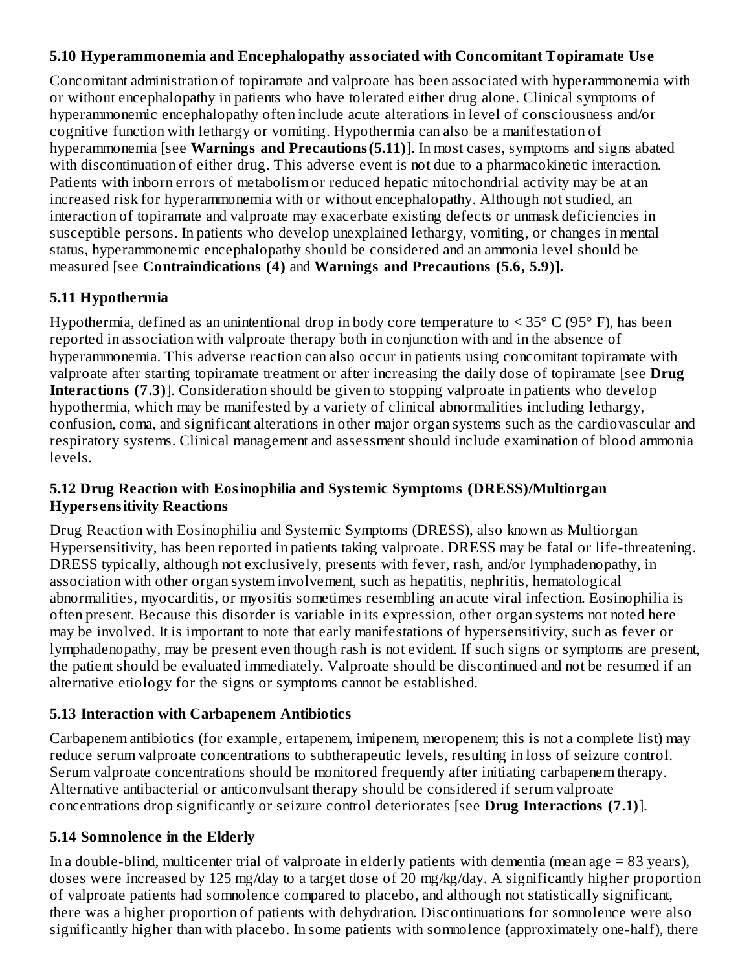#### **5.10 Hyperammonemia and Encephalopathy associated with Concomitant Topiramate Us e**

Concomitant administration of topiramate and valproate has been associated with hyperammonemia with or without encephalopathy in patients who have tolerated either drug alone. Clinical symptoms of hyperammonemic encephalopathy often include acute alterations in level of consciousness and/or cognitive function with lethargy or vomiting. Hypothermia can also be a manifestation of hyperammonemia [see **Warnings and Precautions(5.11)**]. In most cases, symptoms and signs abated with discontinuation of either drug. This adverse event is not due to a pharmacokinetic interaction. Patients with inborn errors of metabolism or reduced hepatic mitochondrial activity may be at an increased risk for hyperammonemia with or without encephalopathy. Although not studied, an interaction of topiramate and valproate may exacerbate existing defects or unmask deficiencies in susceptible persons. In patients who develop unexplained lethargy, vomiting, or changes in mental status, hyperammonemic encephalopathy should be considered and an ammonia level should be measured [see **Contraindications (4)** and **Warnings and Precautions (5.6, 5.9)].**

## **5.11 Hypothermia**

Hypothermia, defined as an unintentional drop in body core temperature to  $\leq$  35° C (95° F), has been reported in association with valproate therapy both in conjunction with and in the absence of hyperammonemia. This adverse reaction can also occur in patients using concomitant topiramate with valproate after starting topiramate treatment or after increasing the daily dose of topiramate [see **Drug Interactions (7.3)**]. Consideration should be given to stopping valproate in patients who develop hypothermia, which may be manifested by a variety of clinical abnormalities including lethargy, confusion, coma, and significant alterations in other major organ systems such as the cardiovascular and respiratory systems. Clinical management and assessment should include examination of blood ammonia levels.

#### **5.12 Drug Reaction with Eosinophilia and Systemic Symptoms (DRESS)/Multiorgan Hypers ensitivity Reactions**

Drug Reaction with Eosinophilia and Systemic Symptoms (DRESS), also known as Multiorgan Hypersensitivity, has been reported in patients taking valproate. DRESS may be fatal or life-threatening. DRESS typically, although not exclusively, presents with fever, rash, and/or lymphadenopathy, in association with other organ system involvement, such as hepatitis, nephritis, hematological abnormalities, myocarditis, or myositis sometimes resembling an acute viral infection. Eosinophilia is often present. Because this disorder is variable in its expression, other organ systems not noted here may be involved. It is important to note that early manifestations of hypersensitivity, such as fever or lymphadenopathy, may be present even though rash is not evident. If such signs or symptoms are present, the patient should be evaluated immediately. Valproate should be discontinued and not be resumed if an alternative etiology for the signs or symptoms cannot be established.

## **5.13 Interaction with Carbapenem Antibiotics**

Carbapenem antibiotics (for example, ertapenem, imipenem, meropenem; this is not a complete list) may reduce serum valproate concentrations to subtherapeutic levels, resulting in loss of seizure control. Serum valproate concentrations should be monitored frequently after initiating carbapenem therapy. Alternative antibacterial or anticonvulsant therapy should be considered if serum valproate concentrations drop significantly or seizure control deteriorates [see **Drug Interactions (7.1)**].

## **5.14 Somnolence in the Elderly**

In a double-blind, multicenter trial of valproate in elderly patients with dementia (mean age  $= 83$  years), doses were increased by 125 mg/day to a target dose of 20 mg/kg/day. A significantly higher proportion of valproate patients had somnolence compared to placebo, and although not statistically significant, there was a higher proportion of patients with dehydration. Discontinuations for somnolence were also significantly higher than with placebo. In some patients with somnolence (approximately one-half), there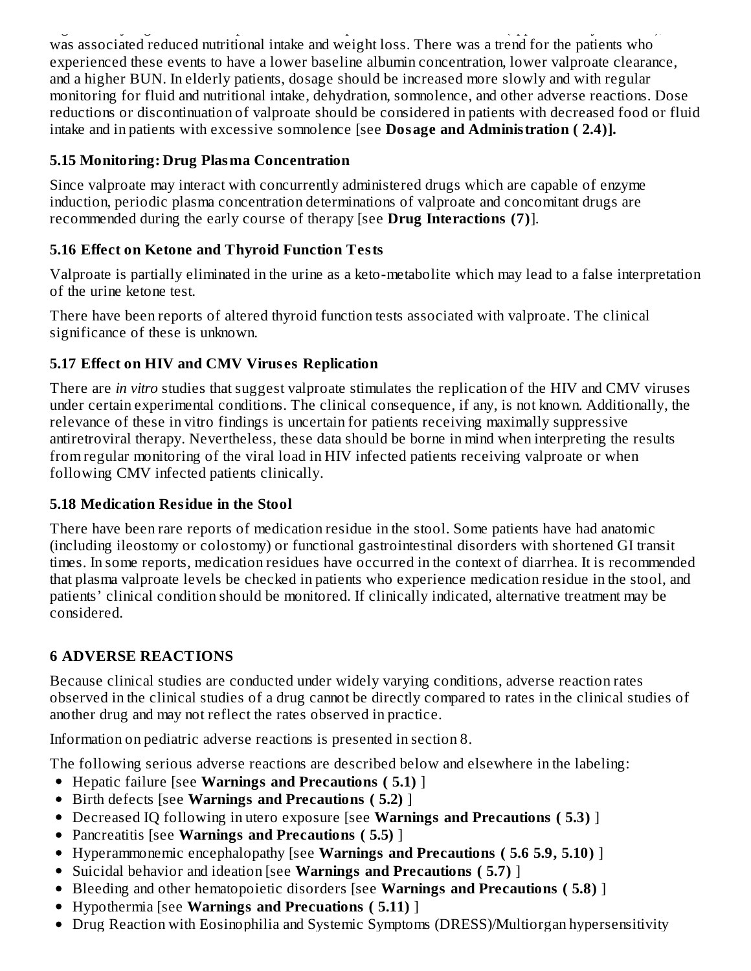significantly higher than with placebo. In some patients with some patients with some patients  $\mu$ was associated reduced nutritional intake and weight loss. There was a trend for the patients who experienced these events to have a lower baseline albumin concentration, lower valproate clearance, and a higher BUN. In elderly patients, dosage should be increased more slowly and with regular monitoring for fluid and nutritional intake, dehydration, somnolence, and other adverse reactions. Dose reductions or discontinuation of valproate should be considered in patients with decreased food or fluid intake and in patients with excessive somnolence [see **Dosage and Administration ( 2.4)].**

## **5.15 Monitoring: Drug Plasma Concentration**

Since valproate may interact with concurrently administered drugs which are capable of enzyme induction, periodic plasma concentration determinations of valproate and concomitant drugs are recommended during the early course of therapy [see **Drug Interactions (7)**].

# **5.16 Effect on Ketone and Thyroid Function Tests**

Valproate is partially eliminated in the urine as a keto-metabolite which may lead to a false interpretation of the urine ketone test.

There have been reports of altered thyroid function tests associated with valproate. The clinical significance of these is unknown.

# **5.17 Effect on HIV and CMV Virus es Replication**

There are *in vitro* studies that suggest valproate stimulates the replication of the HIV and CMV viruses under certain experimental conditions. The clinical consequence, if any, is not known. Additionally, the relevance of these in vitro findings is uncertain for patients receiving maximally suppressive antiretroviral therapy. Nevertheless, these data should be borne in mind when interpreting the results from regular monitoring of the viral load in HIV infected patients receiving valproate or when following CMV infected patients clinically.

# **5.18 Medication Residue in the Stool**

There have been rare reports of medication residue in the stool. Some patients have had anatomic (including ileostomy or colostomy) or functional gastrointestinal disorders with shortened GI transit times. In some reports, medication residues have occurred in the context of diarrhea. It is recommended that plasma valproate levels be checked in patients who experience medication residue in the stool, and patients' clinical condition should be monitored. If clinically indicated, alternative treatment may be considered.

# **6 ADVERSE REACTIONS**

Because clinical studies are conducted under widely varying conditions, adverse reaction rates observed in the clinical studies of a drug cannot be directly compared to rates in the clinical studies of another drug and may not reflect the rates observed in practice.

Information on pediatric adverse reactions is presented in section 8.

The following serious adverse reactions are described below and elsewhere in the labeling:

- Hepatic failure [see **Warnings and Precautions ( 5.1)** ]
- Birth defects [see **Warnings and Precautions ( 5.2)** ]
- Decreased IQ following in utero exposure [see **Warnings and Precautions ( 5.3)** ]
- Pancreatitis [see **Warnings and Precautions ( 5.5)** ]
- Hyperammonemic encephalopathy [see **Warnings and Precautions ( 5.6 5.9, 5.10)** ]
- Suicidal behavior and ideation [see **Warnings and Precautions ( 5.7)** ]
- Bleeding and other hematopoietic disorders [see **Warnings and Precautions ( 5.8)** ]
- Hypothermia [see **Warnings and Precuations ( 5.11)** ]
- Drug Reaction with Eosinophilia and Systemic Symptoms (DRESS)/Multiorgan hypersensitivity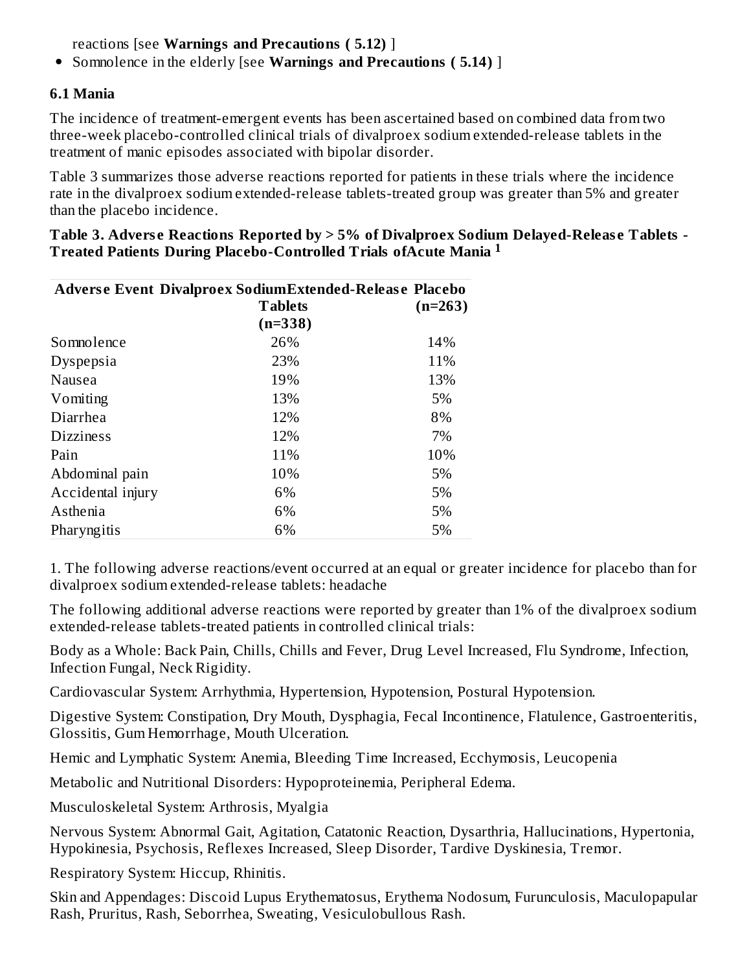reactions [see **Warnings and Precautions ( 5.12)** ]

Somnolence in the elderly [see **Warnings and Precautions ( 5.14)** ]

#### **6.1 Mania**

The incidence of treatment-emergent events has been ascertained based on combined data from two three-week placebo-controlled clinical trials of divalproex sodium extended-release tablets in the treatment of manic episodes associated with bipolar disorder.

Table 3 summarizes those adverse reactions reported for patients in these trials where the incidence rate in the divalproex sodium extended-release tablets-treated group was greater than 5% and greater than the placebo incidence.

| Adverse Event Divalproex SodiumExtended-Release Placebo |                |           |
|---------------------------------------------------------|----------------|-----------|
|                                                         | <b>Tablets</b> | $(n=263)$ |
|                                                         | $(n=338)$      |           |
| Somnolence                                              | 26%            | 14%       |
| Dyspepsia                                               | 23%            | 11%       |
| Nausea                                                  | 19%            | 13%       |
| Vomiting                                                | 13%            | 5%        |
| Diarrhea                                                | 12%            | 8%        |
| <b>Dizziness</b>                                        | 12%            | 7%        |
| Pain                                                    | 11%            | 10%       |
| Abdominal pain                                          | 10%            | 5%        |
| Accidental injury                                       | 6%             | 5%        |
| Asthenia                                                | 6%             | 5%        |
| Pharyngitis                                             | 6%             | 5%        |

**Table 3. Advers e Reactions Reported by > 5% of Divalproex Sodium Delayed-Releas e Tablets - Treated Patients During Placebo-Controlled Trials ofAcute Mania 1**

1. The following adverse reactions/event occurred at an equal or greater incidence for placebo than for divalproex sodium extended-release tablets: headache

The following additional adverse reactions were reported by greater than 1% of the divalproex sodium extended-release tablets-treated patients in controlled clinical trials:

Body as a Whole: Back Pain, Chills, Chills and Fever, Drug Level Increased, Flu Syndrome, Infection, Infection Fungal, Neck Rigidity.

Cardiovascular System: Arrhythmia, Hypertension, Hypotension, Postural Hypotension.

Digestive System: Constipation, Dry Mouth, Dysphagia, Fecal Incontinence, Flatulence, Gastroenteritis, Glossitis, Gum Hemorrhage, Mouth Ulceration.

Hemic and Lymphatic System: Anemia, Bleeding Time Increased, Ecchymosis, Leucopenia

Metabolic and Nutritional Disorders: Hypoproteinemia, Peripheral Edema.

Musculoskeletal System: Arthrosis, Myalgia

Nervous System: Abnormal Gait, Agitation, Catatonic Reaction, Dysarthria, Hallucinations, Hypertonia, Hypokinesia, Psychosis, Reflexes Increased, Sleep Disorder, Tardive Dyskinesia, Tremor.

Respiratory System: Hiccup, Rhinitis.

Skin and Appendages: Discoid Lupus Erythematosus, Erythema Nodosum, Furunculosis, Maculopapular Rash, Pruritus, Rash, Seborrhea, Sweating, Vesiculobullous Rash.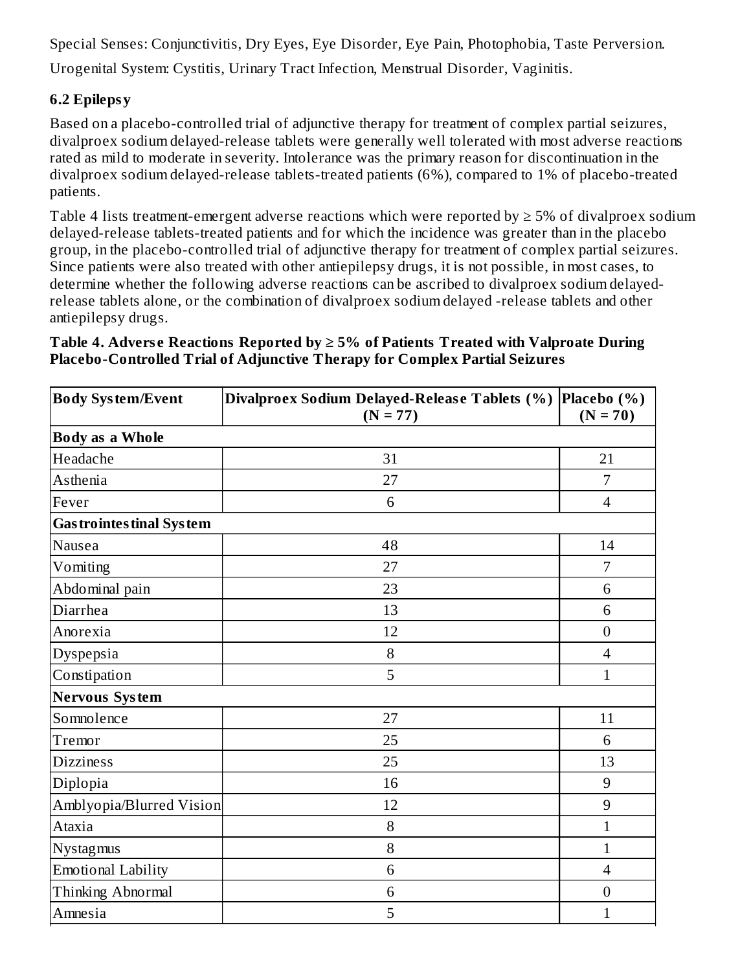Special Senses: Conjunctivitis, Dry Eyes, Eye Disorder, Eye Pain, Photophobia, Taste Perversion.

Urogenital System: Cystitis, Urinary Tract Infection, Menstrual Disorder, Vaginitis.

## **6.2 Epilepsy**

Based on a placebo-controlled trial of adjunctive therapy for treatment of complex partial seizures, divalproex sodium delayed-release tablets were generally well tolerated with most adverse reactions rated as mild to moderate in severity. Intolerance was the primary reason for discontinuation in the divalproex sodium delayed-release tablets-treated patients (6%), compared to 1% of placebo-treated patients.

Table 4 lists treatment-emergent adverse reactions which were reported by  $\geq$  5% of divalproex sodium delayed-release tablets-treated patients and for which the incidence was greater than in the placebo group, in the placebo-controlled trial of adjunctive therapy for treatment of complex partial seizures. Since patients were also treated with other antiepilepsy drugs, it is not possible, in most cases, to determine whether the following adverse reactions can be ascribed to divalproex sodium delayedrelease tablets alone, or the combination of divalproex sodium delayed -release tablets and other antiepilepsy drugs.

#### **Table 4. Advers e Reactions Reported by ≥ 5% of Patients Treated with Valproate During Placebo-Controlled Trial of Adjunctive Therapy for Complex Partial Seizures**

| <b>Body System/Event</b>         | Divalproex Sodium Delayed-Release Tablets (%)<br>$(N = 77)$ | Placebo $(\% )$<br>$(N = 70)$ |
|----------------------------------|-------------------------------------------------------------|-------------------------------|
| <b>Body as a Whole</b>           |                                                             |                               |
| Headache                         | 31                                                          | 21                            |
| Asthenia                         | 27                                                          | 7                             |
| Fever                            | 6                                                           | $\overline{4}$                |
| <b>Gas trointes tinal System</b> |                                                             |                               |
| Nausea                           | 48                                                          | 14                            |
| Vomiting                         | 27                                                          | 7                             |
| Abdominal pain                   | 23                                                          | 6                             |
| Diarrhea                         | 13                                                          | 6                             |
| Anorexia                         | 12                                                          | $\boldsymbol{0}$              |
| Dyspepsia                        | 8                                                           | 4                             |
| Constipation                     | 5                                                           | $\mathbf{1}$                  |
| <b>Nervous System</b>            |                                                             |                               |
| Somnolence                       | 27                                                          | 11                            |
| Tremor                           | 25                                                          | 6                             |
| <b>Dizziness</b>                 | 25                                                          | 13                            |
| Diplopia                         | 16                                                          | 9                             |
| Amblyopia/Blurred Vision         | 12                                                          | 9                             |
| Ataxia                           | 8                                                           | $\mathbf{1}$                  |
| Nystagmus                        | 8                                                           | $\mathbf{1}$                  |
| Emotional Lability               | 6                                                           | $\overline{4}$                |
| Thinking Abnormal                | 6                                                           | $\boldsymbol{0}$              |
| Amnesia                          | 5                                                           | $\mathbf{1}$                  |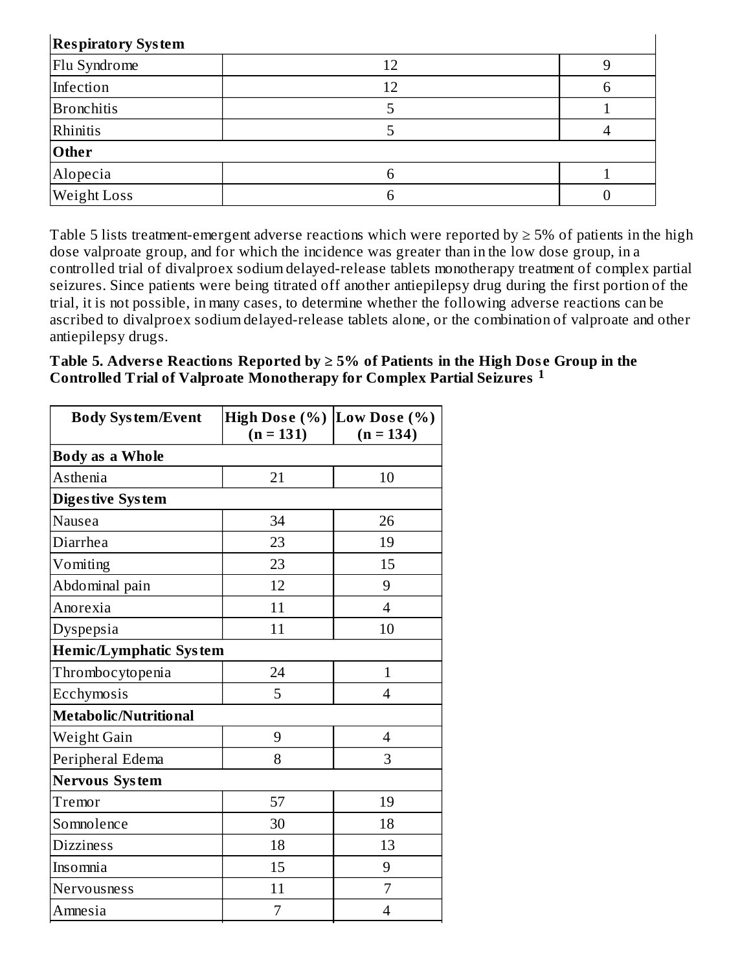| <b>Respiratory System</b> |    |  |  |
|---------------------------|----|--|--|
| Flu Syndrome              | 12 |  |  |
| Infection                 | 12 |  |  |
| <b>Bronchitis</b>         |    |  |  |
| Rhinitis                  |    |  |  |
| Other                     |    |  |  |
| Alopecia                  |    |  |  |
| Weight Loss               |    |  |  |

Table 5 lists treatment-emergent adverse reactions which were reported by  $\geq$  5% of patients in the high dose valproate group, and for which the incidence was greater than in the low dose group, in a controlled trial of divalproex sodium delayed-release tablets monotherapy treatment of complex partial seizures. Since patients were being titrated off another antiepilepsy drug during the first portion of the trial, it is not possible, in many cases, to determine whether the following adverse reactions can be ascribed to divalproex sodium delayed-release tablets alone, or the combination of valproate and other antiepilepsy drugs.

**Table 5. Advers e Reactions Reported by ≥ 5% of Patients in the High Dos e Group in the Controlled Trial of Valproate Monotherapy for Complex Partial Seizures 1**

| <b>Body System/Event</b>      | <b>High Dose (%)</b><br>$(n = 131)$ | Low Dose (%)<br>$(n = 134)$ |  |  |
|-------------------------------|-------------------------------------|-----------------------------|--|--|
| <b>Body as a Whole</b>        |                                     |                             |  |  |
| Asthenia                      | 21                                  | 10                          |  |  |
| <b>Digestive System</b>       |                                     |                             |  |  |
| Nausea                        | 34                                  | 26                          |  |  |
| Diarrhea                      | 23                                  | 19                          |  |  |
| Vomiting                      | 23                                  | 15                          |  |  |
| Abdominal pain                | 12                                  | 9                           |  |  |
| Anorexia                      | 11                                  | $\overline{4}$              |  |  |
| Dyspepsia                     | 11                                  | 10                          |  |  |
| <b>Hemic/Lymphatic System</b> |                                     |                             |  |  |
| Thrombocytopenia              | 24                                  | $\mathbf{1}$                |  |  |
| Ecchymosis                    | 5                                   | $\overline{4}$              |  |  |
| Metabolic/Nutritional         |                                     |                             |  |  |
| Weight Gain                   | 9                                   | $\overline{4}$              |  |  |
| Peripheral Edema              | 8                                   | 3                           |  |  |
| <b>Nervous System</b>         |                                     |                             |  |  |
| Tremor                        | 57                                  | 19                          |  |  |
| Somnolence                    | 30                                  | 18                          |  |  |
| <b>Dizziness</b>              | 18                                  | 13                          |  |  |
| Insomnia                      | 15                                  | 9                           |  |  |
| Nervousness                   | 11                                  | $\overline{7}$              |  |  |
| Amnesia                       | 7                                   | $\overline{4}$              |  |  |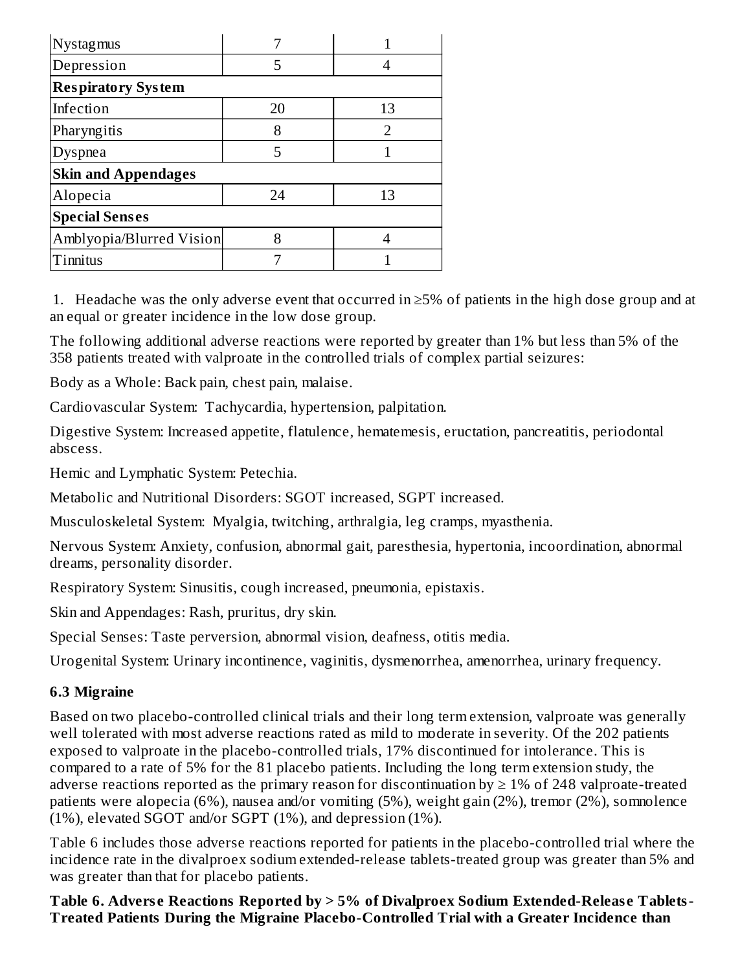| Nystagmus                  |    |               |
|----------------------------|----|---------------|
| Depression                 | 5  |               |
| <b>Respiratory System</b>  |    |               |
| Infection                  | 20 | 13            |
| Pharyngitis                | 8  | $\mathcal{D}$ |
| Dyspnea                    | 5  |               |
| <b>Skin and Appendages</b> |    |               |
| Alopecia                   | 24 | 13            |
| <b>Special Senses</b>      |    |               |
| Amblyopia/Blurred Vision   | 8  |               |
| Tinnitus                   |    |               |

1. Headache was the only adverse event that occurred in  $\geq$ 5% of patients in the high dose group and at an equal or greater incidence in the low dose group.

The following additional adverse reactions were reported by greater than 1% but less than 5% of the 358 patients treated with valproate in the controlled trials of complex partial seizures:

Body as a Whole: Back pain, chest pain, malaise.

Cardiovascular System: Tachycardia, hypertension, palpitation.

Digestive System: Increased appetite, flatulence, hematemesis, eructation, pancreatitis, periodontal abscess.

Hemic and Lymphatic System: Petechia.

Metabolic and Nutritional Disorders: SGOT increased, SGPT increased.

Musculoskeletal System: Myalgia, twitching, arthralgia, leg cramps, myasthenia.

Nervous System: Anxiety, confusion, abnormal gait, paresthesia, hypertonia, incoordination, abnormal dreams, personality disorder.

Respiratory System: Sinusitis, cough increased, pneumonia, epistaxis.

Skin and Appendages: Rash, pruritus, dry skin.

Special Senses: Taste perversion, abnormal vision, deafness, otitis media.

Urogenital System: Urinary incontinence, vaginitis, dysmenorrhea, amenorrhea, urinary frequency.

## **6.3 Migraine**

Based on two placebo-controlled clinical trials and their long term extension, valproate was generally well tolerated with most adverse reactions rated as mild to moderate in severity. Of the 202 patients exposed to valproate in the placebo-controlled trials, 17% discontinued for intolerance. This is compared to a rate of 5% for the 81 placebo patients. Including the long term extension study, the adverse reactions reported as the primary reason for discontinuation by  $\geq 1\%$  of 248 valproate-treated patients were alopecia (6%), nausea and/or vomiting (5%), weight gain (2%), tremor (2%), somnolence (1%), elevated SGOT and/or SGPT (1%), and depression (1%).

Table 6 includes those adverse reactions reported for patients in the placebo-controlled trial where the incidence rate in the divalproex sodium extended-release tablets-treated group was greater than 5% and was greater than that for placebo patients.

**Table 6. Advers e Reactions Reported by > 5% of Divalproex Sodium Extended-Releas e Tablets-Treated Patients During the Migraine Placebo-Controlled Trial with a Greater Incidence than**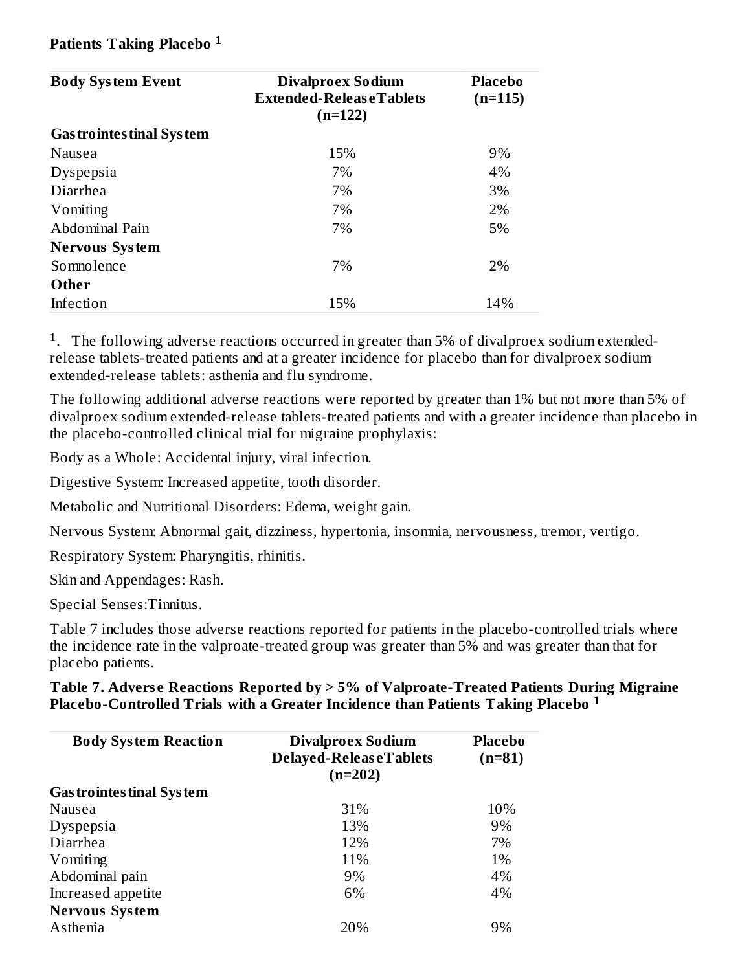#### **Patients Taking Placebo 1**

| <b>Body System Event</b>         | <b>Divalproex Sodium</b><br>Extended-ReleaseTablets<br>$(n=122)$ | Placebo<br>$(n=115)$ |
|----------------------------------|------------------------------------------------------------------|----------------------|
| <b>Gas trointes tinal System</b> |                                                                  |                      |
| Nausea                           | 15%                                                              | 9%                   |
| Dyspepsia                        | 7%                                                               | 4%                   |
| Diarrhea                         | 7%                                                               | 3%                   |
| Vomiting                         | 7%                                                               | 2%                   |
| Abdominal Pain                   | 7%                                                               | 5%                   |
| <b>Nervous System</b>            |                                                                  |                      |
| Somnolence                       | 7%                                                               | 2%                   |
| Other                            |                                                                  |                      |
| Infection                        | 15%                                                              | 14%                  |

<sup>1</sup>. The following adverse reactions occurred in greater than 5% of divalproex sodium extendedrelease tablets-treated patients and at a greater incidence for placebo than for divalproex sodium extended-release tablets: asthenia and flu syndrome.

The following additional adverse reactions were reported by greater than 1% but not more than 5% of divalproex sodium extended-release tablets-treated patients and with a greater incidence than placebo in the placebo-controlled clinical trial for migraine prophylaxis:

Body as a Whole: Accidental injury, viral infection.

Digestive System: Increased appetite, tooth disorder.

Metabolic and Nutritional Disorders: Edema, weight gain.

Nervous System: Abnormal gait, dizziness, hypertonia, insomnia, nervousness, tremor, vertigo.

Respiratory System: Pharyngitis, rhinitis.

Skin and Appendages: Rash.

Special Senses:Tinnitus.

Table 7 includes those adverse reactions reported for patients in the placebo-controlled trials where the incidence rate in the valproate-treated group was greater than 5% and was greater than that for placebo patients.

#### **Table 7. Advers e Reactions Reported by > 5% of Valproate-Treated Patients During Migraine Placebo-Controlled Trials with a Greater Incidence than Patients Taking Placebo 1**

| <b>Body System Reaction</b>      | <b>Divalproex Sodium</b><br>Delayed-ReleaseTablets<br>$(n=202)$ | <b>Placebo</b><br>$(n=81)$ |
|----------------------------------|-----------------------------------------------------------------|----------------------------|
| <b>Gas trointes tinal System</b> |                                                                 |                            |
| Nausea                           | 31%                                                             | 10%                        |
| Dyspepsia                        | 13%                                                             | 9%                         |
| Diarrhea                         | 12%                                                             | 7%                         |
| Vomiting                         | 11%                                                             | 1%                         |
| Abdominal pain                   | 9%                                                              | 4%                         |
| Increased appetite               | 6%                                                              | 4%                         |
| <b>Nervous System</b>            |                                                                 |                            |
| Asthenia                         | 20%                                                             | 9%                         |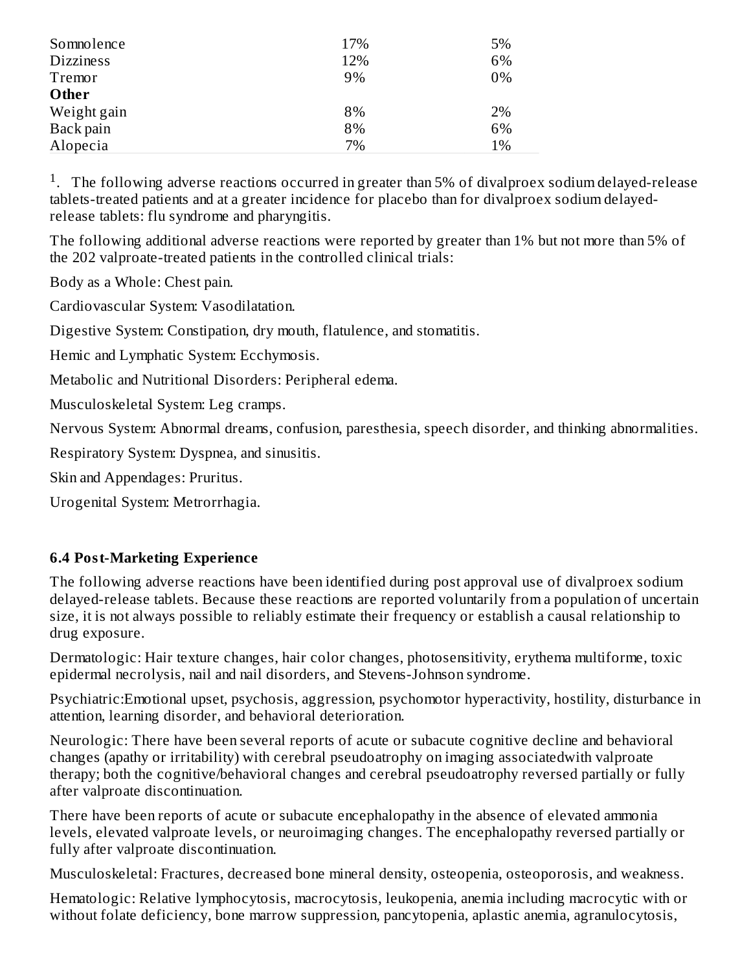| Somnolence       | 17% | 5% |
|------------------|-----|----|
| <b>Dizziness</b> | 12% | 6% |
| Tremor           | 9%  | 0% |
| Other            |     |    |
| Weight gain      | 8%  | 2% |
| Back pain        | 8%  | 6% |
| Alopecia         | 7%  | 1% |

<sup>1</sup>. The following adverse reactions occurred in greater than 5% of divalproex sodium delayed-release tablets-treated patients and at a greater incidence for placebo than for divalproex sodium delayedrelease tablets: flu syndrome and pharyngitis.

The following additional adverse reactions were reported by greater than 1% but not more than 5% of the 202 valproate-treated patients in the controlled clinical trials:

Body as a Whole: Chest pain.

Cardiovascular System: Vasodilatation.

Digestive System: Constipation, dry mouth, flatulence, and stomatitis.

Hemic and Lymphatic System: Ecchymosis.

Metabolic and Nutritional Disorders: Peripheral edema.

Musculoskeletal System: Leg cramps.

Nervous System: Abnormal dreams, confusion, paresthesia, speech disorder, and thinking abnormalities.

Respiratory System: Dyspnea, and sinusitis.

Skin and Appendages: Pruritus.

Urogenital System: Metrorrhagia.

#### **6.4 Post-Marketing Experience**

The following adverse reactions have been identified during post approval use of divalproex sodium delayed-release tablets. Because these reactions are reported voluntarily from a population of uncertain size, it is not always possible to reliably estimate their frequency or establish a causal relationship to drug exposure.

Dermatologic: Hair texture changes, hair color changes, photosensitivity, erythema multiforme, toxic epidermal necrolysis, nail and nail disorders, and Stevens-Johnson syndrome.

Psychiatric:Emotional upset, psychosis, aggression, psychomotor hyperactivity, hostility, disturbance in attention, learning disorder, and behavioral deterioration.

Neurologic: There have been several reports of acute or subacute cognitive decline and behavioral changes (apathy or irritability) with cerebral pseudoatrophy on imaging associatedwith valproate therapy; both the cognitive/behavioral changes and cerebral pseudoatrophy reversed partially or fully after valproate discontinuation.

There have been reports of acute or subacute encephalopathy in the absence of elevated ammonia levels, elevated valproate levels, or neuroimaging changes. The encephalopathy reversed partially or fully after valproate discontinuation.

Musculoskeletal: Fractures, decreased bone mineral density, osteopenia, osteoporosis, and weakness.

Hematologic: Relative lymphocytosis, macrocytosis, leukopenia, anemia including macrocytic with or without folate deficiency, bone marrow suppression, pancytopenia, aplastic anemia, agranulocytosis,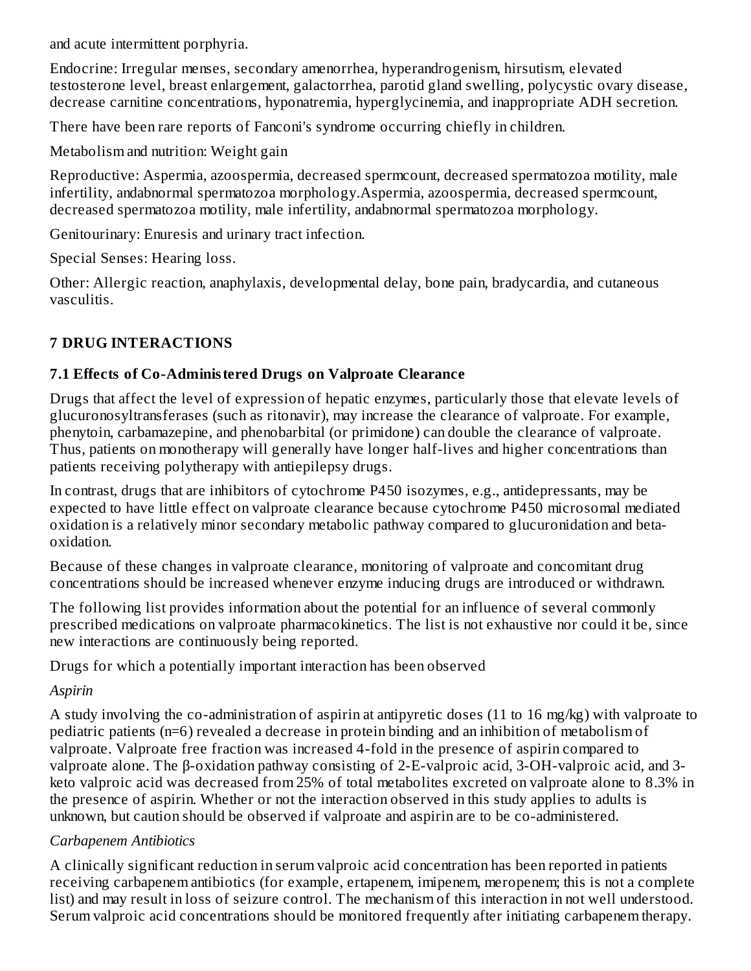and acute intermittent porphyria.

Endocrine: Irregular menses, secondary amenorrhea, hyperandrogenism, hirsutism, elevated testosterone level, breast enlargement, galactorrhea, parotid gland swelling, polycystic ovary disease, decrease carnitine concentrations, hyponatremia, hyperglycinemia, and inappropriate ADH secretion.

There have been rare reports of Fanconi's syndrome occurring chiefly in children.

Metabolism and nutrition: Weight gain

Reproductive: Aspermia, azoospermia, decreased spermcount, decreased spermatozoa motility, male infertility, andabnormal spermatozoa morphology.Aspermia, azoospermia, decreased spermcount, decreased spermatozoa motility, male infertility, andabnormal spermatozoa morphology.

Genitourinary: Enuresis and urinary tract infection.

Special Senses: Hearing loss.

Other: Allergic reaction, anaphylaxis, developmental delay, bone pain, bradycardia, and cutaneous vasculitis.

# **7 DRUG INTERACTIONS**

## **7.1 Effects of Co-Administered Drugs on Valproate Clearance**

Drugs that affect the level of expression of hepatic enzymes, particularly those that elevate levels of glucuronosyltransferases (such as ritonavir), may increase the clearance of valproate. For example, phenytoin, carbamazepine, and phenobarbital (or primidone) can double the clearance of valproate. Thus, patients on monotherapy will generally have longer half-lives and higher concentrations than patients receiving polytherapy with antiepilepsy drugs.

In contrast, drugs that are inhibitors of cytochrome P450 isozymes, e.g., antidepressants, may be expected to have little effect on valproate clearance because cytochrome P450 microsomal mediated oxidation is a relatively minor secondary metabolic pathway compared to glucuronidation and betaoxidation.

Because of these changes in valproate clearance, monitoring of valproate and concomitant drug concentrations should be increased whenever enzyme inducing drugs are introduced or withdrawn.

The following list provides information about the potential for an influence of several commonly prescribed medications on valproate pharmacokinetics. The list is not exhaustive nor could it be, since new interactions are continuously being reported.

Drugs for which a potentially important interaction has been observed

## *Aspirin*

A study involving the co-administration of aspirin at antipyretic doses (11 to 16 mg/kg) with valproate to pediatric patients (n=6) revealed a decrease in protein binding and an inhibition of metabolism of valproate. Valproate free fraction was increased 4-fold in the presence of aspirin compared to valproate alone. The β-oxidation pathway consisting of 2-E-valproic acid, 3-OH-valproic acid, and 3 keto valproic acid was decreased from 25% of total metabolites excreted on valproate alone to 8.3% in the presence of aspirin. Whether or not the interaction observed in this study applies to adults is unknown, but caution should be observed if valproate and aspirin are to be co-administered.

## *Carbapenem Antibiotics*

A clinically significant reduction in serum valproic acid concentration has been reported in patients receiving carbapenem antibiotics (for example, ertapenem, imipenem, meropenem; this is not a complete list) and may result in loss of seizure control. The mechanism of this interaction in not well understood. Serum valproic acid concentrations should be monitored frequently after initiating carbapenem therapy.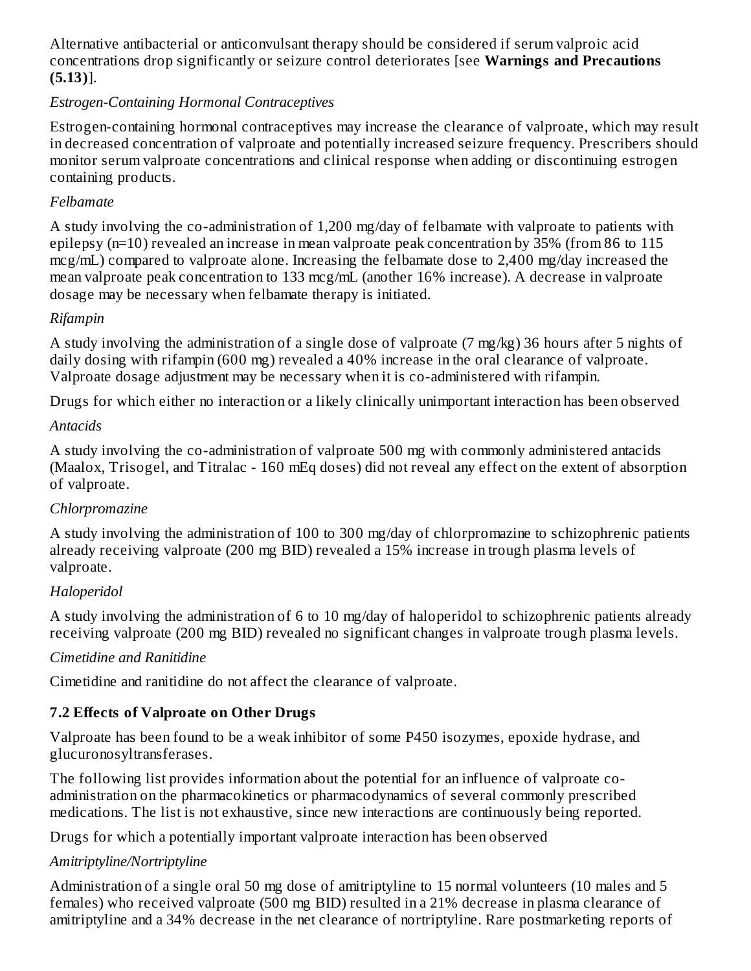Alternative antibacterial or anticonvulsant therapy should be considered if serum valproic acid concentrations drop significantly or seizure control deteriorates [see **Warnings and Precautions (5.13)**].

## *Estrogen-Containing Hormonal Contraceptives*

Estrogen-containing hormonal contraceptives may increase the clearance of valproate, which may result in decreased concentration of valproate and potentially increased seizure frequency. Prescribers should monitor serum valproate concentrations and clinical response when adding or discontinuing estrogen containing products.

#### *Felbamate*

A study involving the co-administration of 1,200 mg/day of felbamate with valproate to patients with epilepsy (n=10) revealed an increase in mean valproate peak concentration by 35% (from 86 to 115 mcg/mL) compared to valproate alone. Increasing the felbamate dose to 2,400 mg/day increased the mean valproate peak concentration to 133 mcg/mL (another 16% increase). A decrease in valproate dosage may be necessary when felbamate therapy is initiated.

#### *Rifampin*

A study involving the administration of a single dose of valproate (7 mg/kg) 36 hours after 5 nights of daily dosing with rifampin (600 mg) revealed a 40% increase in the oral clearance of valproate. Valproate dosage adjustment may be necessary when it is co-administered with rifampin.

Drugs for which either no interaction or a likely clinically unimportant interaction has been observed

#### *Antacids*

A study involving the co-administration of valproate 500 mg with commonly administered antacids (Maalox, Trisogel, and Titralac - 160 mEq doses) did not reveal any effect on the extent of absorption of valproate.

## *Chlorpromazine*

A study involving the administration of 100 to 300 mg/day of chlorpromazine to schizophrenic patients already receiving valproate (200 mg BID) revealed a 15% increase in trough plasma levels of valproate.

## *Haloperidol*

A study involving the administration of 6 to 10 mg/day of haloperidol to schizophrenic patients already receiving valproate (200 mg BID) revealed no significant changes in valproate trough plasma levels.

#### *Cimetidine and Ranitidine*

Cimetidine and ranitidine do not affect the clearance of valproate.

## **7.2 Effects of Valproate on Other Drugs**

Valproate has been found to be a weak inhibitor of some P450 isozymes, epoxide hydrase, and glucuronosyltransferases.

The following list provides information about the potential for an influence of valproate coadministration on the pharmacokinetics or pharmacodynamics of several commonly prescribed medications. The list is not exhaustive, since new interactions are continuously being reported.

Drugs for which a potentially important valproate interaction has been observed

#### *Amitriptyline/Nortriptyline*

Administration of a single oral 50 mg dose of amitriptyline to 15 normal volunteers (10 males and 5 females) who received valproate (500 mg BID) resulted in a 21% decrease in plasma clearance of amitriptyline and a 34% decrease in the net clearance of nortriptyline. Rare postmarketing reports of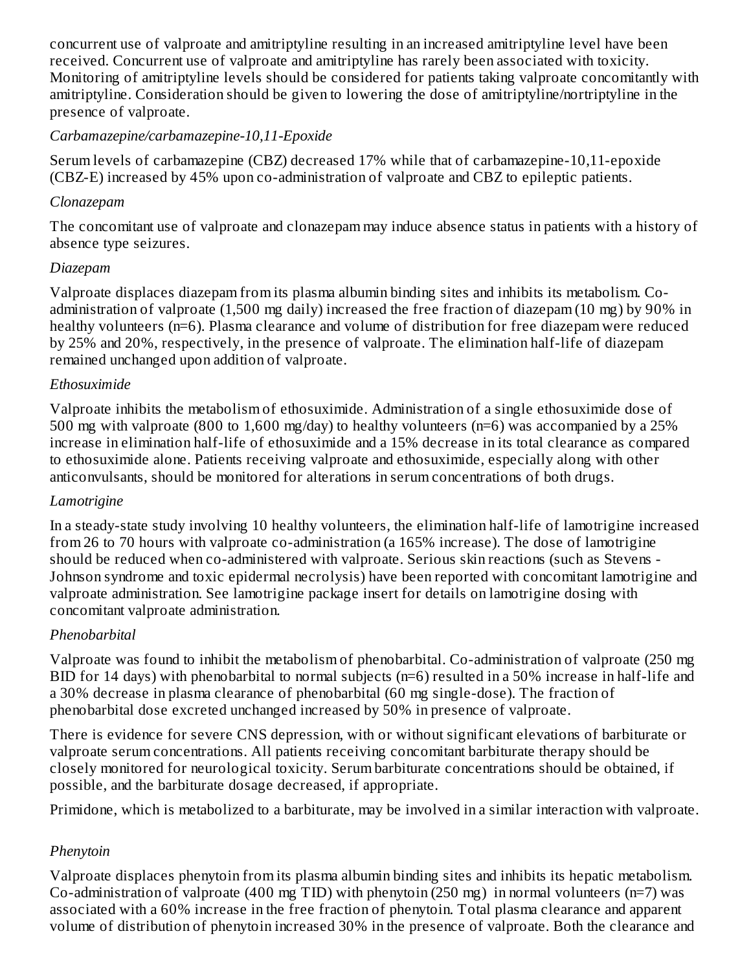concurrent use of valproate and amitriptyline resulting in an increased amitriptyline level have been received. Concurrent use of valproate and amitriptyline has rarely been associated with toxicity. Monitoring of amitriptyline levels should be considered for patients taking valproate concomitantly with amitriptyline. Consideration should be given to lowering the dose of amitriptyline/nortriptyline in the presence of valproate.

#### *Carbamazepine/carbamazepine-10,11-Epoxide*

Serum levels of carbamazepine (CBZ) decreased 17% while that of carbamazepine-10,11-epoxide (CBZ-E) increased by 45% upon co-administration of valproate and CBZ to epileptic patients.

#### *Clonazepam*

The concomitant use of valproate and clonazepam may induce absence status in patients with a history of absence type seizures.

#### *Diazepam*

Valproate displaces diazepam from its plasma albumin binding sites and inhibits its metabolism. Coadministration of valproate (1,500 mg daily) increased the free fraction of diazepam (10 mg) by 90% in healthy volunteers (n=6). Plasma clearance and volume of distribution for free diazepam were reduced by 25% and 20%, respectively, in the presence of valproate. The elimination half-life of diazepam remained unchanged upon addition of valproate.

#### *Ethosuximide*

Valproate inhibits the metabolism of ethosuximide. Administration of a single ethosuximide dose of 500 mg with valproate (800 to 1,600 mg/day) to healthy volunteers (n=6) was accompanied by a 25% increase in elimination half-life of ethosuximide and a 15% decrease in its total clearance as compared to ethosuximide alone. Patients receiving valproate and ethosuximide, especially along with other anticonvulsants, should be monitored for alterations in serum concentrations of both drugs.

#### *Lamotrigine*

In a steady-state study involving 10 healthy volunteers, the elimination half-life of lamotrigine increased from 26 to 70 hours with valproate co-administration (a 165% increase). The dose of lamotrigine should be reduced when co-administered with valproate. Serious skin reactions (such as Stevens - Johnson syndrome and toxic epidermal necrolysis) have been reported with concomitant lamotrigine and valproate administration. See lamotrigine package insert for details on lamotrigine dosing with concomitant valproate administration.

## *Phenobarbital*

Valproate was found to inhibit the metabolism of phenobarbital. Co-administration of valproate (250 mg BID for 14 days) with phenobarbital to normal subjects (n=6) resulted in a 50% increase in half-life and a 30% decrease in plasma clearance of phenobarbital (60 mg single-dose). The fraction of phenobarbital dose excreted unchanged increased by 50% in presence of valproate.

There is evidence for severe CNS depression, with or without significant elevations of barbiturate or valproate serum concentrations. All patients receiving concomitant barbiturate therapy should be closely monitored for neurological toxicity. Serum barbiturate concentrations should be obtained, if possible, and the barbiturate dosage decreased, if appropriate.

Primidone, which is metabolized to a barbiturate, may be involved in a similar interaction with valproate.

## *Phenytoin*

Valproate displaces phenytoin from its plasma albumin binding sites and inhibits its hepatic metabolism. Co-administration of valproate (400 mg TID) with phenytoin (250 mg) in normal volunteers (n=7) was associated with a 60% increase in the free fraction of phenytoin. Total plasma clearance and apparent volume of distribution of phenytoin increased 30% in the presence of valproate. Both the clearance and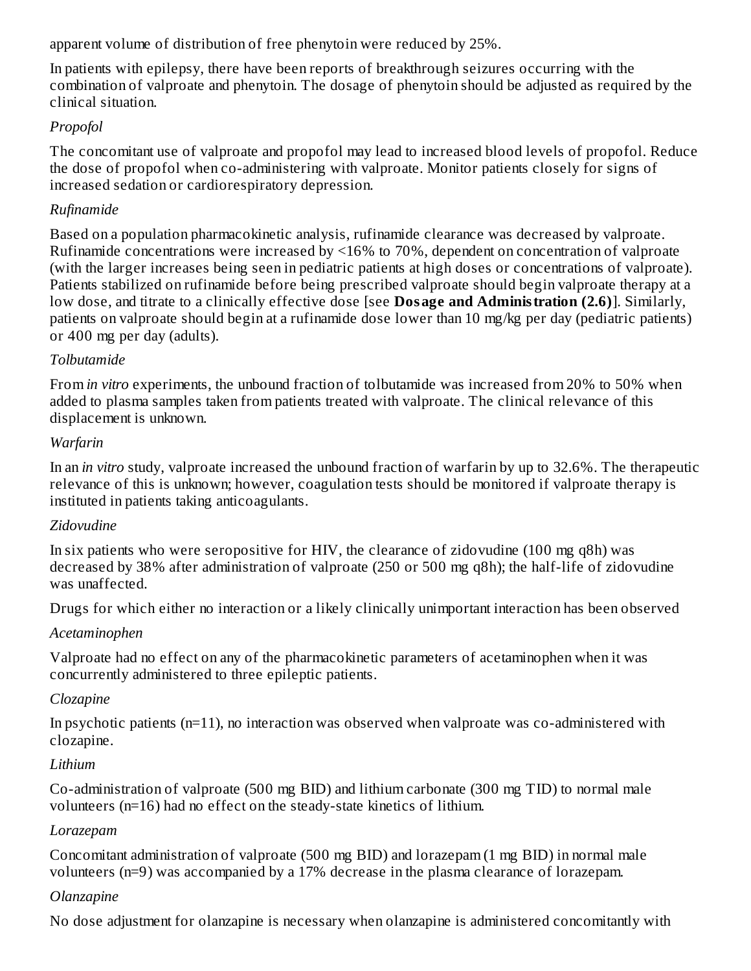apparent volume of distribution of free phenytoin were reduced by 25%.

In patients with epilepsy, there have been reports of breakthrough seizures occurring with the combination of valproate and phenytoin. The dosage of phenytoin should be adjusted as required by the clinical situation.

## *Propofol*

The concomitant use of valproate and propofol may lead to increased blood levels of propofol. Reduce the dose of propofol when co-administering with valproate. Monitor patients closely for signs of increased sedation or cardiorespiratory depression.

#### *Rufinamide*

Based on a population pharmacokinetic analysis, rufinamide clearance was decreased by valproate. Rufinamide concentrations were increased by <16% to 70%, dependent on concentration of valproate (with the larger increases being seen in pediatric patients at high doses or concentrations of valproate). Patients stabilized on rufinamide before being prescribed valproate should begin valproate therapy at a low dose, and titrate to a clinically effective dose [see **Dosage and Administration (2.6)**]. Similarly, patients on valproate should begin at a rufinamide dose lower than 10 mg/kg per day (pediatric patients) or 400 mg per day (adults).

#### *Tolbutamide*

From *in vitro* experiments, the unbound fraction of tolbutamide was increased from 20% to 50% when added to plasma samples taken from patients treated with valproate. The clinical relevance of this displacement is unknown.

#### *Warfarin*

In an *in vitro* study, valproate increased the unbound fraction of warfarin by up to 32.6%. The therapeutic relevance of this is unknown; however, coagulation tests should be monitored if valproate therapy is instituted in patients taking anticoagulants.

#### *Zidovudine*

In six patients who were seropositive for HIV, the clearance of zidovudine (100 mg q8h) was decreased by 38% after administration of valproate (250 or 500 mg q8h); the half-life of zidovudine was unaffected.

Drugs for which either no interaction or a likely clinically unimportant interaction has been observed

## *Acetaminophen*

Valproate had no effect on any of the pharmacokinetic parameters of acetaminophen when it was concurrently administered to three epileptic patients.

## *Clozapine*

In psychotic patients  $(n=11)$ , no interaction was observed when valproate was co-administered with clozapine.

## *Lithium*

Co-administration of valproate (500 mg BID) and lithium carbonate (300 mg TID) to normal male volunteers (n=16) had no effect on the steady-state kinetics of lithium.

## *Lorazepam*

Concomitant administration of valproate (500 mg BID) and lorazepam (1 mg BID) in normal male volunteers (n=9) was accompanied by a 17% decrease in the plasma clearance of lorazepam.

#### *Olanzapine*

No dose adjustment for olanzapine is necessary when olanzapine is administered concomitantly with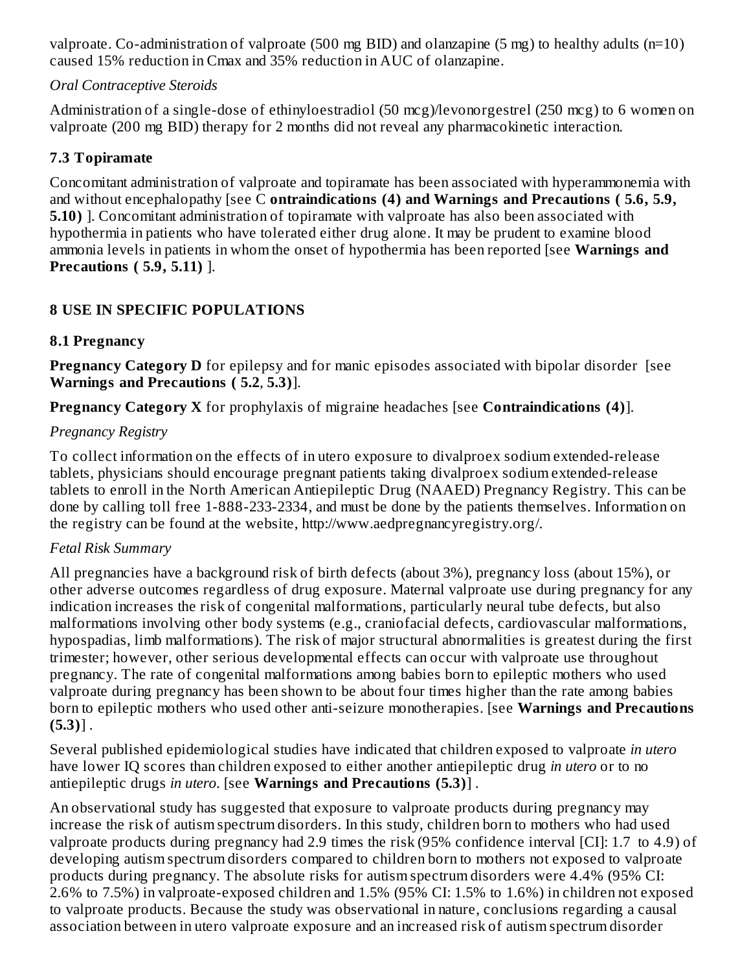valproate. Co-administration of valproate (500 mg BID) and olanzapine (5 mg) to healthy adults (n=10) caused 15% reduction in Cmax and 35% reduction in AUC of olanzapine.

#### *Oral Contraceptive Steroids*

Administration of a single-dose of ethinyloestradiol (50 mcg)/levonorgestrel (250 mcg) to 6 women on valproate (200 mg BID) therapy for 2 months did not reveal any pharmacokinetic interaction.

## **7.3 Topiramate**

Concomitant administration of valproate and topiramate has been associated with hyperammonemia with and without encephalopathy [see C **ontraindications (4) and Warnings and Precautions ( 5.6, 5.9, 5.10)** ]. Concomitant administration of topiramate with valproate has also been associated with hypothermia in patients who have tolerated either drug alone. It may be prudent to examine blood ammonia levels in patients in whom the onset of hypothermia has been reported [see **Warnings and Precautions ( 5.9, 5.11)** ].

## **8 USE IN SPECIFIC POPULATIONS**

#### **8.1 Pregnancy**

**Pregnancy Category D** for epilepsy and for manic episodes associated with bipolar disorder [see **Warnings and Precautions ( 5.2**, **5.3)**].

**Pregnancy Category X** for prophylaxis of migraine headaches [see **Contraindications (4)**].

## *Pregnancy Registry*

To collect information on the effects of in utero exposure to divalproex sodium extended-release tablets, physicians should encourage pregnant patients taking divalproex sodium extended-release tablets to enroll in the North American Antiepileptic Drug (NAAED) Pregnancy Registry. This can be done by calling toll free 1-888-233-2334, and must be done by the patients themselves. Information on the registry can be found at the website, http://www.aedpregnancyregistry.org/.

## *Fetal Risk Summary*

All pregnancies have a background risk of birth defects (about 3%), pregnancy loss (about 15%), or other adverse outcomes regardless of drug exposure. Maternal valproate use during pregnancy for any indication increases the risk of congenital malformations, particularly neural tube defects, but also malformations involving other body systems (e.g., craniofacial defects, cardiovascular malformations, hypospadias, limb malformations). The risk of major structural abnormalities is greatest during the first trimester; however, other serious developmental effects can occur with valproate use throughout pregnancy. The rate of congenital malformations among babies born to epileptic mothers who used valproate during pregnancy has been shown to be about four times higher than the rate among babies born to epileptic mothers who used other anti-seizure monotherapies. [see **Warnings and Precautions (5.3)**] .

Several published epidemiological studies have indicated that children exposed to valproate *in utero* have lower IQ scores than children exposed to either another antiepileptic drug *in utero* or to no antiepileptic drugs *in utero*. [see **Warnings and Precautions (5.3)**] .

An observational study has suggested that exposure to valproate products during pregnancy may increase the risk of autism spectrum disorders. In this study, children born to mothers who had used valproate products during pregnancy had 2.9 times the risk (95% confidence interval [CI]: 1.7 to 4.9) of developing autism spectrum disorders compared to children born to mothers not exposed to valproate products during pregnancy. The absolute risks for autism spectrum disorders were 4.4% (95% CI: 2.6% to 7.5%) in valproate-exposed children and 1.5% (95% CI: 1.5% to 1.6%) in children not exposed to valproate products. Because the study was observational in nature, conclusions regarding a causal association between in utero valproate exposure and an increased risk of autism spectrum disorder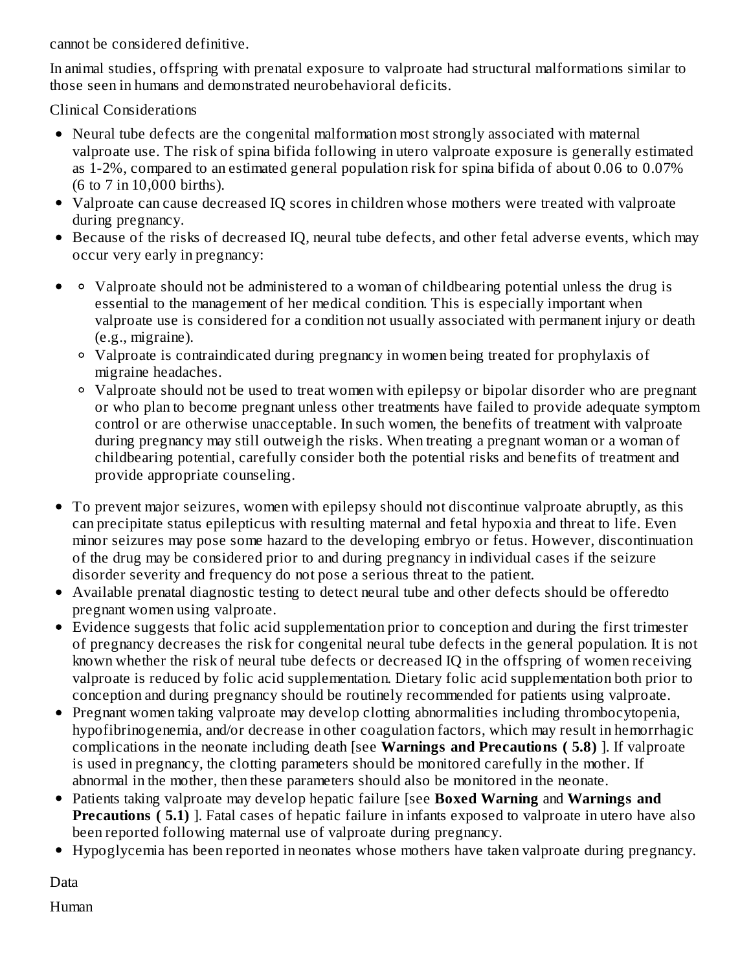cannot be considered definitive.

In animal studies, offspring with prenatal exposure to valproate had structural malformations similar to those seen in humans and demonstrated neurobehavioral deficits.

Clinical Considerations

- Neural tube defects are the congenital malformation most strongly associated with maternal valproate use. The risk of spina bifida following in utero valproate exposure is generally estimated as 1-2%, compared to an estimated general population risk for spina bifida of about 0.06 to 0.07% (6 to 7 in 10,000 births).
- Valproate can cause decreased IQ scores in children whose mothers were treated with valproate during pregnancy.
- Because of the risks of decreased IQ, neural tube defects, and other fetal adverse events, which may occur very early in pregnancy:
- Valproate should not be administered to a woman of childbearing potential unless the drug is  $\bullet$ essential to the management of her medical condition. This is especially important when valproate use is considered for a condition not usually associated with permanent injury or death (e.g., migraine).
	- Valproate is contraindicated during pregnancy in women being treated for prophylaxis of migraine headaches.
	- Valproate should not be used to treat women with epilepsy or bipolar disorder who are pregnant or who plan to become pregnant unless other treatments have failed to provide adequate symptom control or are otherwise unacceptable. In such women, the benefits of treatment with valproate during pregnancy may still outweigh the risks. When treating a pregnant woman or a woman of childbearing potential, carefully consider both the potential risks and benefits of treatment and provide appropriate counseling.
- $\bullet$ To prevent major seizures, women with epilepsy should not discontinue valproate abruptly, as this can precipitate status epilepticus with resulting maternal and fetal hypoxia and threat to life. Even minor seizures may pose some hazard to the developing embryo or fetus. However, discontinuation of the drug may be considered prior to and during pregnancy in individual cases if the seizure disorder severity and frequency do not pose a serious threat to the patient.
- Available prenatal diagnostic testing to detect neural tube and other defects should be offeredto pregnant women using valproate.
- Evidence suggests that folic acid supplementation prior to conception and during the first trimester of pregnancy decreases the risk for congenital neural tube defects in the general population. It is not known whether the risk of neural tube defects or decreased IQ in the offspring of women receiving valproate is reduced by folic acid supplementation. Dietary folic acid supplementation both prior to conception and during pregnancy should be routinely recommended for patients using valproate.
- Pregnant women taking valproate may develop clotting abnormalities including thrombocytopenia,  $\bullet$ hypofibrinogenemia, and/or decrease in other coagulation factors, which may result in hemorrhagic complications in the neonate including death [see **Warnings and Precautions ( 5.8)** ]. If valproate is used in pregnancy, the clotting parameters should be monitored carefully in the mother. If abnormal in the mother, then these parameters should also be monitored in the neonate.
- Patients taking valproate may develop hepatic failure [see **Boxed Warning** and **Warnings and Precautions ( 5.1)** ]. Fatal cases of hepatic failure in infants exposed to valproate in utero have also been reported following maternal use of valproate during pregnancy.
- Hypoglycemia has been reported in neonates whose mothers have taken valproate during pregnancy.

Data Human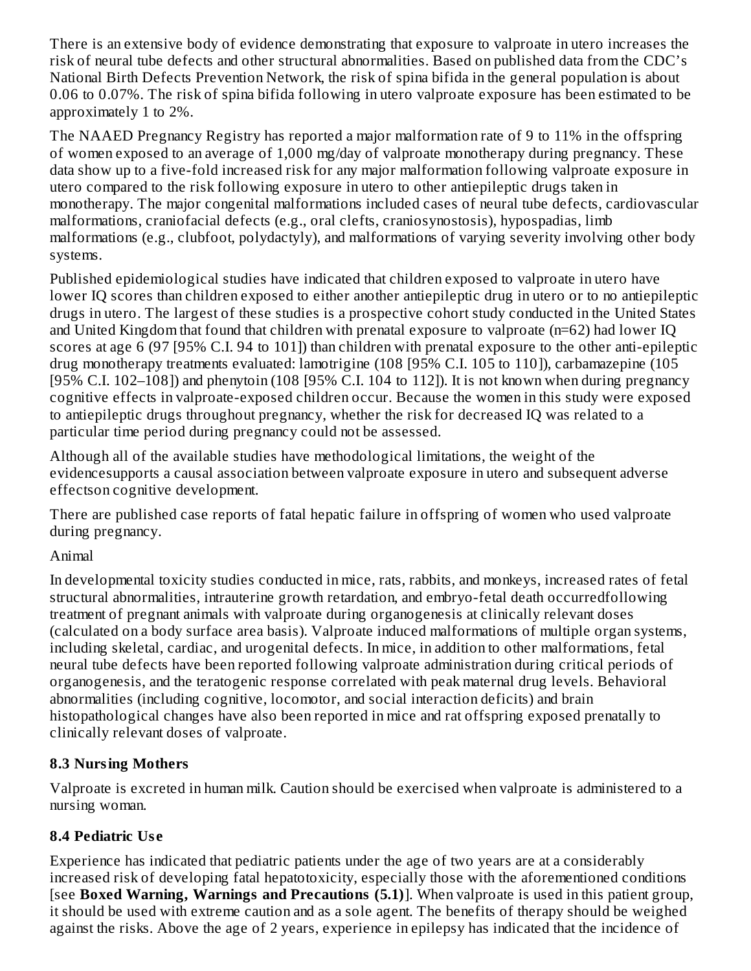There is an extensive body of evidence demonstrating that exposure to valproate in utero increases the risk of neural tube defects and other structural abnormalities. Based on published data from the CDC's National Birth Defects Prevention Network, the risk of spina bifida in the general population is about 0.06 to 0.07%. The risk of spina bifida following in utero valproate exposure has been estimated to be approximately 1 to 2%.

The NAAED Pregnancy Registry has reported a major malformation rate of 9 to 11% in the offspring of women exposed to an average of 1,000 mg/day of valproate monotherapy during pregnancy. These data show up to a five-fold increased risk for any major malformation following valproate exposure in utero compared to the risk following exposure in utero to other antiepileptic drugs taken in monotherapy. The major congenital malformations included cases of neural tube defects, cardiovascular malformations, craniofacial defects (e.g., oral clefts, craniosynostosis), hypospadias, limb malformations (e.g., clubfoot, polydactyly), and malformations of varying severity involving other body systems.

Published epidemiological studies have indicated that children exposed to valproate in utero have lower IQ scores than children exposed to either another antiepileptic drug in utero or to no antiepileptic drugs in utero. The largest of these studies is a prospective cohort study conducted in the United States and United Kingdom that found that children with prenatal exposure to valproate (n=62) had lower IQ scores at age 6 (97 [95% C.I. 94 to 101]) than children with prenatal exposure to the other anti-epileptic drug monotherapy treatments evaluated: lamotrigine (108 [95% C.I. 105 to 110]), carbamazepine (105 [95% C.I. 102–108]) and phenytoin (108 [95% C.I. 104 to 112]). It is not known when during pregnancy cognitive effects in valproate-exposed children occur. Because the women in this study were exposed to antiepileptic drugs throughout pregnancy, whether the risk for decreased IQ was related to a particular time period during pregnancy could not be assessed.

Although all of the available studies have methodological limitations, the weight of the evidencesupports a causal association between valproate exposure in utero and subsequent adverse effectson cognitive development.

There are published case reports of fatal hepatic failure in offspring of women who used valproate during pregnancy.

## Animal

In developmental toxicity studies conducted in mice, rats, rabbits, and monkeys, increased rates of fetal structural abnormalities, intrauterine growth retardation, and embryo-fetal death occurredfollowing treatment of pregnant animals with valproate during organogenesis at clinically relevant doses (calculated on a body surface area basis). Valproate induced malformations of multiple organ systems, including skeletal, cardiac, and urogenital defects. In mice, in addition to other malformations, fetal neural tube defects have been reported following valproate administration during critical periods of organogenesis, and the teratogenic response correlated with peak maternal drug levels. Behavioral abnormalities (including cognitive, locomotor, and social interaction deficits) and brain histopathological changes have also been reported in mice and rat offspring exposed prenatally to clinically relevant doses of valproate.

## **8.3 Nursing Mothers**

Valproate is excreted in human milk. Caution should be exercised when valproate is administered to a nursing woman.

## **8.4 Pediatric Us e**

Experience has indicated that pediatric patients under the age of two years are at a considerably increased risk of developing fatal hepatotoxicity, especially those with the aforementioned conditions [see **Boxed Warning, Warnings and Precautions (5.1)**]. When valproate is used in this patient group, it should be used with extreme caution and as a sole agent. The benefits of therapy should be weighed against the risks. Above the age of 2 years, experience in epilepsy has indicated that the incidence of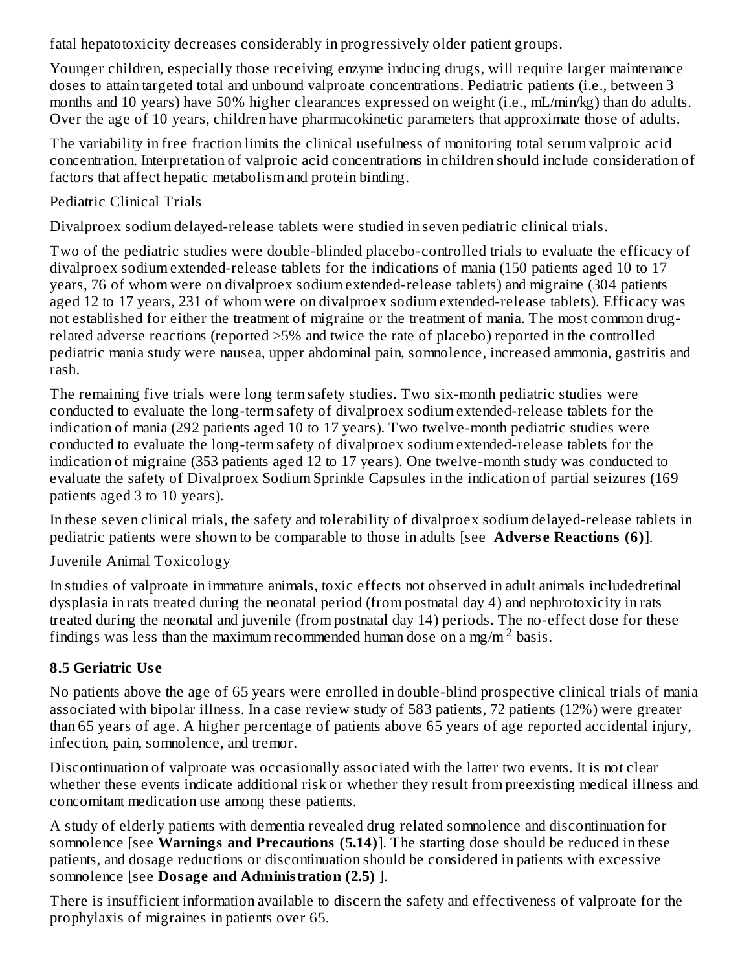fatal hepatotoxicity decreases considerably in progressively older patient groups.

Younger children, especially those receiving enzyme inducing drugs, will require larger maintenance doses to attain targeted total and unbound valproate concentrations. Pediatric patients (i.e., between 3 months and 10 years) have 50% higher clearances expressed on weight (i.e., mL/min/kg) than do adults. Over the age of 10 years, children have pharmacokinetic parameters that approximate those of adults.

The variability in free fraction limits the clinical usefulness of monitoring total serum valproic acid concentration. Interpretation of valproic acid concentrations in children should include consideration of factors that affect hepatic metabolism and protein binding.

Pediatric Clinical Trials

Divalproex sodium delayed-release tablets were studied in seven pediatric clinical trials.

Two of the pediatric studies were double-blinded placebo-controlled trials to evaluate the efficacy of divalproex sodium extended-release tablets for the indications of mania (150 patients aged 10 to 17 years, 76 of whom were on divalproex sodium extended-release tablets) and migraine (304 patients aged 12 to 17 years, 231 of whom were on divalproex sodium extended-release tablets). Efficacy was not established for either the treatment of migraine or the treatment of mania. The most common drugrelated adverse reactions (reported >5% and twice the rate of placebo) reported in the controlled pediatric mania study were nausea, upper abdominal pain, somnolence, increased ammonia, gastritis and rash.

The remaining five trials were long term safety studies. Two six-month pediatric studies were conducted to evaluate the long-term safety of divalproex sodium extended-release tablets for the indication of mania (292 patients aged 10 to 17 years). Two twelve-month pediatric studies were conducted to evaluate the long-term safety of divalproex sodium extended-release tablets for the indication of migraine (353 patients aged 12 to 17 years). One twelve-month study was conducted to evaluate the safety of Divalproex Sodium Sprinkle Capsules in the indication of partial seizures (169 patients aged 3 to 10 years).

In these seven clinical trials, the safety and tolerability of divalproex sodium delayed-release tablets in pediatric patients were shown to be comparable to those in adults [see **Advers e Reactions (6)**].

Juvenile Animal Toxicology

In studies of valproate in immature animals, toxic effects not observed in adult animals includedretinal dysplasia in rats treated during the neonatal period (from postnatal day 4) and nephrotoxicity in rats treated during the neonatal and juvenile (from postnatal day 14) periods. The no-effect dose for these findings was less than the maximum recommended human dose on a mg/m<sup>2</sup> basis.

## **8.5 Geriatric Us e**

No patients above the age of 65 years were enrolled in double-blind prospective clinical trials of mania associated with bipolar illness. In a case review study of 583 patients, 72 patients (12%) were greater than 65 years of age. A higher percentage of patients above 65 years of age reported accidental injury, infection, pain, somnolence, and tremor.

Discontinuation of valproate was occasionally associated with the latter two events. It is not clear whether these events indicate additional risk or whether they result from preexisting medical illness and concomitant medication use among these patients.

A study of elderly patients with dementia revealed drug related somnolence and discontinuation for somnolence [see **Warnings and Precautions (5.14)**]. The starting dose should be reduced in these patients, and dosage reductions or discontinuation should be considered in patients with excessive somnolence [see **Dosage and Administration (2.5)** ].

There is insufficient information available to discern the safety and effectiveness of valproate for the prophylaxis of migraines in patients over 65.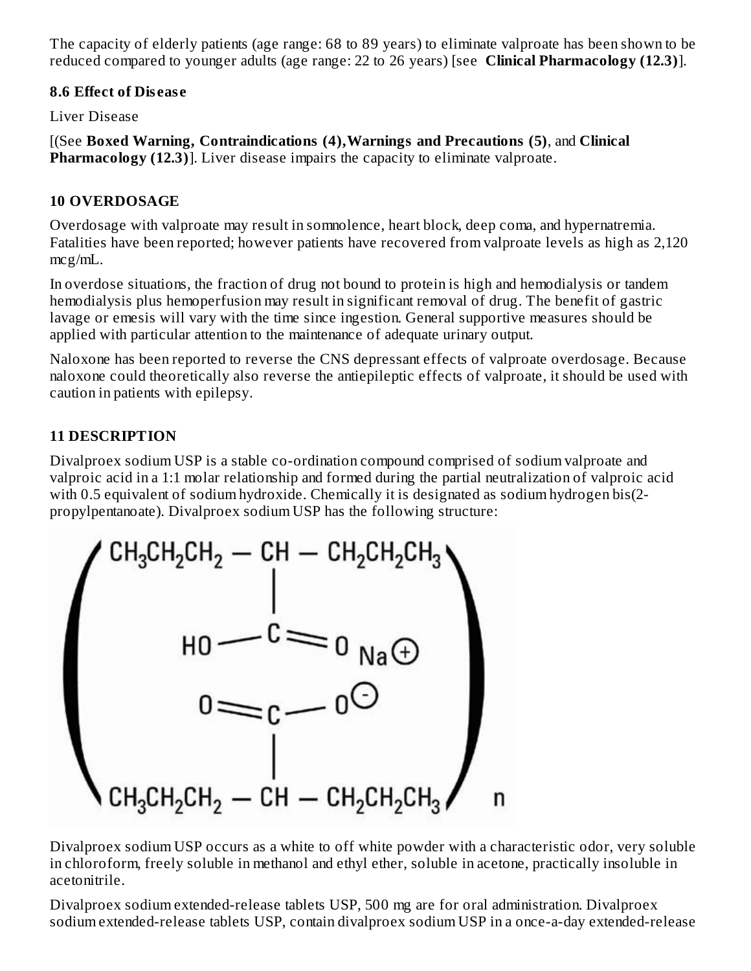The capacity of elderly patients (age range: 68 to 89 years) to eliminate valproate has been shown to be reduced compared to younger adults (age range: 22 to 26 years) [see **Clinical Pharmacology (12.3)**].

#### **8.6 Effect of Dis eas e**

Liver Disease

[(See **Boxed Warning, Contraindications (4),Warnings and Precautions (5)**, and **Clinical Pharmacology (12.3)**]. Liver disease impairs the capacity to eliminate valproate.

#### **10 OVERDOSAGE**

Overdosage with valproate may result in somnolence, heart block, deep coma, and hypernatremia. Fatalities have been reported; however patients have recovered from valproate levels as high as 2,120 mcg/mL.

In overdose situations, the fraction of drug not bound to protein is high and hemodialysis or tandem hemodialysis plus hemoperfusion may result in significant removal of drug. The benefit of gastric lavage or emesis will vary with the time since ingestion. General supportive measures should be applied with particular attention to the maintenance of adequate urinary output.

Naloxone has been reported to reverse the CNS depressant effects of valproate overdosage. Because naloxone could theoretically also reverse the antiepileptic effects of valproate, it should be used with caution in patients with epilepsy.

## **11 DESCRIPTION**

Divalproex sodium USP is a stable co-ordination compound comprised of sodium valproate and valproic acid in a 1:1 molar relationship and formed during the partial neutralization of valproic acid with 0.5 equivalent of sodium hydroxide. Chemically it is designated as sodium hydrogen bis(2 propylpentanoate). Divalproex sodium USP has the following structure:



Divalproex sodium USP occurs as a white to off white powder with a characteristic odor, very soluble in chloroform, freely soluble in methanol and ethyl ether, soluble in acetone, practically insoluble in acetonitrile.

Divalproex sodium extended-release tablets USP, 500 mg are for oral administration. Divalproex sodium extended-release tablets USP, contain divalproex sodium USP in a once-a-day extended-release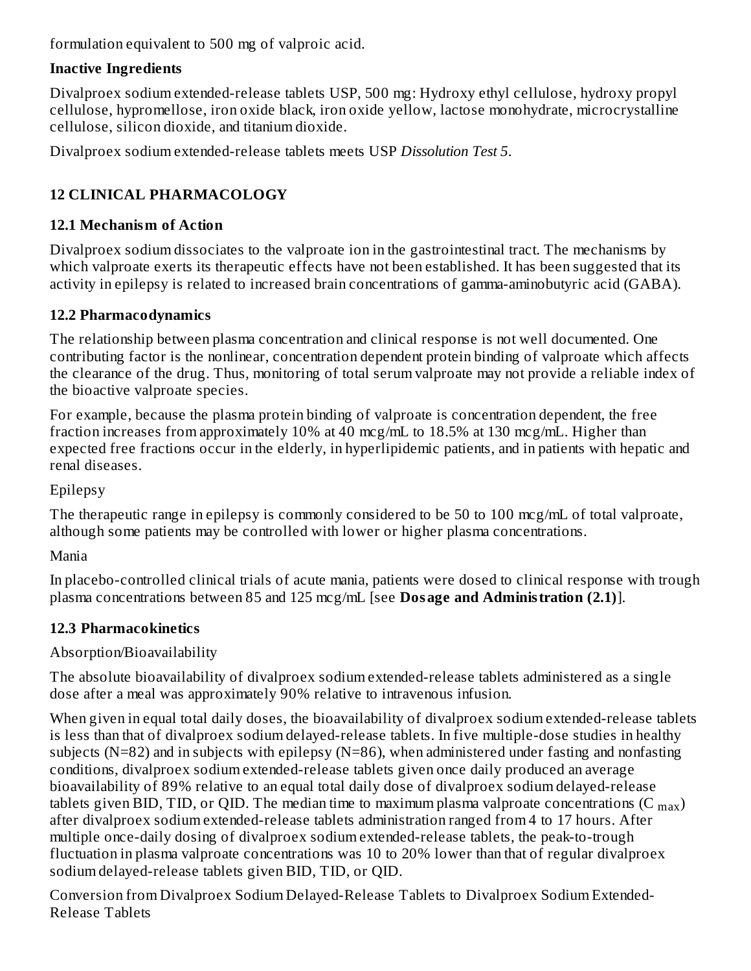formulation equivalent to 500 mg of valproic acid.

## **Inactive Ingredients**

Divalproex sodium extended-release tablets USP, 500 mg: Hydroxy ethyl cellulose, hydroxy propyl cellulose, hypromellose, iron oxide black, iron oxide yellow, lactose monohydrate, microcrystalline cellulose, silicon dioxide, and titanium dioxide.

Divalproex sodium extended-release tablets meets USP *Dissolution Test 5*.

# **12 CLINICAL PHARMACOLOGY**

# **12.1 Mechanism of Action**

Divalproex sodium dissociates to the valproate ion in the gastrointestinal tract. The mechanisms by which valproate exerts its therapeutic effects have not been established. It has been suggested that its activity in epilepsy is related to increased brain concentrations of gamma-aminobutyric acid (GABA).

# **12.2 Pharmacodynamics**

The relationship between plasma concentration and clinical response is not well documented. One contributing factor is the nonlinear, concentration dependent protein binding of valproate which affects the clearance of the drug. Thus, monitoring of total serum valproate may not provide a reliable index of the bioactive valproate species.

For example, because the plasma protein binding of valproate is concentration dependent, the free fraction increases from approximately 10% at 40 mcg/mL to 18.5% at 130 mcg/mL. Higher than expected free fractions occur in the elderly, in hyperlipidemic patients, and in patients with hepatic and renal diseases.

Epilepsy

The therapeutic range in epilepsy is commonly considered to be 50 to 100 mcg/mL of total valproate, although some patients may be controlled with lower or higher plasma concentrations.

Mania

In placebo-controlled clinical trials of acute mania, patients were dosed to clinical response with trough plasma concentrations between 85 and 125 mcg/mL [see **Dosage and Administration (2.1)**].

# **12.3 Pharmacokinetics**

# Absorption/Bioavailability

The absolute bioavailability of divalproex sodium extended-release tablets administered as a single dose after a meal was approximately 90% relative to intravenous infusion.

When given in equal total daily doses, the bioavailability of divalproex sodium extended-release tablets is less than that of divalproex sodium delayed-release tablets. In five multiple-dose studies in healthy subjects ( $N=82$ ) and in subjects with epilepsy ( $N=86$ ), when administered under fasting and nonfasting conditions, divalproex sodium extended-release tablets given once daily produced an average bioavailability of 89% relative to an equal total daily dose of divalproex sodium delayed-release tablets given BID, TID, or QID. The median time to maximum plasma valproate concentrations (C  $_{\rm max}$ ) after divalproex sodium extended-release tablets administration ranged from 4 to 17 hours. After multiple once-daily dosing of divalproex sodium extended-release tablets, the peak-to-trough fluctuation in plasma valproate concentrations was 10 to 20% lower than that of regular divalproex sodium delayed-release tablets given BID, TID, or QID.

Conversion from Divalproex Sodium Delayed-Release Tablets to Divalproex Sodium Extended-Release Tablets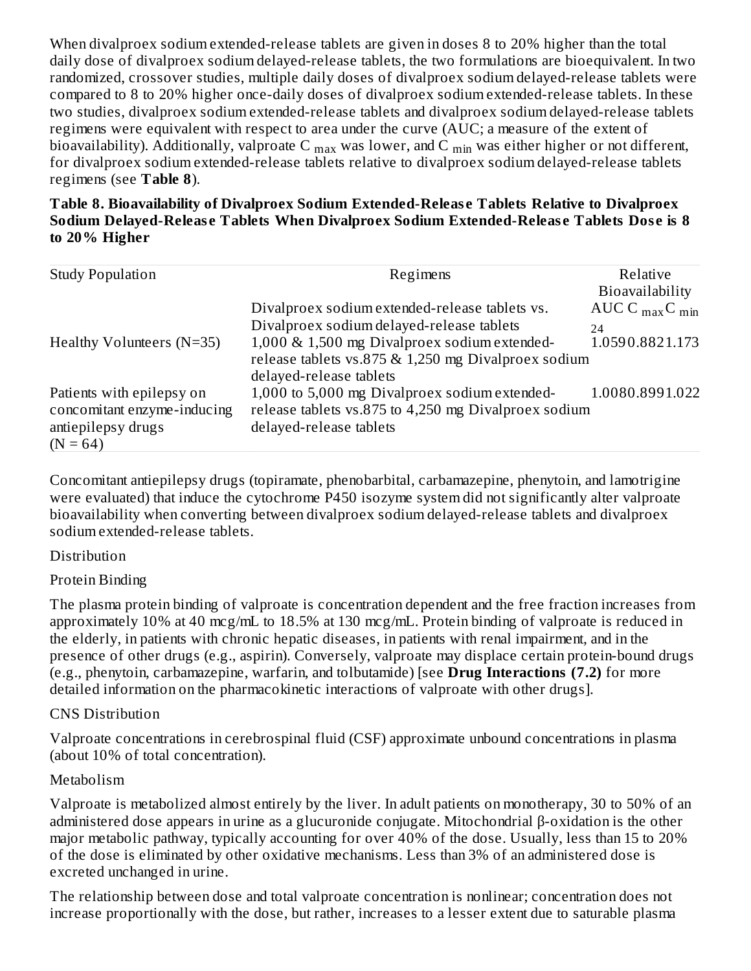When divalproex sodium extended-release tablets are given in doses 8 to 20% higher than the total daily dose of divalproex sodium delayed-release tablets, the two formulations are bioequivalent. In two randomized, crossover studies, multiple daily doses of divalproex sodium delayed-release tablets were compared to 8 to 20% higher once-daily doses of divalproex sodium extended-release tablets. In these two studies, divalproex sodium extended-release tablets and divalproex sodium delayed-release tablets regimens were equivalent with respect to area under the curve (AUC; a measure of the extent of bioavailability). Additionally, valproate C  $_{\rm max}$  was lower, and C  $_{\rm min}$  was either higher or not different, for divalproex sodium extended-release tablets relative to divalproex sodium delayed-release tablets regimens (see **Table 8**).

**Table 8. Bioavailability of Divalproex Sodium Extended-Releas e Tablets Relative to Divalproex Sodium Delayed-Releas e Tablets When Divalproex Sodium Extended-Releas e Tablets Dos e is 8 to 20% Higher**

| <b>Study Population</b>     | Regimens                                             | Relative                                |
|-----------------------------|------------------------------------------------------|-----------------------------------------|
|                             |                                                      | Bioavailability                         |
|                             | Divalproex sodium extended-release tablets vs.       | AUC C $_{\text{max}}$ C $_{\text{min}}$ |
|                             | Divalproex sodium delayed-release tablets            | 24                                      |
| Healthy Volunteers $(N=35)$ | 1,000 & 1,500 mg Divalproex sodium extended-         | 1.0590.8821.173                         |
|                             | release tablets vs.875 & 1,250 mg Divalproex sodium  |                                         |
|                             | delayed-release tablets                              |                                         |
| Patients with epilepsy on   | 1,000 to 5,000 mg Divalproex sodium extended-        | 1.0080.8991.022                         |
| concomitant enzyme-inducing | release tablets vs.875 to 4,250 mg Divalproex sodium |                                         |
| antiepilepsy drugs          | delayed-release tablets                              |                                         |
| $(N = 64)$                  |                                                      |                                         |

Concomitant antiepilepsy drugs (topiramate, phenobarbital, carbamazepine, phenytoin, and lamotrigine were evaluated) that induce the cytochrome P450 isozyme system did not significantly alter valproate bioavailability when converting between divalproex sodium delayed-release tablets and divalproex sodium extended-release tablets.

#### **Distribution**

#### Protein Binding

The plasma protein binding of valproate is concentration dependent and the free fraction increases from approximately 10% at 40 mcg/mL to 18.5% at 130 mcg/mL. Protein binding of valproate is reduced in the elderly, in patients with chronic hepatic diseases, in patients with renal impairment, and in the presence of other drugs (e.g., aspirin). Conversely, valproate may displace certain protein-bound drugs (e.g., phenytoin, carbamazepine, warfarin, and tolbutamide) [see **Drug Interactions (7.2)** for more detailed information on the pharmacokinetic interactions of valproate with other drugs].

#### CNS Distribution

Valproate concentrations in cerebrospinal fluid (CSF) approximate unbound concentrations in plasma (about 10% of total concentration).

#### Metabolism

Valproate is metabolized almost entirely by the liver. In adult patients on monotherapy, 30 to 50% of an administered dose appears in urine as a glucuronide conjugate. Mitochondrial β-oxidation is the other major metabolic pathway, typically accounting for over 40% of the dose. Usually, less than 15 to 20% of the dose is eliminated by other oxidative mechanisms. Less than 3% of an administered dose is excreted unchanged in urine.

The relationship between dose and total valproate concentration is nonlinear; concentration does not increase proportionally with the dose, but rather, increases to a lesser extent due to saturable plasma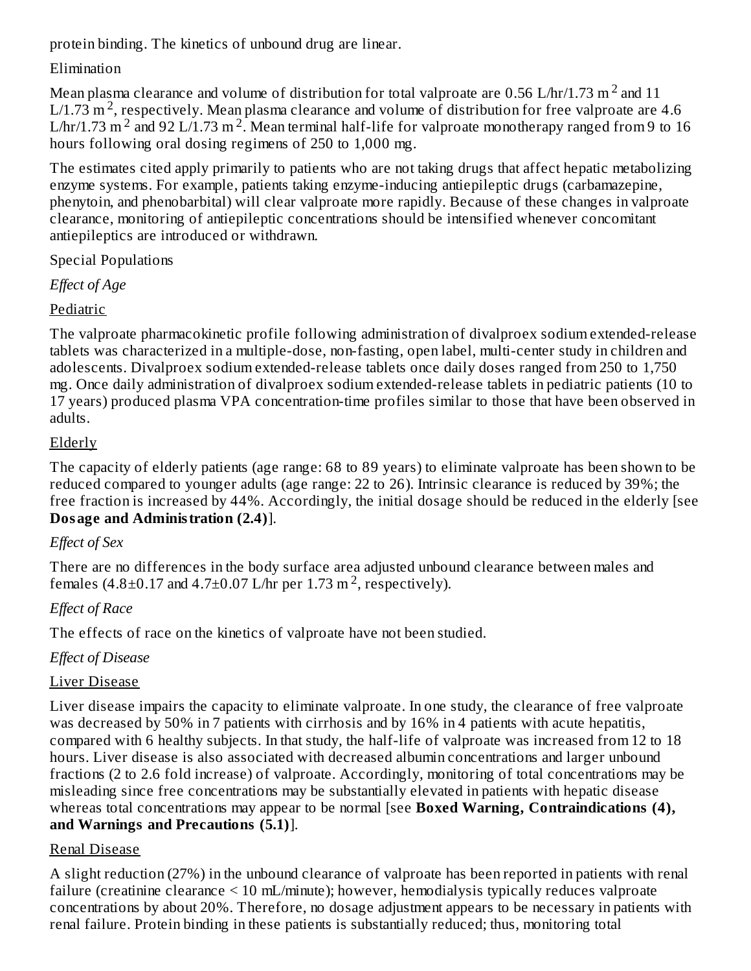protein binding. The kinetics of unbound drug are linear.

## Elimination

Mean plasma clearance and volume of distribution for total valproate are 0.56 L/hr/1.73 m  $^2$  and 11 L/1.73 m<sup>2</sup>, respectively. Mean plasma clearance and volume of distribution for free valproate are 4.6 L/hr/1.73 m<sup>2</sup> and 92 L/1.73 m<sup>2</sup>. Mean terminal half-life for valproate monotherapy ranged from 9 to 16 hours following oral dosing regimens of 250 to 1,000 mg.

The estimates cited apply primarily to patients who are not taking drugs that affect hepatic metabolizing enzyme systems. For example, patients taking enzyme-inducing antiepileptic drugs (carbamazepine, phenytoin, and phenobarbital) will clear valproate more rapidly. Because of these changes in valproate clearance, monitoring of antiepileptic concentrations should be intensified whenever concomitant antiepileptics are introduced or withdrawn.

Special Populations

*Effect of Age*

# Pediatric

The valproate pharmacokinetic profile following administration of divalproex sodium extended-release tablets was characterized in a multiple-dose, non-fasting, open label, multi-center study in children and adolescents. Divalproex sodium extended-release tablets once daily doses ranged from 250 to 1,750 mg. Once daily administration of divalproex sodium extended-release tablets in pediatric patients (10 to 17 years) produced plasma VPA concentration-time profiles similar to those that have been observed in adults.

## Elderly

The capacity of elderly patients (age range: 68 to 89 years) to eliminate valproate has been shown to be reduced compared to younger adults (age range: 22 to 26). Intrinsic clearance is reduced by 39%; the free fraction is increased by 44%. Accordingly, the initial dosage should be reduced in the elderly [see **Dosage and Administration (2.4)**].

# *Effect of Sex*

There are no differences in the body surface area adjusted unbound clearance between males and females  $(4.8\pm0.17$  and  $4.7\pm0.07$  L/hr per 1.73 m<sup>2</sup>, respectively).

# *Effect of Race*

The effects of race on the kinetics of valproate have not been studied.

# *Effect of Disease*

# Liver Disease

Liver disease impairs the capacity to eliminate valproate. In one study, the clearance of free valproate was decreased by 50% in 7 patients with cirrhosis and by 16% in 4 patients with acute hepatitis, compared with 6 healthy subjects. In that study, the half-life of valproate was increased from 12 to 18 hours. Liver disease is also associated with decreased albumin concentrations and larger unbound fractions (2 to 2.6 fold increase) of valproate. Accordingly, monitoring of total concentrations may be misleading since free concentrations may be substantially elevated in patients with hepatic disease whereas total concentrations may appear to be normal [see **Boxed Warning, Contraindications (4), and Warnings and Precautions (5.1)**].

# Renal Disease

A slight reduction (27%) in the unbound clearance of valproate has been reported in patients with renal failure (creatinine clearance < 10 mL/minute); however, hemodialysis typically reduces valproate concentrations by about 20%. Therefore, no dosage adjustment appears to be necessary in patients with renal failure. Protein binding in these patients is substantially reduced; thus, monitoring total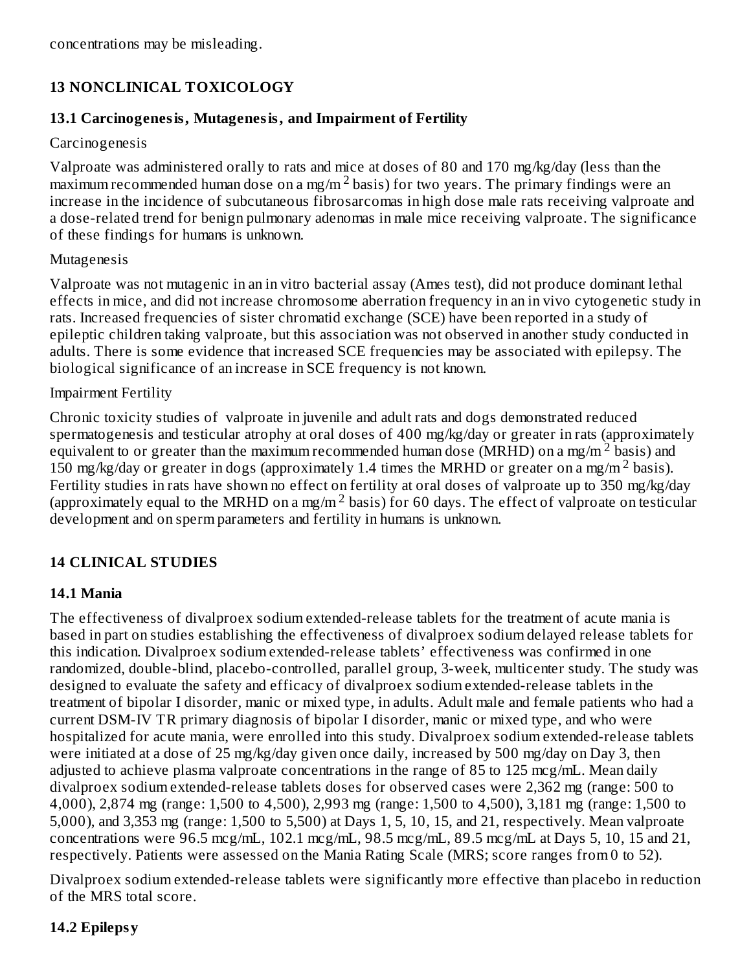concentrations may be misleading.

## **13 NONCLINICAL TOXICOLOGY**

#### **13.1 Carcinogenesis, Mutagenesis, and Impairment of Fertility**

#### Carcinogenesis

Valproate was administered orally to rats and mice at doses of 80 and 170 mg/kg/day (less than the  $maximum$  recommended human dose on a mg/m<sup>2</sup> basis) for two years. The primary findings were an increase in the incidence of subcutaneous fibrosarcomas in high dose male rats receiving valproate and a dose-related trend for benign pulmonary adenomas in male mice receiving valproate. The significance of these findings for humans is unknown.

#### Mutagenesis

Valproate was not mutagenic in an in vitro bacterial assay (Ames test), did not produce dominant lethal effects in mice, and did not increase chromosome aberration frequency in an in vivo cytogenetic study in rats. Increased frequencies of sister chromatid exchange (SCE) have been reported in a study of epileptic children taking valproate, but this association was not observed in another study conducted in adults. There is some evidence that increased SCE frequencies may be associated with epilepsy. The biological significance of an increase in SCE frequency is not known.

#### Impairment Fertility

Chronic toxicity studies of valproate in juvenile and adult rats and dogs demonstrated reduced spermatogenesis and testicular atrophy at oral doses of 400 mg/kg/day or greater in rats (approximately equivalent to or greater than the maximum recommended human dose (MRHD) on a mg/m<sup>2</sup> basis) and 150 mg/kg/day or greater in dogs (approximately 1.4 times the MRHD or greater on a mg/m<sup>2</sup> basis). Fertility studies in rats have shown no effect on fertility at oral doses of valproate up to 350 mg/kg/day (approximately equal to the MRHD on a mg/m<sup>2</sup> basis) for 60 days. The effect of valproate on testicular development and on sperm parameters and fertility in humans is unknown.

## **14 CLINICAL STUDIES**

## **14.1 Mania**

The effectiveness of divalproex sodium extended-release tablets for the treatment of acute mania is based in part on studies establishing the effectiveness of divalproex sodium delayed release tablets for this indication. Divalproex sodium extended-release tablets' effectiveness was confirmed in one randomized, double-blind, placebo-controlled, parallel group, 3-week, multicenter study. The study was designed to evaluate the safety and efficacy of divalproex sodium extended-release tablets in the treatment of bipolar I disorder, manic or mixed type, in adults. Adult male and female patients who had a current DSM-IV TR primary diagnosis of bipolar I disorder, manic or mixed type, and who were hospitalized for acute mania, were enrolled into this study. Divalproex sodium extended-release tablets were initiated at a dose of 25 mg/kg/day given once daily, increased by 500 mg/day on Day 3, then adjusted to achieve plasma valproate concentrations in the range of 85 to 125 mcg/mL. Mean daily divalproex sodium extended-release tablets doses for observed cases were 2,362 mg (range: 500 to 4,000), 2,874 mg (range: 1,500 to 4,500), 2,993 mg (range: 1,500 to 4,500), 3,181 mg (range: 1,500 to 5,000), and 3,353 mg (range: 1,500 to 5,500) at Days 1, 5, 10, 15, and 21, respectively. Mean valproate concentrations were 96.5 mcg/mL, 102.1 mcg/mL, 98.5 mcg/mL, 89.5 mcg/mL at Days 5, 10, 15 and 21, respectively. Patients were assessed on the Mania Rating Scale (MRS; score ranges from 0 to 52).

Divalproex sodium extended-release tablets were significantly more effective than placebo in reduction of the MRS total score.

## **14.2 Epilepsy**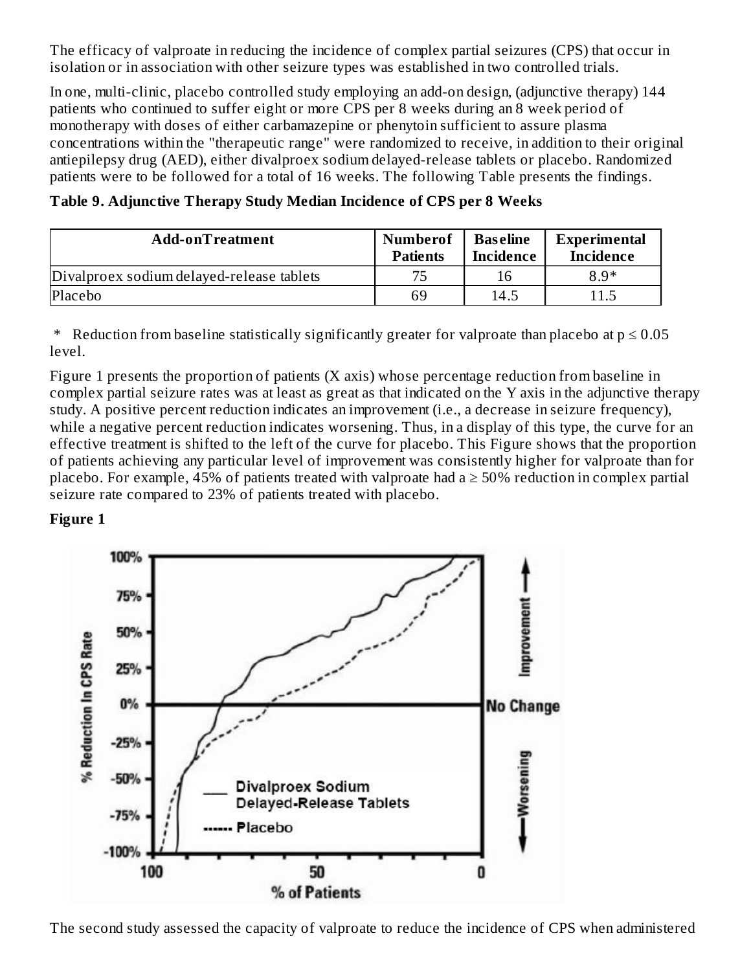The efficacy of valproate in reducing the incidence of complex partial seizures (CPS) that occur in isolation or in association with other seizure types was established in two controlled trials.

In one, multi-clinic, placebo controlled study employing an add-on design, (adjunctive therapy) 144 patients who continued to suffer eight or more CPS per 8 weeks during an 8 week period of monotherapy with doses of either carbamazepine or phenytoin sufficient to assure plasma concentrations within the "therapeutic range" were randomized to receive, in addition to their original antiepilepsy drug (AED), either divalproex sodium delayed-release tablets or placebo. Randomized patients were to be followed for a total of 16 weeks. The following Table presents the findings.

| Add-onTreatment                           | <b>Numberof</b><br><b>Patients</b> | <b>Baseline</b><br>Incidence | Experimental<br><b>Incidence</b> |
|-------------------------------------------|------------------------------------|------------------------------|----------------------------------|
| Divalproex sodium delayed-release tablets | 75                                 | 16                           | $8.9*$                           |
| Placebo                                   | 69                                 | 14.5                         | 11.5                             |

**Table 9. Adjunctive Therapy Study Median Incidence of CPS per 8 Weeks**

\* Reduction from baseline statistically significantly greater for valproate than placebo at  $p \le 0.05$ level.

Figure 1 presents the proportion of patients (X axis) whose percentage reduction from baseline in complex partial seizure rates was at least as great as that indicated on the Y axis in the adjunctive therapy study. A positive percent reduction indicates an improvement (i.e., a decrease in seizure frequency), while a negative percent reduction indicates worsening. Thus, in a display of this type, the curve for an effective treatment is shifted to the left of the curve for placebo. This Figure shows that the proportion of patients achieving any particular level of improvement was consistently higher for valproate than for placebo. For example, 45% of patients treated with valproate had a  $\geq$  50% reduction in complex partial seizure rate compared to 23% of patients treated with placebo.

#### **Figure 1**



The second study assessed the capacity of valproate to reduce the incidence of CPS when administered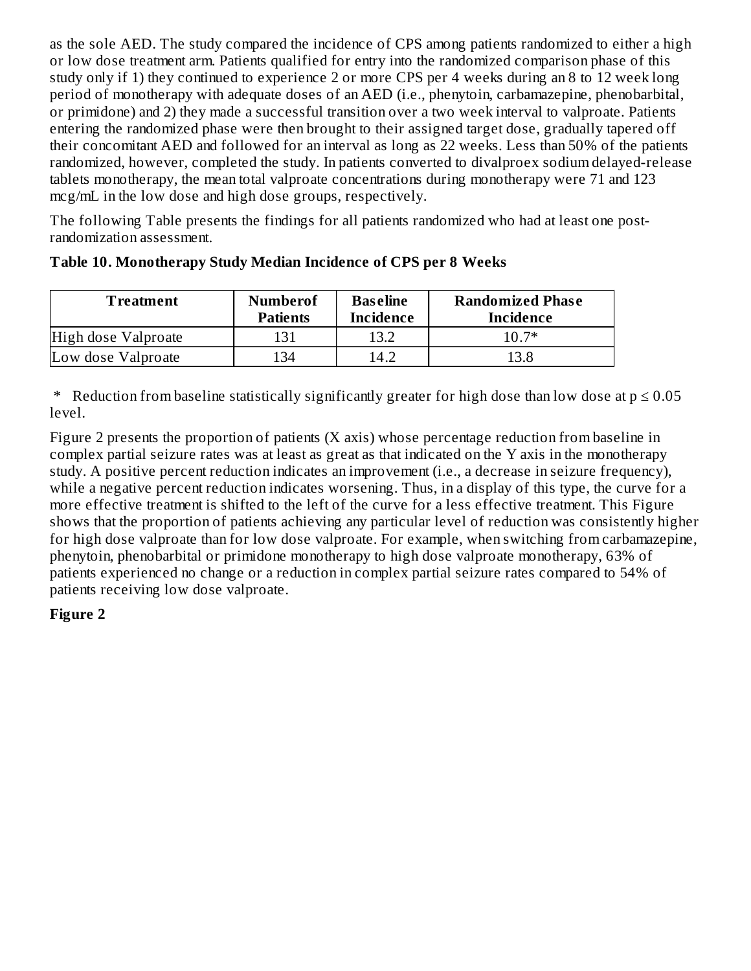as the sole AED. The study compared the incidence of CPS among patients randomized to either a high or low dose treatment arm. Patients qualified for entry into the randomized comparison phase of this study only if 1) they continued to experience 2 or more CPS per 4 weeks during an 8 to 12 week long period of monotherapy with adequate doses of an AED (i.e., phenytoin, carbamazepine, phenobarbital, or primidone) and 2) they made a successful transition over a two week interval to valproate. Patients entering the randomized phase were then brought to their assigned target dose, gradually tapered off their concomitant AED and followed for an interval as long as 22 weeks. Less than 50% of the patients randomized, however, completed the study. In patients converted to divalproex sodium delayed-release tablets monotherapy, the mean total valproate concentrations during monotherapy were 71 and 123 mcg/mL in the low dose and high dose groups, respectively.

The following Table presents the findings for all patients randomized who had at least one postrandomization assessment.

| Treatment           | <b>Numberof</b><br><b>Patients</b> | <b>Baseline</b><br><b>Incidence</b> | <b>Randomized Phase</b><br>Incidence |
|---------------------|------------------------------------|-------------------------------------|--------------------------------------|
| High dose Valproate | 131                                | 13.2                                | 10.7*                                |
| Low dose Valproate  | 134                                | 14.2                                | 13.8                                 |

#### **Table 10. Monotherapy Study Median Incidence of CPS per 8 Weeks**

\* Reduction from baseline statistically significantly greater for high dose than low dose at  $p \le 0.05$ level.

Figure 2 presents the proportion of patients (X axis) whose percentage reduction from baseline in complex partial seizure rates was at least as great as that indicated on the Y axis in the monotherapy study. A positive percent reduction indicates an improvement (i.e., a decrease in seizure frequency), while a negative percent reduction indicates worsening. Thus, in a display of this type, the curve for a more effective treatment is shifted to the left of the curve for a less effective treatment. This Figure shows that the proportion of patients achieving any particular level of reduction was consistently higher for high dose valproate than for low dose valproate. For example, when switching from carbamazepine, phenytoin, phenobarbital or primidone monotherapy to high dose valproate monotherapy, 63% of patients experienced no change or a reduction in complex partial seizure rates compared to 54% of patients receiving low dose valproate.

## **Figure 2**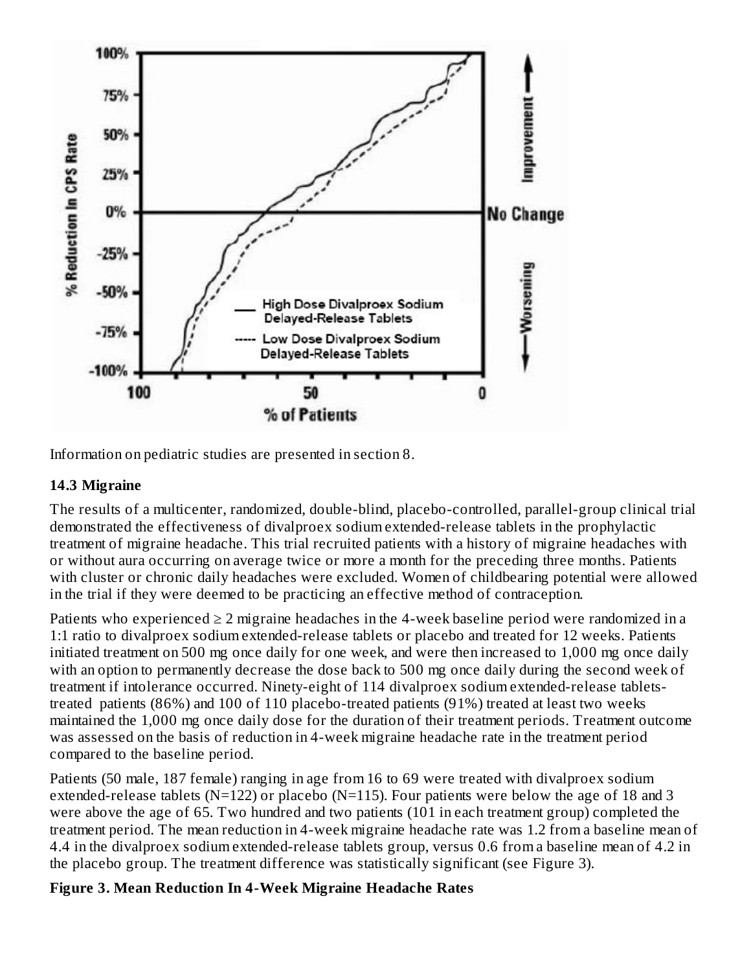

Information on pediatric studies are presented in section 8.

#### **14.3 Migraine**

The results of a multicenter, randomized, double-blind, placebo-controlled, parallel-group clinical trial demonstrated the effectiveness of divalproex sodium extended-release tablets in the prophylactic treatment of migraine headache. This trial recruited patients with a history of migraine headaches with or without aura occurring on average twice or more a month for the preceding three months. Patients with cluster or chronic daily headaches were excluded. Women of childbearing potential were allowed in the trial if they were deemed to be practicing an effective method of contraception.

Patients who experienced  $\geq 2$  migraine headaches in the 4-week baseline period were randomized in a 1:1 ratio to divalproex sodium extended-release tablets or placebo and treated for 12 weeks. Patients initiated treatment on 500 mg once daily for one week, and were then increased to 1,000 mg once daily with an option to permanently decrease the dose back to 500 mg once daily during the second week of treatment if intolerance occurred. Ninety-eight of 114 divalproex sodium extended-release tabletstreated patients (86%) and 100 of 110 placebo-treated patients (91%) treated at least two weeks maintained the 1,000 mg once daily dose for the duration of their treatment periods. Treatment outcome was assessed on the basis of reduction in 4-week migraine headache rate in the treatment period compared to the baseline period.

Patients (50 male, 187 female) ranging in age from 16 to 69 were treated with divalproex sodium extended-release tablets ( $N=122$ ) or placebo ( $N=115$ ). Four patients were below the age of 18 and 3 were above the age of 65. Two hundred and two patients (101 in each treatment group) completed the treatment period. The mean reduction in 4-week migraine headache rate was 1.2 from a baseline mean of 4.4 in the divalproex sodium extended-release tablets group, versus 0.6 from a baseline mean of 4.2 in the placebo group. The treatment difference was statistically significant (see Figure 3).

## **Figure 3. Mean Reduction In 4-Week Migraine Headache Rates**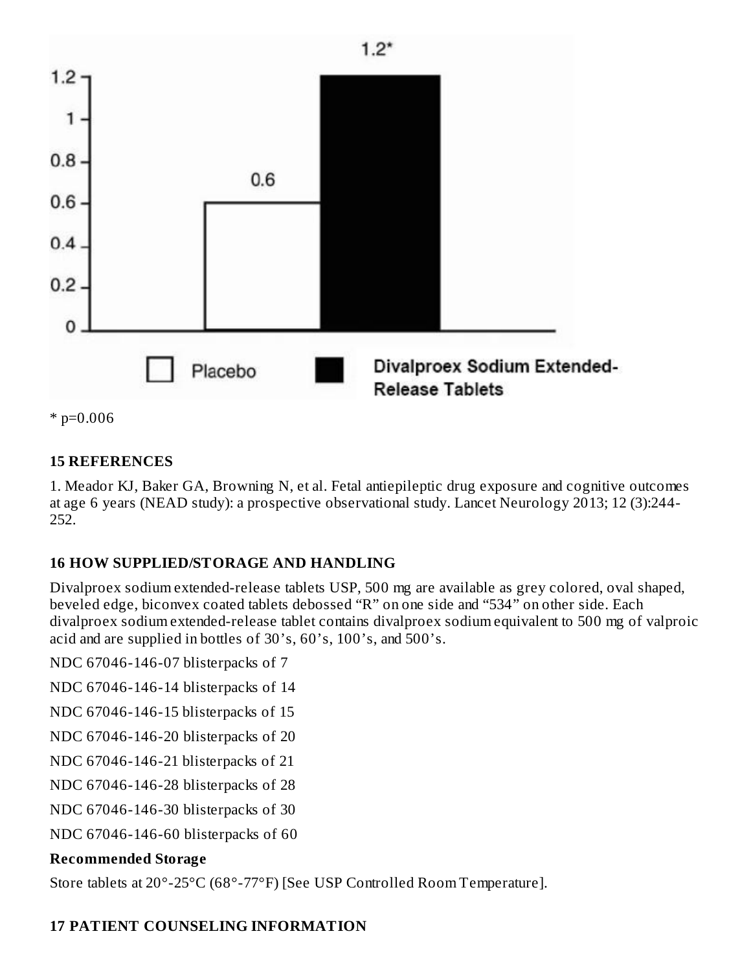

 $*$  p=0.006

#### **15 REFERENCES**

1. Meador KJ, Baker GA, Browning N, et al. Fetal antiepileptic drug exposure and cognitive outcomes at age 6 years (NEAD study): a prospective observational study. Lancet Neurology 2013; 12 (3):244- 252.

## **16 HOW SUPPLIED/STORAGE AND HANDLING**

Divalproex sodium extended-release tablets USP, 500 mg are available as grey colored, oval shaped, beveled edge, biconvex coated tablets debossed "R" on one side and "534" on other side. Each divalproex sodium extended-release tablet contains divalproex sodium equivalent to 500 mg of valproic acid and are supplied in bottles of 30's, 60's, 100's, and 500's.

NDC 67046-146-07 blisterpacks of 7

NDC 67046-146-14 blisterpacks of 14

NDC 67046-146-15 blisterpacks of 15

NDC 67046-146-20 blisterpacks of 20

NDC 67046-146-21 blisterpacks of 21

NDC 67046-146-28 blisterpacks of 28

NDC 67046-146-30 blisterpacks of 30

NDC 67046-146-60 blisterpacks of 60

# **Recommended Storage**

Store tablets at 20°-25°C (68°-77°F) [See USP Controlled Room Temperature].

# **17 PATIENT COUNSELING INFORMATION**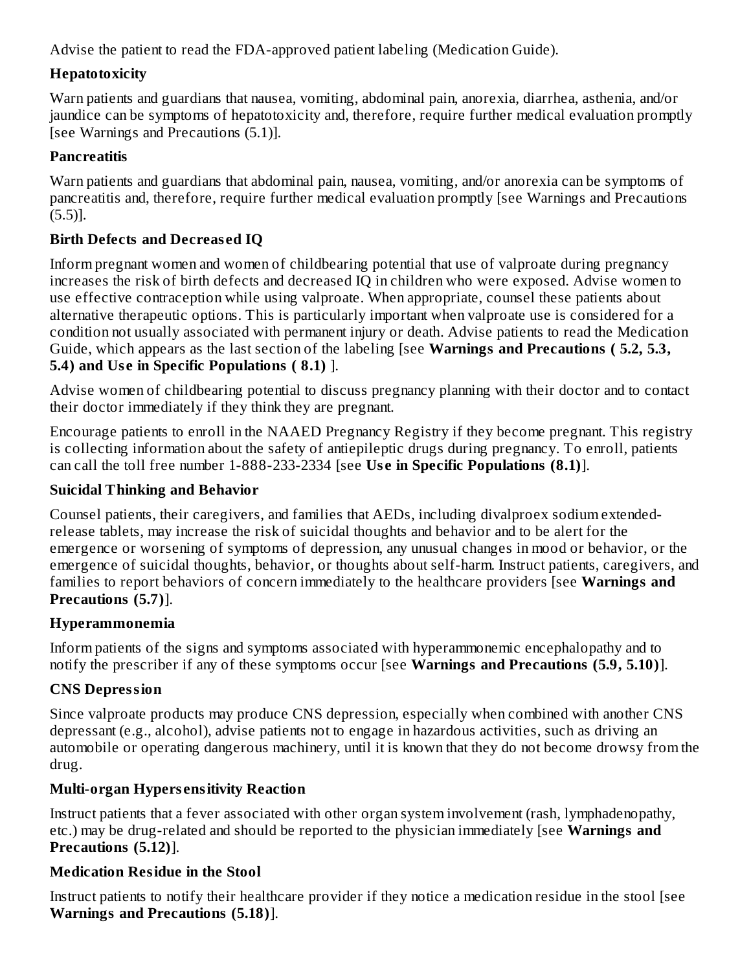Advise the patient to read the FDA-approved patient labeling (Medication Guide).

## **Hepatotoxicity**

Warn patients and guardians that nausea, vomiting, abdominal pain, anorexia, diarrhea, asthenia, and/or jaundice can be symptoms of hepatotoxicity and, therefore, require further medical evaluation promptly [see Warnings and Precautions (5.1)].

# **Pancreatitis**

Warn patients and guardians that abdominal pain, nausea, vomiting, and/or anorexia can be symptoms of pancreatitis and, therefore, require further medical evaluation promptly [see Warnings and Precautions (5.5)].

# **Birth Defects and Decreas ed IQ**

Inform pregnant women and women of childbearing potential that use of valproate during pregnancy increases the risk of birth defects and decreased IQ in children who were exposed. Advise women to use effective contraception while using valproate. When appropriate, counsel these patients about alternative therapeutic options. This is particularly important when valproate use is considered for a condition not usually associated with permanent injury or death. Advise patients to read the Medication Guide, which appears as the last section of the labeling [see **Warnings and Precautions ( 5.2, 5.3, 5.4) and Us e in Specific Populations ( 8.1)** ].

Advise women of childbearing potential to discuss pregnancy planning with their doctor and to contact their doctor immediately if they think they are pregnant.

Encourage patients to enroll in the NAAED Pregnancy Registry if they become pregnant. This registry is collecting information about the safety of antiepileptic drugs during pregnancy. To enroll, patients can call the toll free number 1-888-233-2334 [see **Us e in Specific Populations (8.1)**].

# **Suicidal Thinking and Behavior**

Counsel patients, their caregivers, and families that AEDs, including divalproex sodium extendedrelease tablets, may increase the risk of suicidal thoughts and behavior and to be alert for the emergence or worsening of symptoms of depression, any unusual changes in mood or behavior, or the emergence of suicidal thoughts, behavior, or thoughts about self-harm. Instruct patients, caregivers, and families to report behaviors of concern immediately to the healthcare providers [see **Warnings and Precautions (5.7)**].

# **Hyperammonemia**

Inform patients of the signs and symptoms associated with hyperammonemic encephalopathy and to notify the prescriber if any of these symptoms occur [see **Warnings and Precautions (5.9, 5.10)**].

# **CNS Depression**

Since valproate products may produce CNS depression, especially when combined with another CNS depressant (e.g., alcohol), advise patients not to engage in hazardous activities, such as driving an automobile or operating dangerous machinery, until it is known that they do not become drowsy from the drug.

# **Multi-organ Hypers ensitivity Reaction**

Instruct patients that a fever associated with other organ system involvement (rash, lymphadenopathy, etc.) may be drug-related and should be reported to the physician immediately [see **Warnings and Precautions (5.12)**].

# **Medication Residue in the Stool**

Instruct patients to notify their healthcare provider if they notice a medication residue in the stool [see **Warnings and Precautions (5.18)**].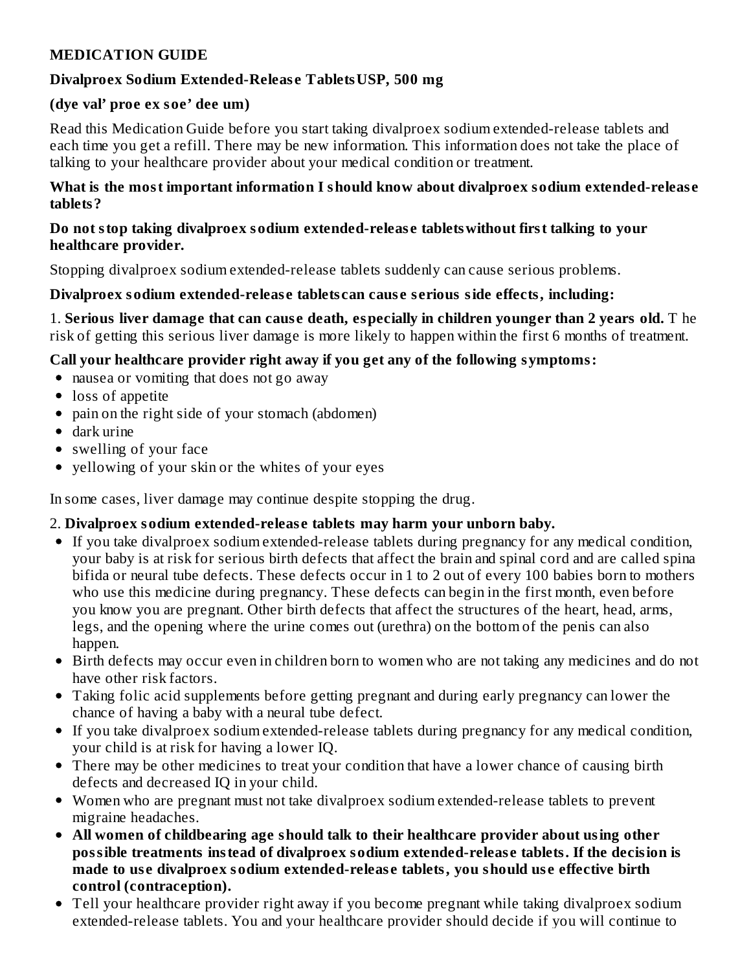#### **MEDICATION GUIDE**

#### **Divalproex Sodium Extended-Releas e TabletsUSP, 500 mg**

#### **(dye val' proe ex soe' dee um)**

Read this Medication Guide before you start taking divalproex sodium extended-release tablets and each time you get a refill. There may be new information. This information does not take the place of talking to your healthcare provider about your medical condition or treatment.

#### **What is the most important information I should know about divalproex sodium extended-releas e tablets?**

#### **Do not stop taking divalproex sodium extended-releas e tabletswithout first talking to your healthcare provider.**

Stopping divalproex sodium extended-release tablets suddenly can cause serious problems.

#### **Divalproex sodium extended-releas e tablets can caus e s erious side effects, including:**

1. **Serious liver damage that can caus e death, especially in children younger than 2 years old.** T he risk of getting this serious liver damage is more likely to happen within the first 6 months of treatment.

#### **Call your healthcare provider right away if you get any of the following symptoms:**

- nausea or vomiting that does not go away
- loss of appetite
- pain on the right side of your stomach (abdomen)
- dark urine
- swelling of your face
- yellowing of your skin or the whites of your eyes

In some cases, liver damage may continue despite stopping the drug.

#### 2. **Divalproex sodium extended-releas e tablets may harm your unborn baby.**

- If you take divalproex sodium extended-release tablets during pregnancy for any medical condition, your baby is at risk for serious birth defects that affect the brain and spinal cord and are called spina bifida or neural tube defects. These defects occur in 1 to 2 out of every 100 babies born to mothers who use this medicine during pregnancy. These defects can begin in the first month, even before you know you are pregnant. Other birth defects that affect the structures of the heart, head, arms, legs, and the opening where the urine comes out (urethra) on the bottom of the penis can also happen.
- Birth defects may occur even in children born to women who are not taking any medicines and do not have other risk factors.
- Taking folic acid supplements before getting pregnant and during early pregnancy can lower the chance of having a baby with a neural tube defect.
- If you take divalproex sodium extended-release tablets during pregnancy for any medical condition, your child is at risk for having a lower IQ.
- There may be other medicines to treat your condition that have a lower chance of causing birth defects and decreased IQ in your child.
- Women who are pregnant must not take divalproex sodium extended-release tablets to prevent migraine headaches.
- **All women of childbearing age should talk to their healthcare provider about using other possible treatments instead of divalproex sodium extended-releas e tablets. If the decision is made to us e divalproex sodium extended-releas e tablets, you should us e effective birth control (contraception).**
- Tell your healthcare provider right away if you become pregnant while taking divalproex sodium extended-release tablets. You and your healthcare provider should decide if you will continue to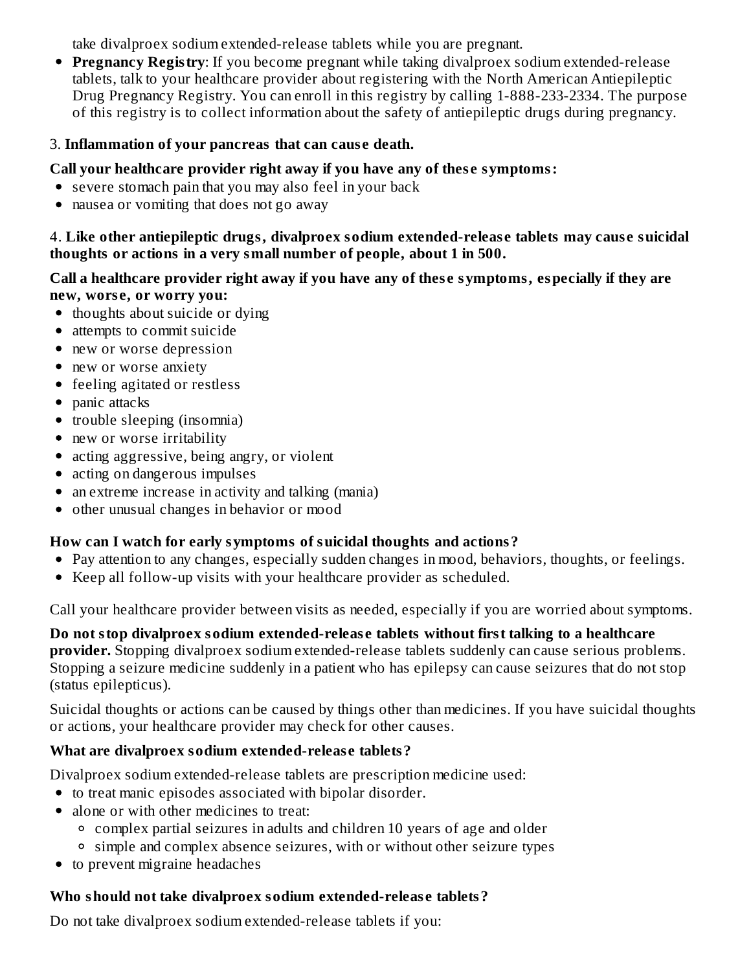take divalproex sodium extended-release tablets while you are pregnant.

**Pregnancy Registry**: If you become pregnant while taking divalproex sodium extended-release tablets, talk to your healthcare provider about registering with the North American Antiepileptic Drug Pregnancy Registry. You can enroll in this registry by calling 1-888-233-2334. The purpose of this registry is to collect information about the safety of antiepileptic drugs during pregnancy.

#### 3. **Inflammation of your pancreas that can caus e death.**

#### **Call your healthcare provider right away if you have any of thes e symptoms:**

- severe stomach pain that you may also feel in your back
- nausea or vomiting that does not go away

4. **Like other antiepileptic drugs, divalproex sodium extended-releas e tablets may caus e suicidal thoughts or actions in a very small number of people, about 1 in 500.**

#### **Call a healthcare provider right away if you have any of thes e symptoms, especially if they are new, wors e, or worry you:**

- thoughts about suicide or dying
- attempts to commit suicide
- new or worse depression
- new or worse anxiety
- feeling agitated or restless
- panic attacks
- trouble sleeping (insomnia)
- new or worse irritability
- acting aggressive, being angry, or violent
- acting on dangerous impulses
- an extreme increase in activity and talking (mania)
- other unusual changes in behavior or mood

## **How can I watch for early symptoms of suicidal thoughts and actions?**

- Pay attention to any changes, especially sudden changes in mood, behaviors, thoughts, or feelings.
- Keep all follow-up visits with your healthcare provider as scheduled.

Call your healthcare provider between visits as needed, especially if you are worried about symptoms.

**Do not stop divalproex sodium extended-releas e tablets without first talking to a healthcare provider.** Stopping divalproex sodium extended-release tablets suddenly can cause serious problems. Stopping a seizure medicine suddenly in a patient who has epilepsy can cause seizures that do not stop (status epilepticus).

Suicidal thoughts or actions can be caused by things other than medicines. If you have suicidal thoughts or actions, your healthcare provider may check for other causes.

## **What are divalproex sodium extended-releas e tablets?**

Divalproex sodium extended-release tablets are prescription medicine used:

- to treat manic episodes associated with bipolar disorder.
- alone or with other medicines to treat:
	- complex partial seizures in adults and children 10 years of age and older
	- simple and complex absence seizures, with or without other seizure types
- to prevent migraine headaches

# **Who should not take divalproex sodium extended-releas e tablets?**

Do not take divalproex sodium extended-release tablets if you: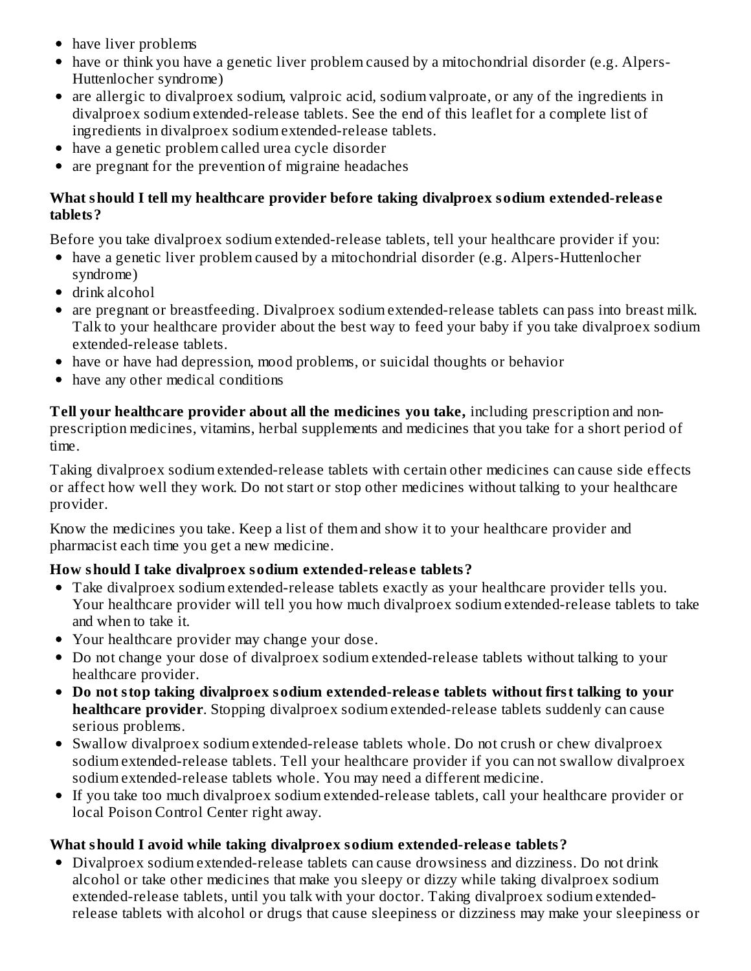- have liver problems
- have or think you have a genetic liver problem caused by a mitochondrial disorder (e.g. Alpers-Huttenlocher syndrome)
- are allergic to divalproex sodium, valproic acid, sodium valproate, or any of the ingredients in divalproex sodium extended-release tablets. See the end of this leaflet for a complete list of ingredients in divalproex sodium extended-release tablets.
- have a genetic problem called urea cycle disorder
- are pregnant for the prevention of migraine headaches

#### **What should I tell my healthcare provider before taking divalproex sodium extended-releas e tablets?**

Before you take divalproex sodium extended-release tablets, tell your healthcare provider if you:

- have a genetic liver problem caused by a mitochondrial disorder (e.g. Alpers-Huttenlocher syndrome)
- drink alcohol
- are pregnant or breastfeeding. Divalproex sodium extended-release tablets can pass into breast milk. Talk to your healthcare provider about the best way to feed your baby if you take divalproex sodium extended-release tablets.
- have or have had depression, mood problems, or suicidal thoughts or behavior
- have any other medical conditions

**Tell your healthcare provider about all the medicines you take,** including prescription and nonprescription medicines, vitamins, herbal supplements and medicines that you take for a short period of time.

Taking divalproex sodium extended-release tablets with certain other medicines can cause side effects or affect how well they work. Do not start or stop other medicines without talking to your healthcare provider.

Know the medicines you take. Keep a list of them and show it to your healthcare provider and pharmacist each time you get a new medicine.

## **How should I take divalproex sodium extended-releas e tablets?**

- Take divalproex sodium extended-release tablets exactly as your healthcare provider tells you. Your healthcare provider will tell you how much divalproex sodium extended-release tablets to take and when to take it.
- Your healthcare provider may change your dose.
- Do not change your dose of divalproex sodium extended-release tablets without talking to your healthcare provider.
- **Do not stop taking divalproex sodium extended-releas e tablets without first talking to your healthcare provider**. Stopping divalproex sodium extended-release tablets suddenly can cause serious problems.
- Swallow divalproex sodium extended-release tablets whole. Do not crush or chew divalproex sodium extended-release tablets. Tell your healthcare provider if you can not swallow divalproex sodium extended-release tablets whole. You may need a different medicine.
- If you take too much divalproex sodium extended-release tablets, call your healthcare provider or local Poison Control Center right away.

## **What should I avoid while taking divalproex sodium extended-releas e tablets?**

Divalproex sodium extended-release tablets can cause drowsiness and dizziness. Do not drink alcohol or take other medicines that make you sleepy or dizzy while taking divalproex sodium extended-release tablets, until you talk with your doctor. Taking divalproex sodium extendedrelease tablets with alcohol or drugs that cause sleepiness or dizziness may make your sleepiness or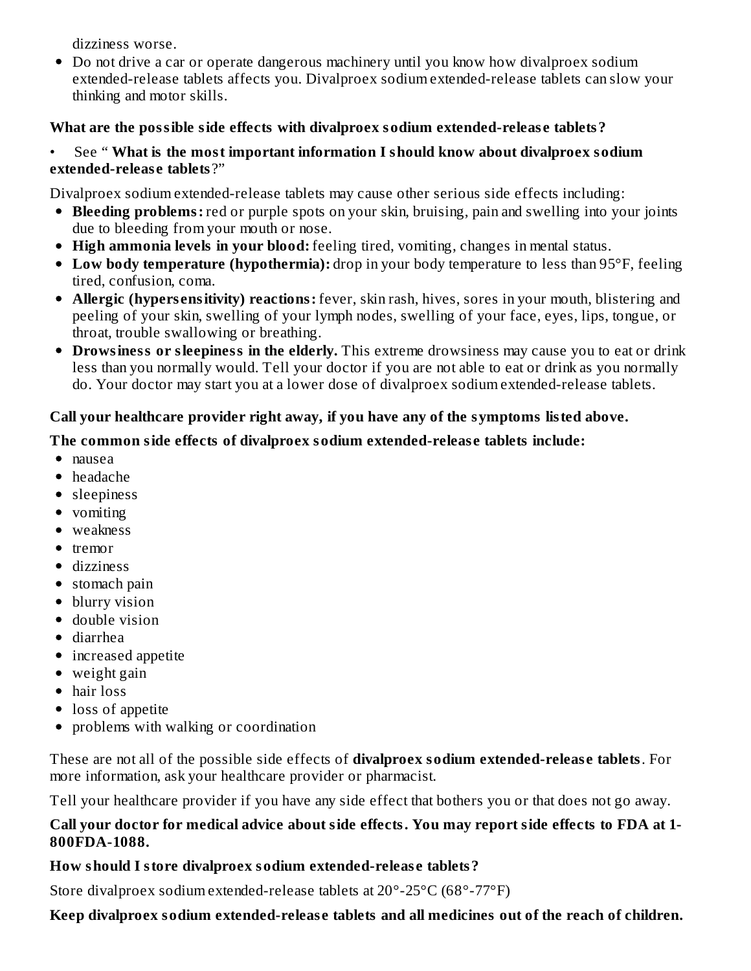dizziness worse.

• Do not drive a car or operate dangerous machinery until you know how divalproex sodium extended-release tablets affects you. Divalproex sodium extended-release tablets can slow your thinking and motor skills.

## **What are the possible side effects with divalproex sodium extended-releas e tablets?**

#### • See " **What is the most important information I should know about divalproex sodium extended-releas e tablets** ?"

Divalproex sodium extended-release tablets may cause other serious side effects including:

- **Bleeding problems:** red or purple spots on your skin, bruising, pain and swelling into your joints due to bleeding from your mouth or nose.
- **High ammonia levels in your blood:** feeling tired, vomiting, changes in mental status.
- **Low body temperature (hypothermia):** drop in your body temperature to less than 95°F, feeling tired, confusion, coma.
- **Allergic (hypers ensitivity) reactions:** fever, skin rash, hives, sores in your mouth, blistering and peeling of your skin, swelling of your lymph nodes, swelling of your face, eyes, lips, tongue, or throat, trouble swallowing or breathing.
- **Drowsiness or sleepiness in the elderly.** This extreme drowsiness may cause you to eat or drink less than you normally would. Tell your doctor if you are not able to eat or drink as you normally do. Your doctor may start you at a lower dose of divalproex sodium extended-release tablets.

## **Call your healthcare provider right away, if you have any of the symptoms listed above.**

## **The common side effects of divalproex sodium extended-releas e tablets include:**

- nausea
- headache
- sleepiness
- vomiting
- weakness
- $\bullet$  tremor
- dizziness
- stomach pain
- blurry vision
- double vision
- diarrhea
- increased appetite
- weight gain
- hair loss
- loss of appetite
- problems with walking or coordination

These are not all of the possible side effects of **divalproex sodium extended-releas e tablets**. For more information, ask your healthcare provider or pharmacist.

Tell your healthcare provider if you have any side effect that bothers you or that does not go away.

#### **Call your doctor for medical advice about side effects. You may report side effects to FDA at 1- 800FDA-1088.**

## **How should I store divalproex sodium extended-releas e tablets?**

Store divalproex sodium extended-release tablets at 20°-25°C (68°-77°F)

# **Keep divalproex sodium extended-releas e tablets and all medicines out of the reach of children.**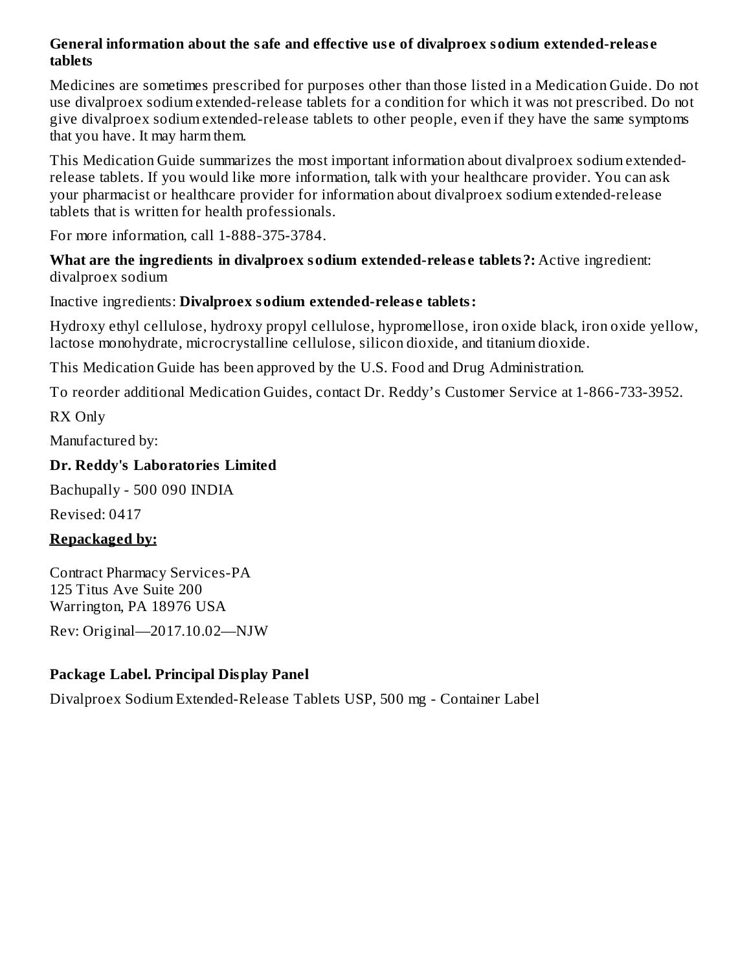#### **General information about the safe and effective us e of divalproex sodium extended-releas e tablets**

Medicines are sometimes prescribed for purposes other than those listed in a Medication Guide. Do not use divalproex sodium extended-release tablets for a condition for which it was not prescribed. Do not give divalproex sodium extended-release tablets to other people, even if they have the same symptoms that you have. It may harm them.

This Medication Guide summarizes the most important information about divalproex sodium extendedrelease tablets. If you would like more information, talk with your healthcare provider. You can ask your pharmacist or healthcare provider for information about divalproex sodium extended-release tablets that is written for health professionals.

For more information, call 1-888-375-3784.

**What are the ingredients in divalproex sodium extended-releas e tablets?:** Active ingredient: divalproex sodium

#### Inactive ingredients: **Divalproex sodium extended-releas e tablets:**

Hydroxy ethyl cellulose, hydroxy propyl cellulose, hypromellose, iron oxide black, iron oxide yellow, lactose monohydrate, microcrystalline cellulose, silicon dioxide, and titanium dioxide.

This Medication Guide has been approved by the U.S. Food and Drug Administration.

To reorder additional Medication Guides, contact Dr. Reddy's Customer Service at 1-866-733-3952.

RX Only

Manufactured by:

## **Dr. Reddy's Laboratories Limited**

Bachupally - 500 090 INDIA

Revised: 0417

## **Repackaged by:**

Contract Pharmacy Services-PA 125 Titus Ave Suite 200 Warrington, PA 18976 USA

Rev: Original—2017.10.02—NJW

# **Package Label. Principal Display Panel**

Divalproex Sodium Extended-Release Tablets USP, 500 mg - Container Label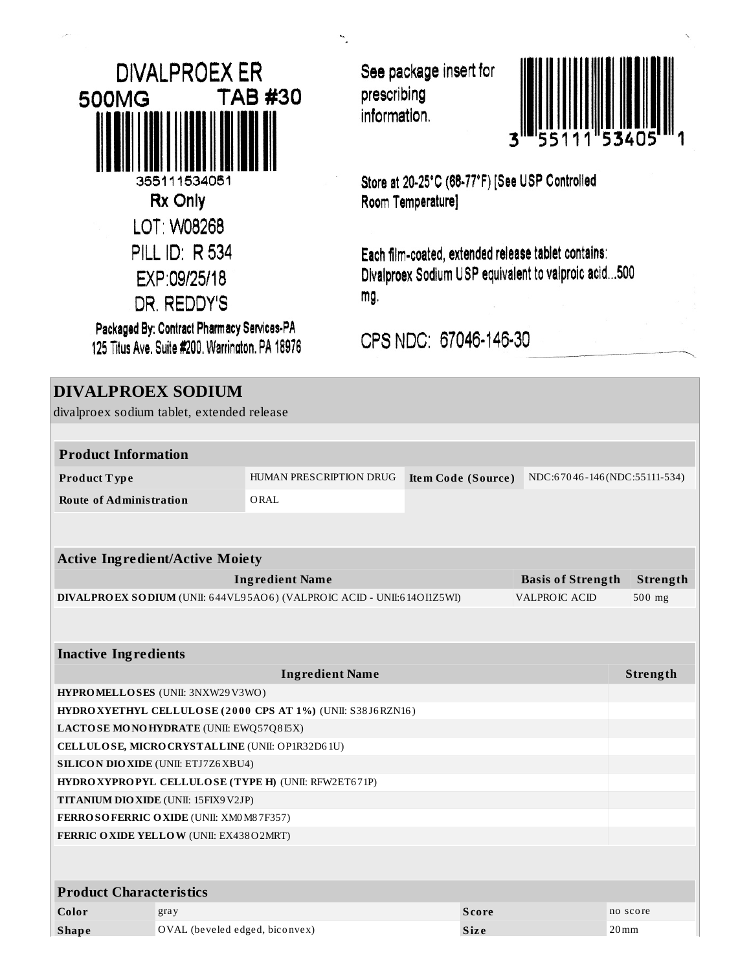| DIVALPROEX ER                            |
|------------------------------------------|
| TAB #30<br>500MG                         |
|                                          |
| 355111534051<br>Rx Only                  |
| LOT: W08268                              |
| PILL ID: R 534                           |
| EXP:09/25/18                             |
| DR. REDDY'S                              |
| Busicesed Bur Osmissad Dharmany Candana. |

Packaged By: Contract Pharmacy Services-PA 125 Titus Ave. Suite #200. Warrington, PA 18976 See package insert for prescribing information.



Store at 20-25°C (68-77°F) [See USP Controlled Room Temperature]

Each film-coated, extended release tablet contains: Divalproex Sodium USP equivalent to valproic acid...500 mg.

CPS NDC: 67046-146-30

# **DIVALPROEX SODIUM** divalproex sodium tablet, extended release **Product Information Product Type** HUMAN PRESCRIPTION DRUG **Item Code (Source)** NDC:67046-146 (NDC:55111-534) **Route of Administration** ORAL **Active Ingredient/Active Moiety Ingredient Name Basis of Strength Strength DIVALPROEX SODIUM** (UNII: 6 44VL9 5AO6 ) (VALPROIC ACID - UNII:6 14OI1Z5WI) VALPROIC ACID 50 0 mg **Inactive Ingredients Ingredient Name Strength HYPROMELLOSES** (UNII: 3NXW29V3WO) **HYDROXYETHYL CELLULOSE ( 2 0 0 0 CPS AT 1%)** (UNII: S38 J6RZN16 ) **LACTOSE MONOHYDRATE** (UNII: EWQ57Q8 I5X) **CELLULOSE, MICROCRYSTALLINE** (UNII: OP1R32D6 1U) **SILICON DIOXIDE** (UNII: ETJ7Z6XBU4) **HYDROXYPROPYL CELLULOSE (TYPE H)** (UNII: RFW2ET6 71P) **TITANIUM DIOXIDE** (UNII: 15FIX9V2JP) **FERROSOFERRIC OXIDE** (UNII: XM0M8 7F357) **FERRIC OXIDE YELLOW** (UNII: EX438O2MRT) **Product Characteristics Color** gray gray **Score Score Score no** score **Shape** OVAL (beveled edged, biconvex) **Size Size** 20mm